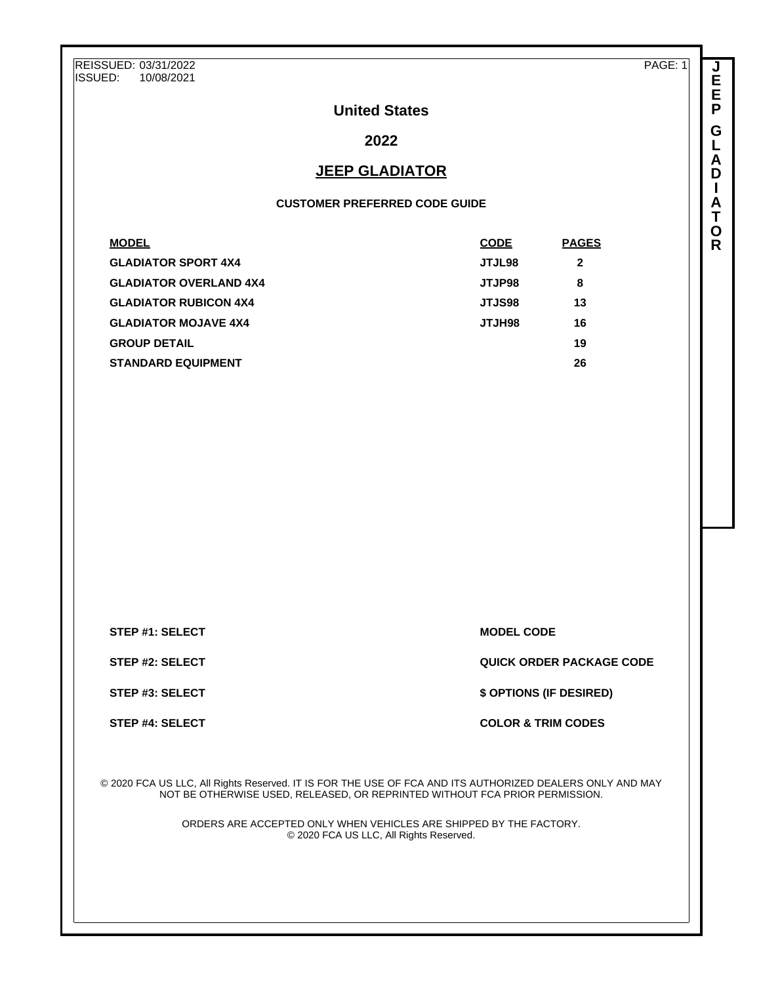REISSUED: 03/31/2022<br>ISSUED: 10/08/2021 ISSUED: 10/08/2021

PAGE: 1

**J E E P G L A D I A T O R**

# **United States**

# **2022**

# **JEEP GLADIATOR**

### **CUSTOMER PREFERRED CODE GUIDE**

| <b>PAGES</b> |
|--------------|
| 2            |
| 8            |
| 13           |
| 16           |
| 19           |
| 26           |
|              |

**STEP #1: SELECT MODEL CODE** 

**STEP #2: SELECT QUICK ORDER PACKAGE CODE**

**STEP #3: SELECT \$ OPTIONS (IF DESIRED)**

**STEP #4: SELECT COLOR & TRIM CODES** 

© 2020 FCA US LLC, All Rights Reserved. IT IS FOR THE USE OF FCA AND ITS AUTHORIZED DEALERS ONLY AND MAY NOT BE OTHERWISE USED, RELEASED, OR REPRINTED WITHOUT FCA PRIOR PERMISSION.

> ORDERS ARE ACCEPTED ONLY WHEN VEHICLES ARE SHIPPED BY THE FACTORY. © 2020 FCA US LLC, All Rights Reserved.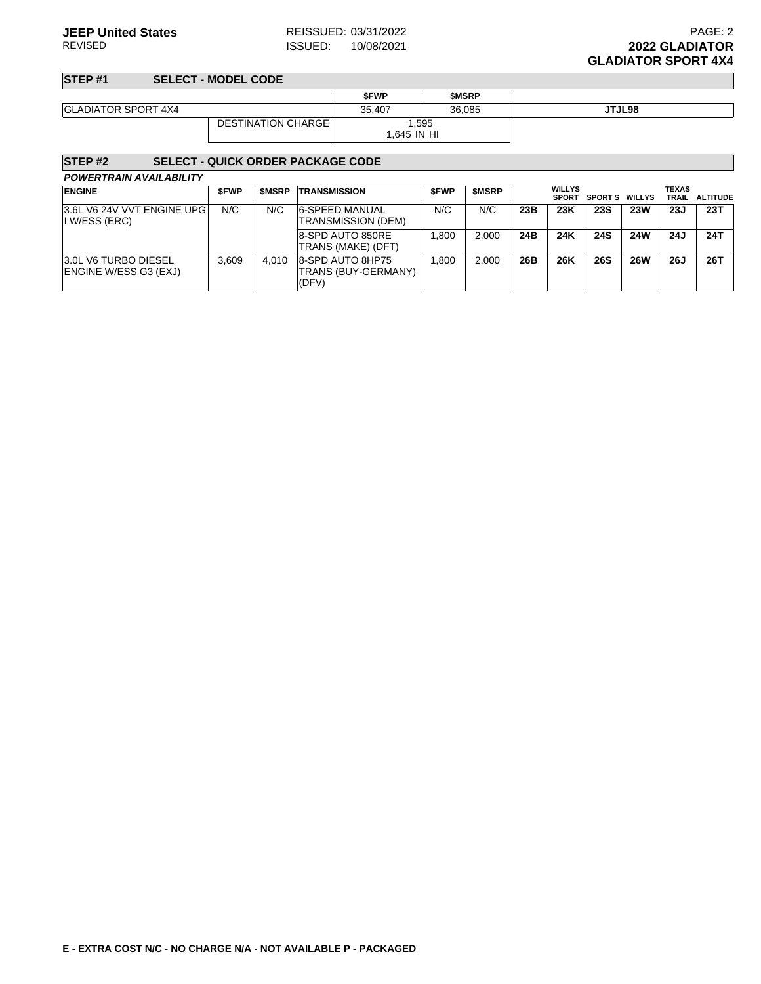**STEP #1 SELECT - MODEL CODE**

|                            |                            | <b>SFWP</b> | <b>SMSRP</b> |        |
|----------------------------|----------------------------|-------------|--------------|--------|
| <b>GLADIATOR SPORT 4X4</b> |                            | 35.407      | 36,085       | JTJL98 |
|                            | <b>DESTINATION CHARGEL</b> |             | ,595         |        |
|                            |                            | 1.645 IN HI |              |        |

## **STEP #2 SELECT - QUICK ORDER PACKAGE CODE**

| <b>ENGINE</b>                                               | <b>SFWP</b> | <b>SMSRP</b> | <b>TRANSMISSION</b>                              | <b>SFWP</b> | <b>SMSRP</b> |     | <b>WILLYS</b><br><b>SPORT</b> | <b>SPORTS WILLYS</b> |            | <b>TEXAS</b> | TRAIL ALTITUDE |
|-------------------------------------------------------------|-------------|--------------|--------------------------------------------------|-------------|--------------|-----|-------------------------------|----------------------|------------|--------------|----------------|
| 3.6L V6 24V VVT ENGINE UPG<br>I W/ESS (ERC)                 | N/C         | N/C          | 6-SPEED MANUAL<br>TRANSMISSION (DEM)             | N/C         | N/C          | 23B | 23K                           | <b>23S</b>           | <b>23W</b> | 23J          | 23T            |
|                                                             |             |              | 8-SPD AUTO 850RE<br><b>ITRANS (MAKE) (DFT)</b>   | .800        | 2.000        | 24B | 24K                           | <b>24S</b>           | <b>24W</b> | 24J          | 24T            |
| <b>3.0L V6 TURBO DIESEL</b><br><b>ENGINE W/ESS G3 (EXJ)</b> | 3.609       | 4.010        | 8-SPD AUTO 8HP75<br>TRANS (BUY-GERMANY)<br>(DFV) | .800        | 2.000        | 26B | 26K                           | 26S                  | <b>26W</b> | <b>26J</b>   | 26T            |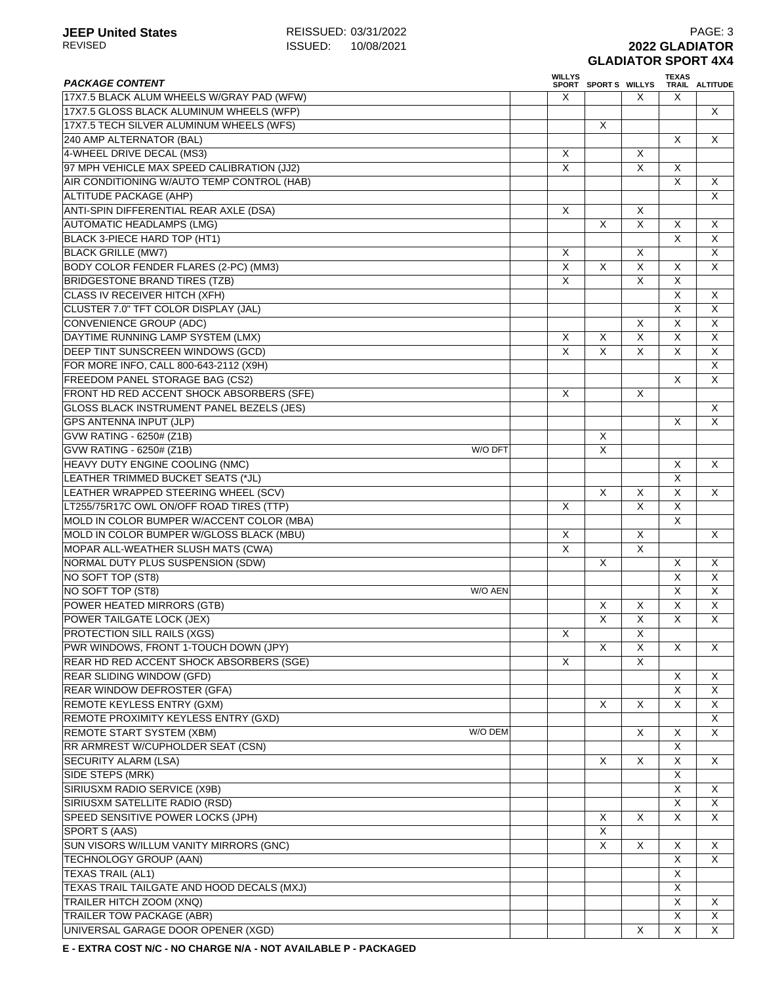| <b>PACKAGE CONTENT</b>                     |         | <b>WILLYS</b> |                         |                         | <b>TEXAS</b>              |                         |
|--------------------------------------------|---------|---------------|-------------------------|-------------------------|---------------------------|-------------------------|
| 17X7.5 BLACK ALUM WHEELS W/GRAY PAD (WFW)  |         | X             | SPORT SPORTS WILLYS     | X                       | X                         | TRAIL ALTITUDE          |
| 17X7.5 GLOSS BLACK ALUMINUM WHEELS (WFP)   |         |               |                         |                         |                           | X                       |
| 17X7.5 TECH SILVER ALUMINUM WHEELS (WFS)   |         |               | X                       |                         |                           |                         |
|                                            |         |               |                         |                         | $\times$                  | X                       |
| 240 AMP ALTERNATOR (BAL)                   |         |               |                         |                         |                           |                         |
| 4-WHEEL DRIVE DECAL (MS3)                  |         | X<br>X        |                         | X<br>X                  |                           |                         |
| 97 MPH VEHICLE MAX SPEED CALIBRATION (JJ2) |         |               |                         |                         | X                         |                         |
| AIR CONDITIONING W/AUTO TEMP CONTROL (HAB) |         |               |                         |                         | $\overline{\mathsf{x}}$   | X                       |
| <b>ALTITUDE PACKAGE (AHP)</b>              |         |               |                         |                         |                           | X                       |
| ANTI-SPIN DIFFERENTIAL REAR AXLE (DSA)     |         | $\times$      |                         | X                       |                           |                         |
| <b>AUTOMATIC HEADLAMPS (LMG)</b>           |         |               | X                       | $\overline{\mathsf{x}}$ | $\mathsf{X}$              | X                       |
| BLACK 3-PIECE HARD TOP (HT1)               |         |               |                         |                         | $\overline{\mathsf{x}}$   | X                       |
| <b>BLACK GRILLE (MW7)</b>                  |         | X             |                         | X                       |                           | X                       |
| BODY COLOR FENDER FLARES (2-PC) (MM3)      |         | X             | $\overline{\mathsf{x}}$ | $\overline{\mathsf{x}}$ | $\times$                  | X                       |
| <b>BRIDGESTONE BRAND TIRES (TZB)</b>       |         | X             |                         | X                       | $\boldsymbol{\mathsf{X}}$ |                         |
| <b>CLASS IV RECEIVER HITCH (XFH)</b>       |         |               |                         |                         | $\times$                  | X                       |
| CLUSTER 7.0" TFT COLOR DISPLAY (JAL)       |         |               |                         |                         | X                         | X                       |
| <b>CONVENIENCE GROUP (ADC)</b>             |         |               |                         | X                       | $\overline{\mathsf{x}}$   | $\overline{\mathsf{x}}$ |
| DAYTIME RUNNING LAMP SYSTEM (LMX)          |         | X             | X                       | X                       | $\overline{\mathsf{x}}$   | X                       |
| DEEP TINT SUNSCREEN WINDOWS (GCD)          |         | X             | X                       | X                       | $\overline{\mathsf{x}}$   | X                       |
| FOR MORE INFO, CALL 800-643-2112 (X9H)     |         |               |                         |                         |                           | X                       |
| FREEDOM PANEL STORAGE BAG (CS2)            |         |               |                         |                         | $\times$                  | X                       |
| FRONT HD RED ACCENT SHOCK ABSORBERS (SFE)  |         | X             |                         | X                       |                           |                         |
| GLOSS BLACK INSTRUMENT PANEL BEZELS (JES)  |         |               |                         |                         |                           | X                       |
| <b>GPS ANTENNA INPUT (JLP)</b>             |         |               |                         |                         | X                         | X                       |
| GVW RATING - 6250# (Z1B)                   |         |               | X                       |                         |                           |                         |
| GVW RATING - 6250# (Z1B)                   | W/O DFT |               | X                       |                         |                           |                         |
| HEAVY DUTY ENGINE COOLING (NMC)            |         |               |                         |                         | $\times$                  | X                       |
| LEATHER TRIMMED BUCKET SEATS (*JL)         |         |               |                         |                         | $\overline{X}$            |                         |
| LEATHER WRAPPED STEERING WHEEL (SCV)       |         |               | X                       | X                       | $\overline{X}$            | X                       |
| LT255/75R17C OWL ON/OFF ROAD TIRES (TTP)   |         | Χ             |                         | X                       | X                         |                         |
|                                            |         |               |                         |                         | $\times$                  |                         |
| MOLD IN COLOR BUMPER W/ACCENT COLOR (MBA)  |         |               |                         |                         |                           |                         |
| MOLD IN COLOR BUMPER W/GLOSS BLACK (MBU)   |         | X             |                         | X                       |                           | X                       |
| MOPAR ALL-WEATHER SLUSH MATS (CWA)         |         | X             |                         | $\overline{\mathsf{x}}$ |                           |                         |
| NORMAL DUTY PLUS SUSPENSION (SDW)          |         |               | X                       |                         | X                         | X                       |
| NO SOFT TOP (ST8)                          |         |               |                         |                         | X                         | X                       |
| NO SOFT TOP (ST8)                          | W/O AEN |               |                         |                         | $\overline{\mathsf{x}}$   | X                       |
| POWER HEATED MIRRORS (GTB)                 |         |               | X                       | X                       | $\overline{X}$            | $\overline{X}$          |
| POWER TAILGATE LOCK (JEX)                  |         |               | $\overline{X}$          | X                       | X                         | X                       |
| PROTECTION SILL RAILS (XGS)                |         | X             |                         | X                       |                           |                         |
| PWR WINDOWS, FRONT 1-TOUCH DOWN (JPY)      |         |               | X                       | X                       | X                         | X                       |
| REAR HD RED ACCENT SHOCK ABSORBERS (SGE)   |         | X             |                         | X                       |                           |                         |
| <b>REAR SLIDING WINDOW (GFD)</b>           |         |               |                         |                         | X                         | X                       |
| REAR WINDOW DEFROSTER (GFA)                |         |               |                         |                         | X                         | X                       |
| REMOTE KEYLESS ENTRY (GXM)                 |         |               | X                       | X                       | X                         | X                       |
| REMOTE PROXIMITY KEYLESS ENTRY (GXD)       |         |               |                         |                         |                           | X                       |
| <b>REMOTE START SYSTEM (XBM)</b>           | W/O DEM |               |                         | X                       | X                         | X                       |
| RR ARMREST W/CUPHOLDER SEAT (CSN)          |         |               |                         |                         | $\overline{X}$            |                         |
| <b>SECURITY ALARM (LSA)</b>                |         |               | X                       | X                       | $\overline{\mathsf{x}}$   | X                       |
| SIDE STEPS (MRK)                           |         |               |                         |                         | X                         |                         |
| SIRIUSXM RADIO SERVICE (X9B)               |         |               |                         |                         | X                         | X                       |
| SIRIUSXM SATELLITE RADIO (RSD)             |         |               |                         |                         | X                         | X                       |
| SPEED SENSITIVE POWER LOCKS (JPH)          |         |               | X                       | X                       | X                         | X                       |
| SPORT S (AAS)                              |         |               | Χ                       |                         |                           |                         |
| SUN VISORS W/ILLUM VANITY MIRRORS (GNC)    |         |               | X                       | X                       | X                         | X                       |
|                                            |         |               |                         |                         | $\times$                  | X                       |
| TECHNOLOGY GROUP (AAN)                     |         |               |                         |                         |                           |                         |
| <b>TEXAS TRAIL (AL1)</b>                   |         |               |                         |                         | $\boldsymbol{\mathsf{X}}$ |                         |
| TEXAS TRAIL TAILGATE AND HOOD DECALS (MXJ) |         |               |                         |                         | X                         |                         |
| TRAILER HITCH ZOOM (XNQ)                   |         |               |                         |                         | X                         | X.                      |
| <b>TRAILER TOW PACKAGE (ABR)</b>           |         |               |                         |                         | X                         | X                       |
| UNIVERSAL GARAGE DOOR OPENER (XGD)         |         |               |                         | X                       | $\times$                  | $\mathsf{X}$            |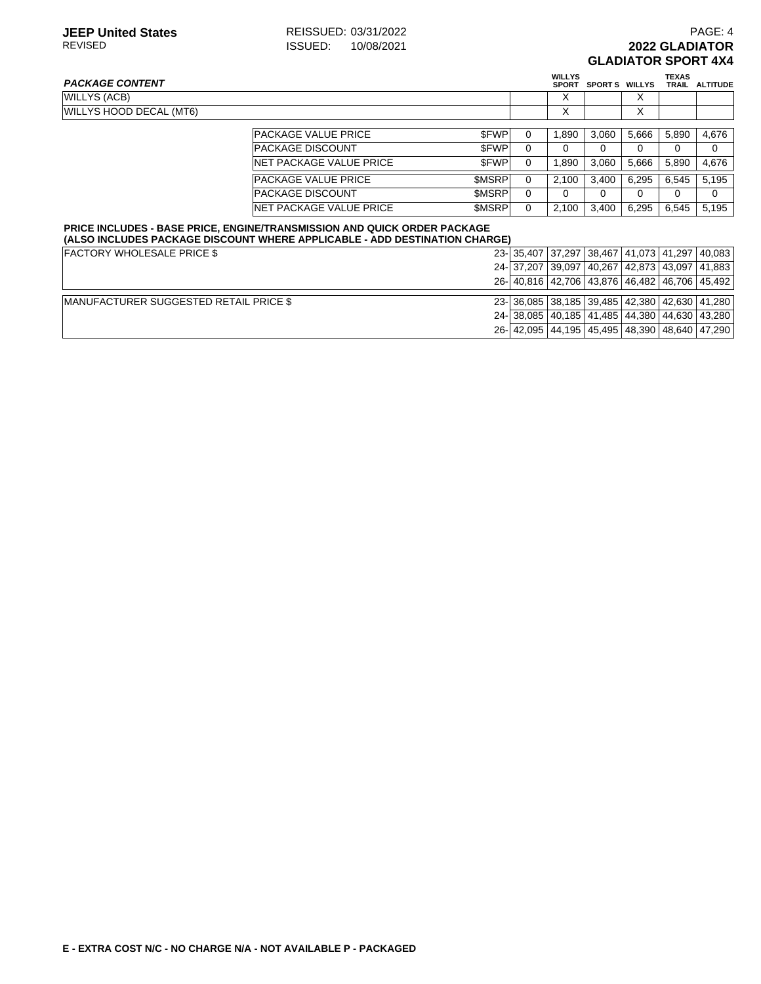**TEXAS TRAIL ALTITUDE**

# **PACKAGE CONTENT WILLYS SPORT S WILLYS** WILLYS (ACB) X X WILLYS HOOD DECAL (MT6) X X

|                                 |              |   | ⋏     |       | ⋏     |       |       |
|---------------------------------|--------------|---|-------|-------|-------|-------|-------|
|                                 |              |   |       |       |       |       |       |
| <b>PACKAGE VALUE PRICE</b>      | <b>SFWP</b>  |   | 1.890 | 3.060 | 5.666 | 5.890 | 4.676 |
| <b>IPACKAGE DISCOUNT</b>        | <b>SFWP</b>  |   |       |       | 0     | 0     | 0     |
| <b>INET PACKAGE VALUE PRICE</b> | <b>SFWP</b>  |   | 1.890 | 3.060 | 5.666 | 5.890 | 4.676 |
| <b>PACKAGE VALUE PRICE</b>      | <b>SMSRP</b> |   | 2.100 | 3.400 | 6.295 | 6.545 | 5,195 |
| <b>IPACKAGE DISCOUNT</b>        | <b>SMSRP</b> | 0 |       |       | 0     | 0     | 0     |
| <b>INET PACKAGE VALUE PRICE</b> | <b>SMSRP</b> |   | 2.100 | 3.400 | 6.295 | 6.545 | 5.195 |

#### **PRICE INCLUDES - BASE PRICE, ENGINE/TRANSMISSION AND QUICK ORDER PACKAGE (ALSO INCLUDES PACKAGE DISCOUNT WHERE APPLICABLE - ADD DESTINATION CHARGE)**

| <b>FACTORY WHOLESALE PRICE \$</b>              |  |  |  | 23- 35,407 37,297 38,467 41,073 41,297 40,083            |  |  |                                              |  |  |
|------------------------------------------------|--|--|--|----------------------------------------------------------|--|--|----------------------------------------------|--|--|
|                                                |  |  |  | 24- 37,207 39,097 40,267 42,873 43,097 41,883            |  |  |                                              |  |  |
|                                                |  |  |  |                                                          |  |  | 26-40.816 42.706 43.876 46.482 46.706 45.492 |  |  |
| <b>IMANUFACTURER SUGGESTED RETAIL PRICE \$</b> |  |  |  | 23- 36,085 38,185 39,485 42,380 42,630 41,280            |  |  |                                              |  |  |
|                                                |  |  |  | 24 - 38,085   40,185   41,485   44,380   44,630   43,280 |  |  |                                              |  |  |
|                                                |  |  |  | 26- 42,095 44,195 45,495 48,390 48,640 47,290            |  |  |                                              |  |  |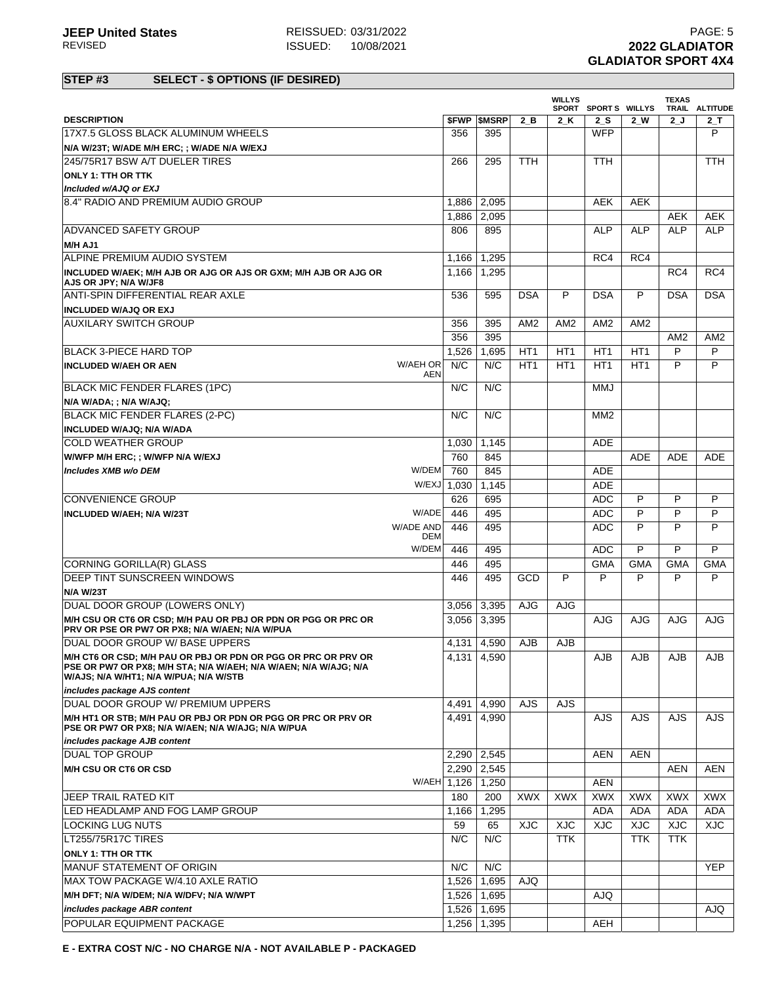# **STEP #3 SELECT - \$ OPTIONS (IF DESIRED)**

|                                                                                                                                                                              |                     |       |                          |                 | <b>WILLYS</b>   | SPORT SPORTS WILLYS |                 | <b>TEXAS</b>    | TRAIL ALTITUDE  |
|------------------------------------------------------------------------------------------------------------------------------------------------------------------------------|---------------------|-------|--------------------------|-----------------|-----------------|---------------------|-----------------|-----------------|-----------------|
| <b>DESCRIPTION</b>                                                                                                                                                           |                     |       | <b><i>SFWP SMSRP</i></b> | 2 B             | 2 K             | 2 S                 | 2 W             | 2J              | $2-$ T          |
| 17X7.5 GLOSS BLACK ALUMINUM WHEELS                                                                                                                                           |                     | 356   | 395                      |                 |                 | <b>WFP</b>          |                 |                 | P               |
| N/A W/23T; W/ADE M/H ERC; ; W/ADE N/A W/EXJ                                                                                                                                  |                     |       |                          |                 |                 |                     |                 |                 |                 |
| 245/75R17 BSW A/T DUELER TIRES                                                                                                                                               |                     | 266   | 295                      | <b>TTH</b>      |                 | <b>TTH</b>          |                 |                 | <b>TTH</b>      |
| <b>ONLY 1: TTH OR TTK</b>                                                                                                                                                    |                     |       |                          |                 |                 |                     |                 |                 |                 |
| Included w/AJQ or EXJ                                                                                                                                                        |                     |       |                          |                 |                 |                     |                 |                 |                 |
| 8.4" RADIO AND PREMIUM AUDIO GROUP                                                                                                                                           |                     | 1,886 | 2,095                    |                 |                 | <b>AEK</b>          | <b>AEK</b>      |                 |                 |
|                                                                                                                                                                              |                     | 1,886 | 2,095                    |                 |                 |                     |                 | <b>AEK</b>      | AEK             |
| <b>ADVANCED SAFETY GROUP</b>                                                                                                                                                 |                     | 806   | 895                      |                 |                 | <b>ALP</b>          | <b>ALP</b>      | <b>ALP</b>      | <b>ALP</b>      |
| M/H AJ1                                                                                                                                                                      |                     |       |                          |                 |                 |                     |                 |                 |                 |
| ALPINE PREMIUM AUDIO SYSTEM                                                                                                                                                  |                     | 1,166 | 1,295                    |                 |                 | RC4                 | RC4             |                 |                 |
| INCLUDED W/AEK; M/H AJB OR AJG OR AJS OR GXM; M/H AJB OR AJG OR<br>AJS OR JPY; N/A W/JF8                                                                                     |                     | 1,166 | 1,295                    |                 |                 |                     |                 | RC4             | RC4             |
| ANTI-SPIN DIFFERENTIAL REAR AXLE                                                                                                                                             |                     | 536   | 595                      | <b>DSA</b>      | P               | <b>DSA</b>          | P               | <b>DSA</b>      | <b>DSA</b>      |
| <b>INCLUDED W/AJQ OR EXJ</b>                                                                                                                                                 |                     |       |                          |                 |                 |                     |                 |                 |                 |
| <b>AUXILARY SWITCH GROUP</b>                                                                                                                                                 |                     | 356   | 395                      | AM <sub>2</sub> | AM <sub>2</sub> | AM <sub>2</sub>     | AM <sub>2</sub> |                 |                 |
|                                                                                                                                                                              |                     | 356   | 395                      |                 |                 |                     |                 | AM <sub>2</sub> | AM <sub>2</sub> |
| <b>BLACK 3-PIECE HARD TOP</b>                                                                                                                                                |                     | 1,526 | 1,695                    | HT <sub>1</sub> | HT <sub>1</sub> | HT <sub>1</sub>     | HT <sub>1</sub> | P               | P               |
| <b>INCLUDED W/AEH OR AEN</b>                                                                                                                                                 | <b>W/AEH OR</b>     | N/C   | N/C                      | HT <sub>1</sub> | HT <sub>1</sub> | HT <sub>1</sub>     | HT <sub>1</sub> | P               | P               |
|                                                                                                                                                                              | AEN                 |       |                          |                 |                 |                     |                 |                 |                 |
| BLACK MIC FENDER FLARES (1PC)                                                                                                                                                |                     | N/C   | N/C                      |                 |                 | MMJ                 |                 |                 |                 |
| N/A W/ADA; ; N/A W/AJQ;                                                                                                                                                      |                     |       |                          |                 |                 |                     |                 |                 |                 |
| BLACK MIC FENDER FLARES (2-PC)                                                                                                                                               |                     | N/C   | N/C                      |                 |                 | MM <sub>2</sub>     |                 |                 |                 |
| <b>INCLUDED W/AJQ; N/A W/ADA</b>                                                                                                                                             |                     |       |                          |                 |                 |                     |                 |                 |                 |
| <b>COLD WEATHER GROUP</b>                                                                                                                                                    |                     | 1,030 | 1,145                    |                 |                 | ADE                 |                 |                 |                 |
| W/WFP M/H ERC; ; W/WFP N/A W/EXJ                                                                                                                                             |                     | 760   | 845                      |                 |                 |                     | <b>ADE</b>      | <b>ADE</b>      | <b>ADE</b>      |
| Includes XMB w/o DEM                                                                                                                                                         | W/DEM               | 760   | 845                      |                 |                 | <b>ADE</b>          |                 |                 |                 |
|                                                                                                                                                                              | W/EXJ               | 1,030 | 1,145                    |                 |                 | <b>ADE</b>          |                 |                 |                 |
| <b>CONVENIENCE GROUP</b>                                                                                                                                                     |                     | 626   | 695                      |                 |                 | <b>ADC</b>          | P               | P               | P               |
| <b>INCLUDED W/AEH; N/A W/23T</b>                                                                                                                                             | W/ADE               | 446   | 495                      |                 |                 | <b>ADC</b>          | P               | P               | P               |
|                                                                                                                                                                              | <b>W/ADE AND</b>    | 446   | 495                      |                 |                 | <b>ADC</b>          | P               | P               | P               |
|                                                                                                                                                                              | <b>DEM</b><br>W/DEM | 446   | 495                      |                 |                 | <b>ADC</b>          | P               | P               | P               |
| CORNING GORILLA(R) GLASS                                                                                                                                                     |                     | 446   | 495                      |                 |                 | <b>GMA</b>          | <b>GMA</b>      | <b>GMA</b>      | <b>GMA</b>      |
|                                                                                                                                                                              |                     |       |                          |                 | P               | P                   | P               | P               |                 |
| <b>DEEP TINT SUNSCREEN WINDOWS</b><br><b>N/A W/23T</b>                                                                                                                       |                     | 446   | 495                      | GCD             |                 |                     |                 |                 | P               |
| DUAL DOOR GROUP (LOWERS ONLY)                                                                                                                                                |                     |       |                          |                 |                 |                     |                 |                 |                 |
| M/H CSU OR CT6 OR CSD; M/H PAU OR PBJ OR PDN OR PGG OR PRC OR                                                                                                                |                     | 3,056 | 3,395                    | AJG             | AJG             | AJG                 | AJG             | AJG             | <b>AJG</b>      |
| PRV OR PSE OR PW7 OR PX8; N/A W/AEN; N/A W/PUA                                                                                                                               |                     | 3,056 | 3,395                    |                 |                 |                     |                 |                 |                 |
| DUAL DOOR GROUP W/ BASE UPPERS                                                                                                                                               |                     |       | 4,131 4,590              | AJB             | <b>AJB</b>      |                     |                 |                 |                 |
| ∣M/H CT6 OR CSD; M/H PAU OR PBJ OR PDN OR PGG OR PRC OR PRV OR<br>PSE OR PW7 OR PX8; M/H STA; N/A W/AEH; N/A W/AEN; N/A W/AJG; N/A<br>W/AJS; N/A W/HT1; N/A W/PUA; N/A W/STB |                     |       | 4,131 4,590              |                 |                 | <b>AJB</b>          | <b>AJB</b>      | <b>AJB</b>      | <b>AJB</b>      |
| includes package AJS content                                                                                                                                                 |                     |       |                          |                 |                 |                     |                 |                 |                 |
| DUAL DOOR GROUP W/ PREMIUM UPPERS                                                                                                                                            |                     | 4,491 | 4,990                    | AJS             | <b>AJS</b>      |                     |                 |                 |                 |
| M/H HT1 OR STB; M/H PAU OR PBJ OR PDN OR PGG OR PRC OR PRV OR<br>PSE OR PW7 OR PX8; N/A W/AEN; N/A W/AJG; N/A W/PUA                                                          |                     | 4.491 | 4,990                    |                 |                 | <b>AJS</b>          | AJS             | <b>AJS</b>      | AJS             |
| includes package AJB content<br><b>DUAL TOP GROUP</b>                                                                                                                        |                     | 2,290 | 2,545                    |                 |                 | <b>AEN</b>          | <b>AEN</b>      |                 |                 |
|                                                                                                                                                                              |                     |       |                          |                 |                 |                     |                 |                 |                 |
| M/H CSU OR CT6 OR CSD                                                                                                                                                        |                     | 2,290 | 2,545                    |                 |                 |                     |                 | <b>AEN</b>      | <b>AEN</b>      |
|                                                                                                                                                                              | W/AEH 1,126         |       | 1,250                    |                 |                 | <b>AEN</b>          |                 |                 |                 |
| JEEP TRAIL RATED KIT                                                                                                                                                         |                     | 180   | 200                      | <b>XWX</b>      | <b>XWX</b>      | <b>XWX</b>          | <b>XWX</b>      | <b>XWX</b>      | XWX             |
| LED HEADLAMP AND FOG LAMP GROUP                                                                                                                                              |                     | 1.166 | 1,295                    |                 |                 | ADA                 | ADA             | ADA             | ADA             |
| <b>LOCKING LUG NUTS</b>                                                                                                                                                      |                     | 59    | 65                       | <b>XJC</b>      | <b>XJC</b>      | <b>XJC</b>          | XJC             | <b>XJC</b>      | <b>XJC</b>      |
| LT255/75R17C TIRES                                                                                                                                                           |                     | N/C   | N/C                      |                 | <b>TTK</b>      |                     | <b>TTK</b>      | <b>TTK</b>      |                 |
| <b>ONLY 1: TTH OR TTK</b>                                                                                                                                                    |                     |       |                          |                 |                 |                     |                 |                 |                 |
| MANUF STATEMENT OF ORIGIN                                                                                                                                                    |                     | N/C   | N/C                      |                 |                 |                     |                 |                 | <b>YEP</b>      |
| MAX TOW PACKAGE W/4.10 AXLE RATIO                                                                                                                                            |                     | 1,526 | 1,695                    | AJQ             |                 |                     |                 |                 |                 |
| M/H DFT; N/A W/DEM; N/A W/DFV; N/A W/WPT                                                                                                                                     |                     | 1,526 | 1,695                    |                 |                 | <b>AJQ</b>          |                 |                 |                 |
| includes package ABR content                                                                                                                                                 |                     | 1,526 | 1,695                    |                 |                 |                     |                 |                 | <b>AJQ</b>      |
| POPULAR EQUIPMENT PACKAGE                                                                                                                                                    |                     | 1,256 | 1,395                    |                 |                 | AEH                 |                 |                 |                 |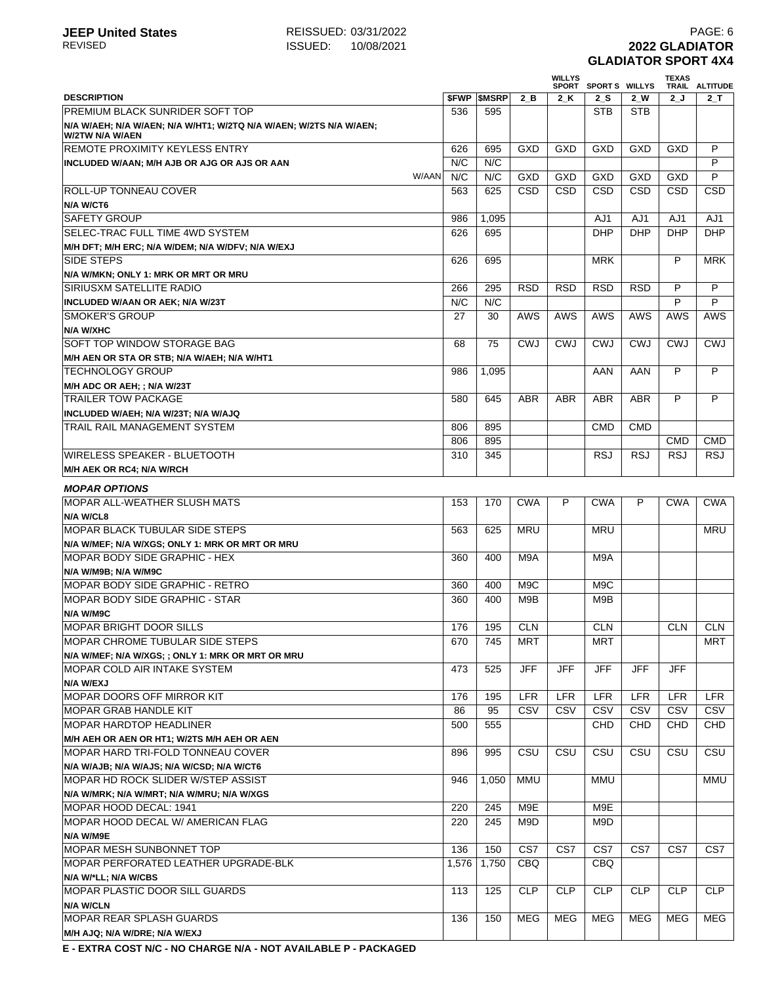## **JEEP United States** REISSUED: 03/31/2022<br>REVISED **REVISED PAGE: 6**<br>REVISED **2022 GLADIATOR REVIED:** 10/08/2021 **2022 GLADIATOR GLADIATOR SPORT 4X4**

|                                                                                       |             |         |            | <b>WILLYS</b> | SPORT SPORTS WILLYS |            | <b>TEXAS</b>             | TRAIL ALTITUDE |
|---------------------------------------------------------------------------------------|-------------|---------|------------|---------------|---------------------|------------|--------------------------|----------------|
| <b>DESCRIPTION</b>                                                                    | <b>SFWP</b> | \$MSRP  | 2 B        | 2K            | 2S                  | $2$ W      | 2J                       | $2$ _T         |
| <b>PREMIUM BLACK SUNRIDER SOFT TOP</b>                                                | 536         | 595     |            |               | <b>STB</b>          | <b>STB</b> |                          |                |
| N/A W/AEH; N/A W/AEN; N/A W/HT1; W/2TQ N/A W/AEN; W/2TS N/A W/AEN;<br>W/2TW N/A W/AEN |             |         |            |               |                     |            |                          |                |
| <b>REMOTE PROXIMITY KEYLESS ENTRY</b>                                                 | 626         | 695     | GXD        | GXD           | GXD                 | GXD        | <b>GXD</b>               | P              |
| INCLUDED W/AAN; M/H AJB OR AJG OR AJS OR AAN                                          | N/C         | N/C     |            |               |                     |            |                          | P              |
| W/AAN                                                                                 | N/C         | N/C     | GXD        | GXD           | GXD                 | GXD        | <b>GXD</b>               | P              |
| ROLL-UP TONNEAU COVER                                                                 | 563         | 625     | <b>CSD</b> | <b>CSD</b>    | CSD                 | CSD        | CSD                      | <b>CSD</b>     |
| N/A W/CT6                                                                             |             |         |            |               |                     |            |                          |                |
| <b>SAFETY GROUP</b>                                                                   | 986         | 1.095   |            |               | AJ1                 | AJ1        | AJ1                      | AJ1            |
| SELEC-TRAC FULL TIME 4WD SYSTEM                                                       | 626         | 695     |            |               | <b>DHP</b>          | <b>DHP</b> | <b>DHP</b>               | <b>DHP</b>     |
| M/H DFT; M/H ERC; N/A W/DEM; N/A W/DFV; N/A W/EXJ                                     |             |         |            |               |                     |            |                          |                |
| <b>SIDE STEPS</b>                                                                     | 626         | 695     |            |               | <b>MRK</b>          |            | P                        | <b>MRK</b>     |
| N/A W/MKN; ONLY 1: MRK OR MRT OR MRU                                                  |             |         |            |               |                     |            |                          |                |
| SIRIUSXM SATELLITE RADIO                                                              | 266         | 295     | <b>RSD</b> | <b>RSD</b>    | <b>RSD</b>          | <b>RSD</b> | P                        | P              |
| INCLUDED W/AAN OR AEK; N/A W/23T                                                      | N/C         | N/C     |            |               |                     |            | P                        | P              |
| <b>SMOKER'S GROUP</b>                                                                 | 27          | 30      | AWS        | <b>AWS</b>    | AWS                 | AWS        | AWS                      | AWS            |
| N/A W/XHC                                                                             |             |         |            |               |                     |            |                          |                |
| SOFT TOP WINDOW STORAGE BAG                                                           | 68          | 75      | <b>CWJ</b> | <b>CWJ</b>    | <b>CWJ</b>          | <b>CWJ</b> | <b>CWJ</b>               | <b>CWJ</b>     |
| M/H AEN OR STA OR STB; N/A W/AEH; N/A W/HT1                                           |             |         |            |               |                     |            |                          |                |
| <b>TECHNOLOGY GROUP</b>                                                               | 986         | 1,095   |            |               | AAN                 | AAN        | P                        | P              |
| M/H ADC OR AEH; ; N/A W/23T                                                           |             |         |            |               |                     |            |                          |                |
| <b>TRAILER TOW PACKAGE</b>                                                            | 580         | 645     | ABR        | <b>ABR</b>    | <b>ABR</b>          | <b>ABR</b> | P                        | P              |
| INCLUDED W/AEH; N/A W/23T; N/A W/AJQ                                                  |             |         |            |               |                     |            |                          |                |
| TRAIL RAIL MANAGEMENT SYSTEM                                                          | 806         | 895     |            |               | <b>CMD</b>          | <b>CMD</b> |                          |                |
|                                                                                       | 806         | 895     |            |               |                     |            | <b>CMD</b><br><b>RSJ</b> | <b>CMD</b>     |
| <b>WIRELESS SPEAKER - BLUETOOTH</b>                                                   | 310         | 345     |            |               | <b>RSJ</b>          | <b>RSJ</b> |                          | <b>RSJ</b>     |
| M/H AEK OR RC4; N/A W/RCH                                                             |             |         |            |               |                     |            |                          |                |
| <b>MOPAR OPTIONS</b>                                                                  |             |         |            |               |                     |            |                          |                |
| <b>IMOPAR ALL-WEATHER SLUSH MATS</b>                                                  | 153         | 170     | <b>CWA</b> | P             | <b>CWA</b>          | P          | <b>CWA</b>               | <b>CWA</b>     |
| N/A W/CL8                                                                             |             |         |            |               |                     |            |                          |                |
| <b>MOPAR BLACK TUBULAR SIDE STEPS</b>                                                 | 563         | 625     | <b>MRU</b> |               | <b>MRU</b>          |            |                          | MRU            |
| N/A W/MEF; N/A W/XGS; ONLY 1: MRK OR MRT OR MRU                                       |             |         |            |               |                     |            |                          |                |
| <b>MOPAR BODY SIDE GRAPHIC - HEX</b>                                                  | 360         | 400     | M9A        |               | M9A                 |            |                          |                |
| N/A W/M9B; N/A W/M9C                                                                  |             |         |            |               |                     |            |                          |                |
| <b>MOPAR BODY SIDE GRAPHIC - RETRO</b>                                                | 360         | 400     | M9C        |               | M9C                 |            |                          |                |
| <b>MOPAR BODY SIDE GRAPHIC - STAR</b>                                                 | 360         | 400     | M9B        |               | M9B                 |            |                          |                |
| N/A W/M9C                                                                             |             |         |            |               |                     |            |                          |                |
| <b>MOPAR BRIGHT DOOR SILLS</b>                                                        |             | 176 195 | <b>CLN</b> |               | CLN                 |            |                          | CLN CLN        |
| MOPAR CHROME TUBULAR SIDE STEPS                                                       | 670         | 745     | MRT        |               | MRT                 |            |                          | MRT            |
| N/A W/MEF; N/A W/XGS; ; ONLY 1: MRK OR MRT OR MRU<br>MOPAR COLD AIR INTAKE SYSTEM     | 473         | 525     | <b>JFF</b> | <b>JFF</b>    | <b>JFF</b>          | <b>JFF</b> | <b>JFF</b>               |                |
| N/A W/EXJ                                                                             |             |         |            |               |                     |            |                          |                |
| <b>MOPAR DOORS OFF MIRROR KIT</b>                                                     | 176         | 195     | LFR        | LFR           | LFR                 | <b>LFR</b> | LFR                      | <b>LFR</b>     |
| <b>MOPAR GRAB HANDLE KIT</b>                                                          | 86          | 95      | CSV        | CSV           | CSV                 | CSV        | CSV                      | CSV            |
| <b>MOPAR HARDTOP HEADLINER</b>                                                        | 500         | 555     |            |               | CHD                 | CHD        | CHD                      | CHD            |
| M/H AEH OR AEN OR HT1; W/2TS M/H AEH OR AEN                                           |             |         |            |               |                     |            |                          |                |
| MOPAR HARD TRI-FOLD TONNEAU COVER                                                     | 896         | 995     | CSU        | CSU           | CSU                 | CSU        | CSU                      | CSU            |
| N/A W/AJB; N/A W/AJS; N/A W/CSD; N/A W/CT6                                            |             |         |            |               |                     |            |                          |                |
| MOPAR HD ROCK SLIDER W/STEP ASSIST                                                    | 946         | 1,050   | <b>MMU</b> |               | MMU                 |            |                          | MMU            |
| N/A W/MRK; N/A W/MRT; N/A W/MRU; N/A W/XGS                                            |             |         |            |               |                     |            |                          |                |
| MOPAR HOOD DECAL: 1941                                                                | 220         | 245     | M9E        |               | M9E                 |            |                          |                |
| MOPAR HOOD DECAL W/ AMERICAN FLAG                                                     | 220         | 245     | M9D        |               | M9D                 |            |                          |                |
| N/A W/M9E                                                                             |             |         |            |               |                     |            |                          |                |
| <b>MOPAR MESH SUNBONNET TOP</b>                                                       | 136         | 150     | CS7        | CS7           | CS7                 | CS7        | CS7                      | CS7            |
| MOPAR PERFORATED LEATHER UPGRADE-BLK                                                  | 1,576       | 1,750   | <b>CBQ</b> |               | <b>CBQ</b>          |            |                          |                |
| N/A W/*LL; N/A W/CBS                                                                  |             |         |            |               |                     |            |                          |                |
| <b>MOPAR PLASTIC DOOR SILL GUARDS</b>                                                 | 113         | 125     | <b>CLP</b> | <b>CLP</b>    | <b>CLP</b>          | <b>CLP</b> | <b>CLP</b>               | <b>CLP</b>     |
| N/A W/CLN                                                                             |             |         |            |               |                     |            |                          |                |
| <b>MOPAR REAR SPLASH GUARDS</b>                                                       | 136         | 150     | MEG        | MEG           | MEG                 | MEG        | MEG                      | MEG            |
| M/H AJQ; N/A W/DRE; N/A W/EXJ                                                         |             |         |            |               |                     |            |                          |                |
|                                                                                       |             |         |            |               |                     |            |                          |                |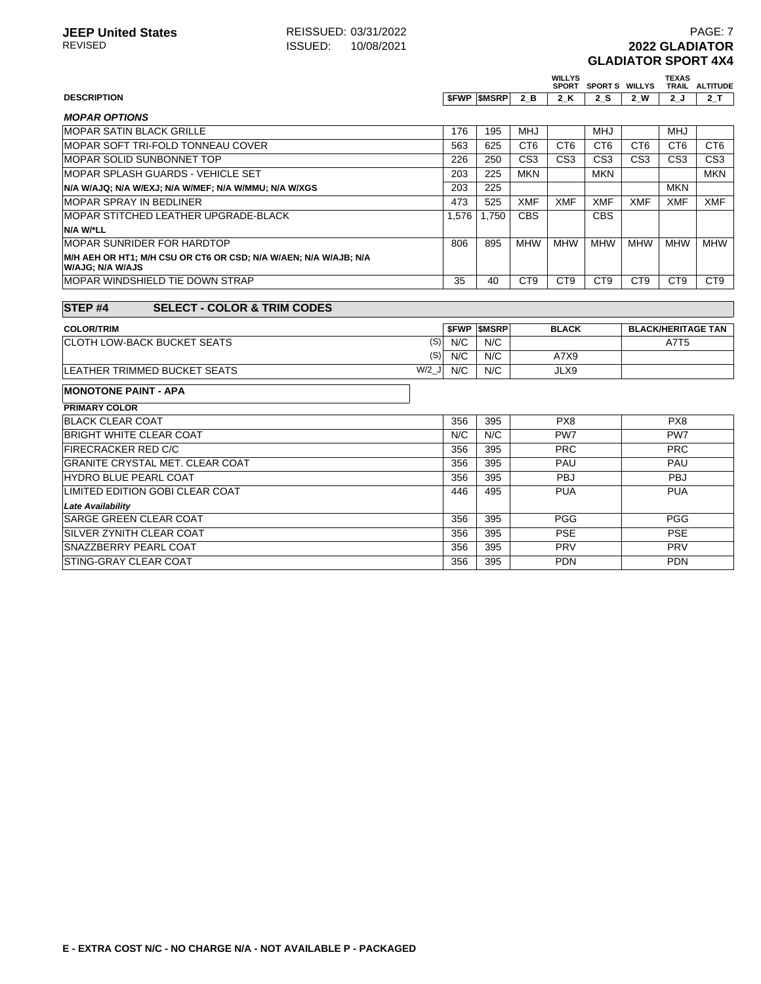## **JEEP United States** REISSUED: 03/31/2022<br>REVISED **REVISED PAGE: 7** ISSUED: 10/08/2021 **REVIED:** 10/08/2021 **2022 GLADIATOR GLADIATOR SPORT 4X4**

|                                                                                      |         |       |                   |                 | <b>WILLYS</b>   | SPORT SPORTS WILLYS |                 | <b>TEXAS</b>    | TRAIL ALTITUDE            |
|--------------------------------------------------------------------------------------|---------|-------|-------------------|-----------------|-----------------|---------------------|-----------------|-----------------|---------------------------|
| <b>DESCRIPTION</b>                                                                   |         |       | <b>SFWP SMSRP</b> | 2 B             | 2K              | 2 S                 | 2 W             | 2J              | 2 T                       |
| <b>MOPAR OPTIONS</b>                                                                 |         |       |                   |                 |                 |                     |                 |                 |                           |
| <b>MOPAR SATIN BLACK GRILLE</b>                                                      |         | 176   | 195               | <b>MHJ</b>      |                 | <b>MHJ</b>          |                 | <b>MHJ</b>      |                           |
| MOPAR SOFT TRI-FOLD TONNEAU COVER                                                    |         | 563   | 625               | CT <sub>6</sub> | CT <sub>6</sub> | CT <sub>6</sub>     | CT <sub>6</sub> | CT <sub>6</sub> | CT <sub>6</sub>           |
| MOPAR SOLID SUNBONNET TOP                                                            |         | 226   | 250               | CS <sub>3</sub> | CS <sub>3</sub> | CS <sub>3</sub>     | CS <sub>3</sub> | CS <sub>3</sub> | CS <sub>3</sub>           |
| MOPAR SPLASH GUARDS - VEHICLE SET                                                    |         | 203   | 225               | <b>MKN</b>      |                 | <b>MKN</b>          |                 |                 | <b>MKN</b>                |
| N/A W/AJQ; N/A W/EXJ; N/A W/MEF; N/A W/MMU; N/A W/XGS                                |         | 203   | 225               |                 |                 |                     |                 | <b>MKN</b>      |                           |
| <b>MOPAR SPRAY IN BEDLINER</b>                                                       |         | 473   | 525               | <b>XMF</b>      | <b>XMF</b>      | <b>XMF</b>          | <b>XMF</b>      | <b>XMF</b>      | <b>XMF</b>                |
| MOPAR STITCHED LEATHER UPGRADE-BLACK                                                 |         | 1,576 | 1,750             | <b>CBS</b>      |                 | <b>CBS</b>          |                 |                 |                           |
| N/A W/*LL                                                                            |         |       |                   |                 |                 |                     |                 |                 |                           |
| <b>MOPAR SUNRIDER FOR HARDTOP</b>                                                    |         | 806   | 895               | <b>MHW</b>      | <b>MHW</b>      | <b>MHW</b>          | <b>MHW</b>      | <b>MHW</b>      | <b>MHW</b>                |
| M/H AEH OR HT1; M/H CSU OR CT6 OR CSD; N/A W/AEN; N/A W/AJB; N/A<br>W/AJG: N/A W/AJS |         |       |                   |                 |                 |                     |                 |                 |                           |
| <b>MOPAR WINDSHIELD TIE DOWN STRAP</b>                                               |         | 35    | 40                | CT <sub>9</sub> | CT <sub>9</sub> | C <sub>T9</sub>     | CT <sub>9</sub> | CT <sub>9</sub> | CT <sub>9</sub>           |
|                                                                                      |         |       |                   |                 |                 |                     |                 |                 |                           |
| <b>STEP#4</b><br><b>SELECT - COLOR &amp; TRIM CODES</b>                              |         |       |                   |                 |                 |                     |                 |                 |                           |
| <b>COLOR/TRIM</b>                                                                    |         |       | <b>SFWP SMSRP</b> |                 | <b>BLACK</b>    |                     |                 |                 | <b>BLACK/HERITAGE TAN</b> |
| <b>CLOTH LOW-BACK BUCKET SEATS</b>                                                   | (S)     | N/C   | N/C               |                 |                 |                     |                 | A7T5            |                           |
|                                                                                      | (S)     | N/C   | N/C               |                 | A7X9            |                     |                 |                 |                           |
| <b>LEATHER TRIMMED BUCKET SEATS</b>                                                  | $W/2$ J | N/C   | N/C               |                 | JLX9            |                     |                 |                 |                           |
| <b>MONOTONE PAINT - APA</b>                                                          |         |       |                   |                 |                 |                     |                 |                 |                           |
| <b>PRIMARY COLOR</b>                                                                 |         |       |                   |                 |                 |                     |                 |                 |                           |
| <b>BLACK CLEAR COAT</b>                                                              |         | 356   | 395               |                 | PX8             |                     |                 | PX8             |                           |
| <b>BRIGHT WHITE CLEAR COAT</b>                                                       |         | N/C   | N/C               |                 | PW7             |                     |                 | PW7             |                           |
| <b>FIRECRACKER RED C/C</b>                                                           |         | 356   | 395               |                 | <b>PRC</b>      |                     |                 | <b>PRC</b>      |                           |
| <b>GRANITE CRYSTAL MET. CLEAR COAT</b>                                               |         | 356   | 395               |                 | PAU             |                     |                 | PAU             |                           |
| <b>HYDRO BLUE PEARL COAT</b>                                                         |         | 356   | 395               |                 | <b>PBJ</b>      |                     |                 | <b>PBJ</b>      |                           |
| LIMITED EDITION GOBI CLEAR COAT                                                      |         | 446   | 495               |                 | <b>PUA</b>      |                     |                 | <b>PUA</b>      |                           |
| <b>Late Availability</b>                                                             |         |       |                   |                 |                 |                     |                 |                 |                           |
| SARGE GREEN CLEAR COAT                                                               |         | 356   | 395               |                 | PGG             |                     |                 | <b>PGG</b>      |                           |
| SILVER ZYNITH CLEAR COAT                                                             |         | 356   | 395               |                 | <b>PSE</b>      |                     |                 | <b>PSE</b>      |                           |
| SNAZZBERRY PEARL COAT                                                                |         | 356   | 395               |                 | PRV             |                     |                 | PRV             |                           |
| STING-GRAY CLEAR COAT                                                                |         | 356   | 395               |                 | <b>PDN</b>      |                     |                 | <b>PDN</b>      |                           |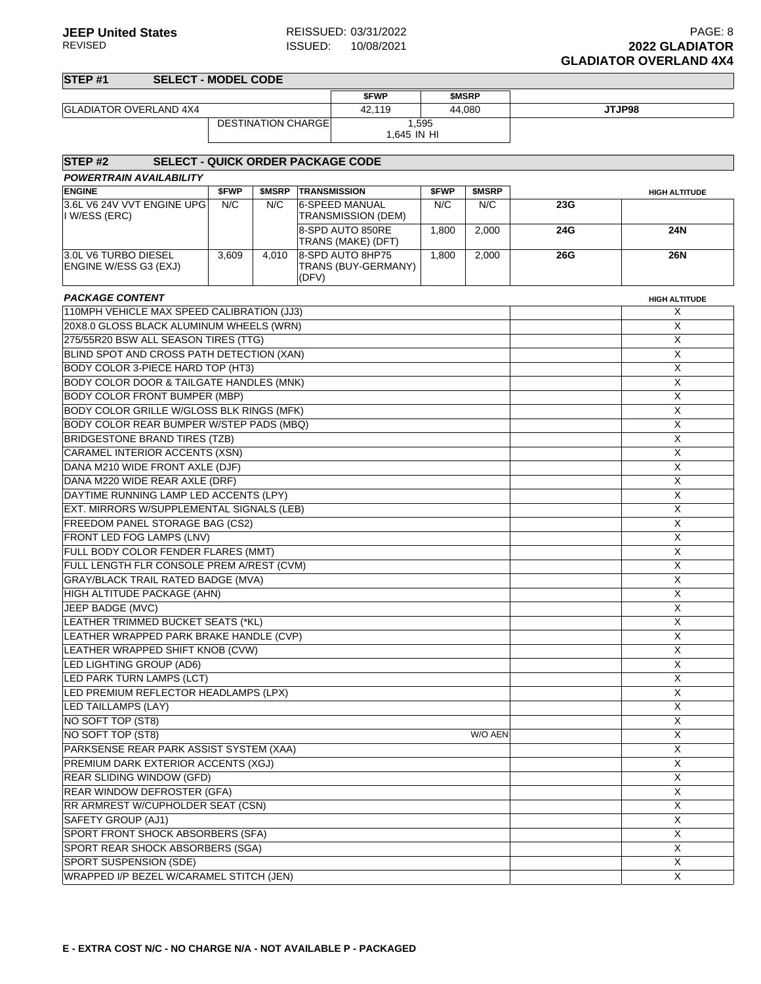| STEP <sub>#1</sub><br><b>SELECT - MODEL CODE</b>               |       |                           |       |                                        |       |                    |     |                      |  |  |
|----------------------------------------------------------------|-------|---------------------------|-------|----------------------------------------|-------|--------------------|-----|----------------------|--|--|
|                                                                |       |                           |       | \$FWP                                  |       | \$MSRP             |     |                      |  |  |
| <b>GLADIATOR OVERLAND 4X4</b>                                  |       |                           |       | 42,119                                 |       | 44,080             |     | JTJP98               |  |  |
|                                                                |       | <b>DESTINATION CHARGE</b> |       | 1,595<br>1,645 IN HI                   |       |                    |     |                      |  |  |
|                                                                |       |                           |       |                                        |       |                    |     |                      |  |  |
| STEP <sub>#2</sub><br><b>SELECT - QUICK ORDER PACKAGE CODE</b> |       |                           |       |                                        |       |                    |     |                      |  |  |
| <b>POWERTRAIN AVAILABILITY</b>                                 |       |                           |       |                                        |       |                    |     |                      |  |  |
| <b>ENGINE</b>                                                  | \$FWP | <b>\$MSRP</b>             |       | <b>TRANSMISSION</b>                    | \$FWP | \$MSRP             |     | <b>HIGH ALTITUDE</b> |  |  |
| 3.6L V6 24V VVT ENGINE UPG<br>I W/ESS (ERC)                    | N/C   | N/C                       |       | 6-SPEED MANUAL<br>TRANSMISSION (DEM)   | N/C   | N/C                | 23G |                      |  |  |
|                                                                |       |                           |       | 8-SPD AUTO 850RE<br>TRANS (MAKE) (DFT) | 1,800 | 2,000              | 24G | 24N                  |  |  |
| 3.0L V6 TURBO DIESEL                                           | 3,609 | 4,010                     |       | 8-SPD AUTO 8HP75                       | 1,800 | $\overline{2,000}$ | 26G | 26N                  |  |  |
| ENGINE W/ESS G3 (EXJ)                                          |       |                           | (DFV) | TRANS (BUY-GERMANY)                    |       |                    |     |                      |  |  |
| <b>PACKAGE CONTENT</b><br><b>HIGH ALTITUDE</b>                 |       |                           |       |                                        |       |                    |     |                      |  |  |
| 110MPH VEHICLE MAX SPEED CALIBRATION (JJ3)                     |       |                           |       |                                        |       |                    |     | Χ                    |  |  |
| 20X8.0 GLOSS BLACK ALUMINUM WHEELS (WRN)                       |       |                           |       |                                        |       |                    |     | X                    |  |  |
| 275/55R20 BSW ALL SEASON TIRES (TTG)                           |       |                           |       |                                        |       |                    |     | X                    |  |  |
| BLIND SPOT AND CROSS PATH DETECTION (XAN)                      |       |                           |       |                                        |       |                    |     | X                    |  |  |
| BODY COLOR 3-PIECE HARD TOP (HT3)                              |       |                           |       |                                        |       |                    |     | X                    |  |  |
| <b>BODY COLOR DOOR &amp; TAILGATE HANDLES (MNK)</b>            |       |                           |       |                                        |       |                    |     | X                    |  |  |
| <b>BODY COLOR FRONT BUMPER (MBP)</b>                           |       |                           |       |                                        |       |                    |     | X                    |  |  |
| BODY COLOR GRILLE W/GLOSS BLK RINGS (MFK)                      |       |                           |       |                                        |       |                    |     | X                    |  |  |
| <b>BODY COLOR REAR BUMPER W/STEP PADS (MBQ)</b>                |       |                           |       |                                        |       |                    |     | X                    |  |  |
| <b>BRIDGESTONE BRAND TIRES (TZB)</b>                           |       |                           |       |                                        |       |                    |     | X                    |  |  |
| CARAMEL INTERIOR ACCENTS (XSN)                                 |       |                           |       |                                        |       |                    |     | X                    |  |  |
| DANA M210 WIDE FRONT AXLE (DJF)                                |       |                           |       |                                        |       |                    |     | X                    |  |  |
| DANA M220 WIDE REAR AXLE (DRF)                                 |       |                           |       |                                        |       |                    |     | X                    |  |  |
| DAYTIME RUNNING LAMP LED ACCENTS (LPY)                         |       |                           |       |                                        |       |                    |     | X                    |  |  |
| EXT. MIRRORS W/SUPPLEMENTAL SIGNALS (LEB)                      |       |                           |       |                                        |       |                    | X   |                      |  |  |
| FREEDOM PANEL STORAGE BAG (CS2)                                |       |                           |       |                                        |       |                    |     | X                    |  |  |
| <b>FRONT LED FOG LAMPS (LNV)</b>                               |       |                           |       |                                        |       |                    |     | X                    |  |  |
| FULL BODY COLOR FENDER FLARES (MMT)                            |       |                           |       |                                        |       |                    |     | X                    |  |  |
| FULL LENGTH FLR CONSOLE PREM A/REST (CVM)                      |       |                           |       |                                        |       |                    |     | X                    |  |  |
| GRAY/BLACK TRAIL RATED BADGE (MVA)                             |       |                           |       |                                        |       |                    |     | X                    |  |  |
| HIGH ALTITUDE PACKAGE (AHN)                                    |       |                           |       |                                        |       |                    |     | X                    |  |  |
| JEEP BADGE (MVC)                                               |       |                           |       |                                        |       |                    |     | X                    |  |  |
| LEATHER TRIMMED BUCKET SEATS (*KL)                             |       |                           |       |                                        |       |                    |     | X                    |  |  |
| LEATHER WRAPPED PARK BRAKE HANDLE (CVP)                        |       |                           |       |                                        |       |                    |     | X                    |  |  |
| LEATHER WRAPPED SHIFT KNOB (CVW)                               |       |                           |       |                                        |       |                    |     | Χ                    |  |  |
| LED LIGHTING GROUP (AD6)                                       |       |                           |       |                                        |       |                    |     | X                    |  |  |
| LED PARK TURN LAMPS (LCT)                                      |       |                           |       |                                        |       |                    |     | X                    |  |  |
| LED PREMIUM REFLECTOR HEADLAMPS (LPX)                          |       |                           |       |                                        |       |                    |     | X                    |  |  |
| LED TAILLAMPS (LAY)                                            |       |                           |       |                                        |       |                    |     | X                    |  |  |
| NO SOFT TOP (ST8)                                              |       |                           |       |                                        |       |                    |     | Χ                    |  |  |
| NO SOFT TOP (ST8)                                              |       |                           |       |                                        |       | W/O AEN            |     | X                    |  |  |
| PARKSENSE REAR PARK ASSIST SYSTEM (XAA)                        |       |                           |       |                                        |       |                    |     | Χ                    |  |  |
| PREMIUM DARK EXTERIOR ACCENTS (XGJ)                            |       |                           |       |                                        |       |                    |     | Χ                    |  |  |
| <b>REAR SLIDING WINDOW (GFD)</b>                               |       |                           |       |                                        |       |                    |     | X                    |  |  |
| REAR WINDOW DEFROSTER (GFA)                                    |       |                           |       |                                        |       |                    |     | X                    |  |  |
| RR ARMREST W/CUPHOLDER SEAT (CSN)                              |       |                           |       |                                        |       |                    |     | X                    |  |  |
| SAFETY GROUP (AJ1)                                             |       |                           |       |                                        |       |                    |     | X                    |  |  |
| SPORT FRONT SHOCK ABSORBERS (SFA)                              |       |                           |       |                                        |       |                    |     | X                    |  |  |
| SPORT REAR SHOCK ABSORBERS (SGA)                               |       |                           |       |                                        |       |                    |     | Χ                    |  |  |
| SPORT SUSPENSION (SDE)                                         |       |                           |       |                                        |       |                    |     | Χ                    |  |  |
| WRAPPED I/P BEZEL W/CARAMEL STITCH (JEN)                       |       |                           |       |                                        |       |                    |     | X                    |  |  |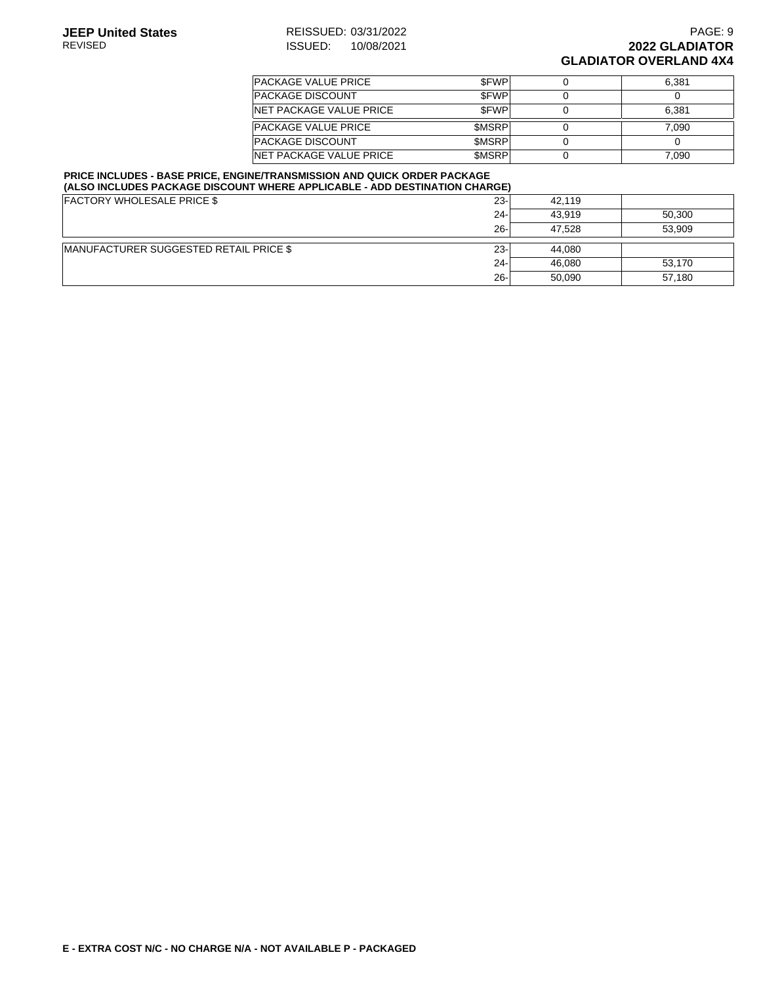| <b>PACKAGE VALUE PRICE</b>      | <b>SFWP</b>  | 6.381 |
|---------------------------------|--------------|-------|
| <b>PACKAGE DISCOUNT</b>         | <b>SFWP</b>  |       |
| <b>INET PACKAGE VALUE PRICE</b> | <b>SFWP</b>  | 6.381 |
| <b>PACKAGE VALUE PRICE</b>      | <b>SMSRP</b> | 7.090 |
| <b>PACKAGE DISCOUNT</b>         | <b>SMSRP</b> |       |
| <b>INET PACKAGE VALUE PRICE</b> | <b>SMSRP</b> | 7.090 |

#### **PRICE INCLUDES - BASE PRICE, ENGINE/TRANSMISSION AND QUICK ORDER PACKAGE (ALSO INCLUDES PACKAGE DISCOUNT WHERE APPLICABLE - ADD DESTINATION CHARGE)**

| <b>FACTORY WHOLESALE PRICE \$</b>      | $23 -$ | 42.119 |        |  |
|----------------------------------------|--------|--------|--------|--|
|                                        | $24 -$ | 43.919 | 50,300 |  |
|                                        | $26 -$ | 47.528 | 53.909 |  |
| MANUFACTURER SUGGESTED RETAIL PRICE \$ | $23 -$ | 44.080 |        |  |
|                                        | $24 -$ | 46,080 | 53,170 |  |
|                                        | $26 -$ | 50.090 | 57,180 |  |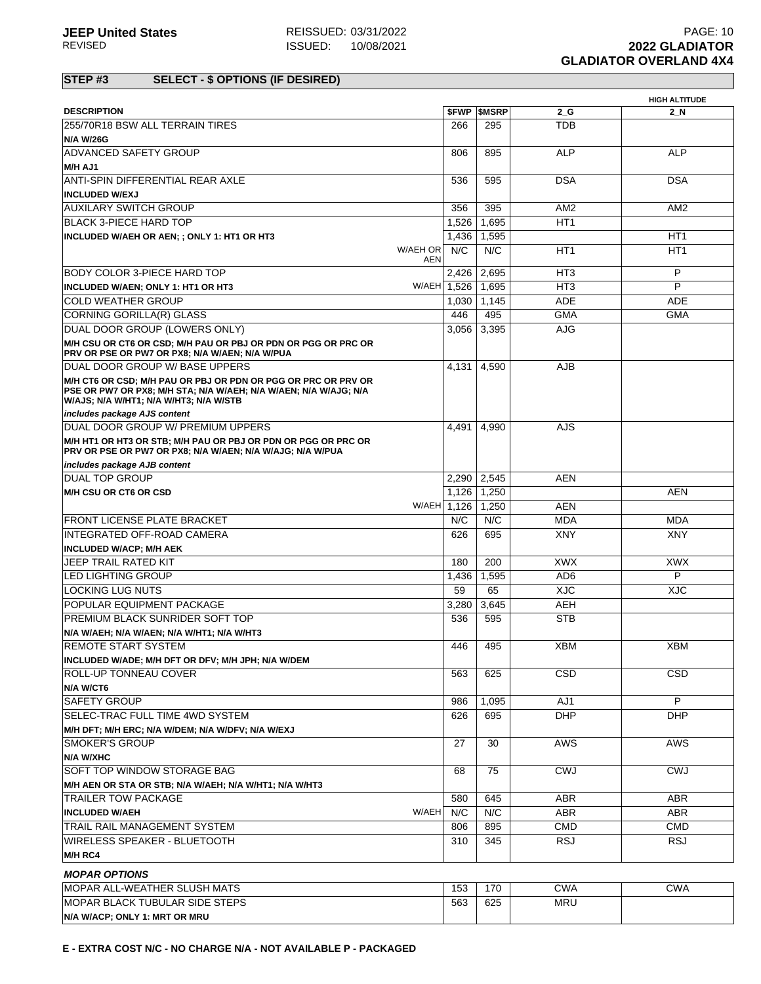# **STEP #3 SELECT - \$ OPTIONS (IF DESIRED)**

|                                                                  |              |                          |                 | <b>HIGH ALTITUDE</b> |
|------------------------------------------------------------------|--------------|--------------------------|-----------------|----------------------|
| <b>DESCRIPTION</b>                                               |              | <b><i>SFWP SMSRP</i></b> | $2_G$           | 2_N                  |
| 255/70R18 BSW ALL TERRAIN TIRES                                  | 266          | 295                      | <b>TDB</b>      |                      |
| <b>N/A W/26G</b>                                                 |              |                          |                 |                      |
| <b>ADVANCED SAFETY GROUP</b>                                     | 806          | 895                      | <b>ALP</b>      | <b>ALP</b>           |
| M/H AJ1                                                          |              |                          |                 |                      |
| ANTI-SPIN DIFFERENTIAL REAR AXLE                                 | 536          | 595                      | <b>DSA</b>      | <b>DSA</b>           |
| <b>INCLUDED W/EXJ</b>                                            |              |                          |                 |                      |
| <b>AUXILARY SWITCH GROUP</b>                                     | 356          | 395                      | AM <sub>2</sub> | AM <sub>2</sub>      |
| <b>BLACK 3-PIECE HARD TOP</b>                                    | 1,526        | 1,695                    | HT <sub>1</sub> |                      |
| INCLUDED W/AEH OR AEN; ; ONLY 1: HT1 OR HT3                      | 1,436        | 1,595                    |                 | HT <sub>1</sub>      |
| W/AEH OR                                                         | N/C          | N/C                      | HT <sub>1</sub> | HT1                  |
|                                                                  | <b>AEN</b>   |                          |                 |                      |
| BODY COLOR 3-PIECE HARD TOP                                      | 2,426        | 2.695                    | HT <sub>3</sub> | P                    |
| INCLUDED W/AEN; ONLY 1: HT1 OR HT3                               | W/AEH 1.526  | 1.695                    | HT <sub>3</sub> | P                    |
| <b>COLD WEATHER GROUP</b>                                        | 1,030        | 1,145                    | <b>ADE</b>      | ADE                  |
| CORNING GORILLA(R) GLASS                                         | 446          | 495                      | <b>GMA</b>      | <b>GMA</b>           |
| DUAL DOOR GROUP (LOWERS ONLY)                                    | 3,056        | 3,395                    | <b>AJG</b>      |                      |
| M/H CSU OR CT6 OR CSD; M/H PAU OR PBJ OR PDN OR PGG OR PRC OR    |              |                          |                 |                      |
| PRV OR PSE OR PW7 OR PX8; N/A W/AEN; N/A W/PUA                   |              |                          |                 |                      |
| DUAL DOOR GROUP W/ BASE UPPERS                                   | 4,131        | 4,590                    | <b>AJB</b>      |                      |
| M/H CT6 OR CSD; M/H PAU OR PBJ OR PDN OR PGG OR PRC OR PRV OR    |              |                          |                 |                      |
| PSE OR PW7 OR PX8; M/H STA; N/A W/AEH; N/A W/AEN; N/A W/AJG; N/A |              |                          |                 |                      |
| W/AJS; N/A W/HT1; N/A W/HT3; N/A W/STB                           |              |                          |                 |                      |
| includes package AJS content                                     |              |                          |                 |                      |
| <b>DUAL DOOR GROUP W/ PREMIUM UPPERS</b>                         | 4,491        | 4,990                    | AJS             |                      |
| M/H HT1 OR HT3 OR STB; M/H PAU OR PBJ OR PDN OR PGG OR PRC OR    |              |                          |                 |                      |
| PRV OR PSE OR PW7 OR PX8; N/A W/AEN; N/A W/AJG; N/A W/PUA        |              |                          |                 |                      |
| includes package AJB content                                     |              |                          |                 |                      |
| <b>DUAL TOP GROUP</b>                                            | 2.290        | 2,545                    | <b>AEN</b>      |                      |
| M/H CSU OR CT6 OR CSD                                            | 1,126        | 1,250                    |                 | <b>AEN</b>           |
|                                                                  | W/AEH 1,126  | 1.250                    | AEN             |                      |
| <b>FRONT LICENSE PLATE BRACKET</b>                               | N/C          | N/C                      | <b>MDA</b>      | MDA                  |
| INTEGRATED OFF-ROAD CAMERA                                       | 626          | 695                      | <b>XNY</b>      | <b>XNY</b>           |
| <b>INCLUDED W/ACP; M/H AEK</b>                                   |              |                          |                 |                      |
| JEEP TRAIL RATED KIT                                             | 180          | 200                      | <b>XWX</b>      | <b>XWX</b>           |
| <b>LED LIGHTING GROUP</b>                                        | 1,436        | 1,595                    | AD <sub>6</sub> | P                    |
| <b>LOCKING LUG NUTS</b>                                          | 59           | 65                       | <b>XJC</b>      | <b>XJC</b>           |
| POPULAR EQUIPMENT PACKAGE                                        | 3,280        | 3.645                    | <b>AEH</b>      |                      |
| <b>PREMIUM BLACK SUNRIDER SOFT TOP</b>                           | 536          | 595                      | <b>STB</b>      |                      |
| N/A W/AEH; N/A W/AEN; N/A W/HT1; N/A W/HT3                       |              |                          |                 |                      |
| <b>REMOTE START SYSTEM</b>                                       | 446          | 495                      | <b>XBM</b>      | <b>XBM</b>           |
| INCLUDED W/ADE; M/H DFT OR DFV; M/H JPH; N/A W/DEM               |              |                          |                 |                      |
| <b>ROLL-UP TONNEAU COVER</b>                                     | 563          | 625                      | <b>CSD</b>      | <b>CSD</b>           |
| N/A W/CT6                                                        |              |                          |                 |                      |
| <b>SAFETY GROUP</b>                                              | 986          | 1,095                    | AJ1             | P                    |
|                                                                  |              |                          |                 |                      |
| SELEC-TRAC FULL TIME 4WD SYSTEM                                  | 626          | 695                      | <b>DHP</b>      | <b>DHP</b>           |
| M/H DFT; M/H ERC; N/A W/DEM; N/A W/DFV; N/A W/EXJ                |              |                          |                 |                      |
| <b>SMOKER'S GROUP</b>                                            | 27           | 30                       | <b>AWS</b>      | AWS                  |
| <b>N/A W/XHC</b>                                                 |              |                          |                 |                      |
| <b>SOFT TOP WINDOW STORAGE BAG</b>                               | 68           | 75                       | <b>CWJ</b>      | <b>CWJ</b>           |
| M/H AEN OR STA OR STB; N/A W/AEH; N/A W/HT1; N/A W/HT3           |              |                          |                 |                      |
| <b>TRAILER TOW PACKAGE</b>                                       | 580          | 645                      | ABR.            | ABR                  |
| <b>INCLUDED W/AEH</b>                                            | W/AEH<br>N/C | N/C                      | ABR             | ABR                  |
| TRAIL RAIL MANAGEMENT SYSTEM                                     | 806          | 895                      | <b>CMD</b>      | <b>CMD</b>           |
| <b>WIRELESS SPEAKER - BLUETOOTH</b>                              | 310          | 345                      | <b>RSJ</b>      | <b>RSJ</b>           |
| M/H RC4                                                          |              |                          |                 |                      |
|                                                                  |              |                          |                 |                      |
| <b>MOPAR OPTIONS</b>                                             |              |                          |                 |                      |
| MOPAR ALL-WEATHER SLUSH MATS                                     | 153          | 170                      | <b>CWA</b>      | <b>CWA</b>           |
| MOPAR BLACK TUBULAR SIDE STEPS                                   | 563          | 625                      | <b>MRU</b>      |                      |
| N/A W/ACP; ONLY 1: MRT OR MRU                                    |              |                          |                 |                      |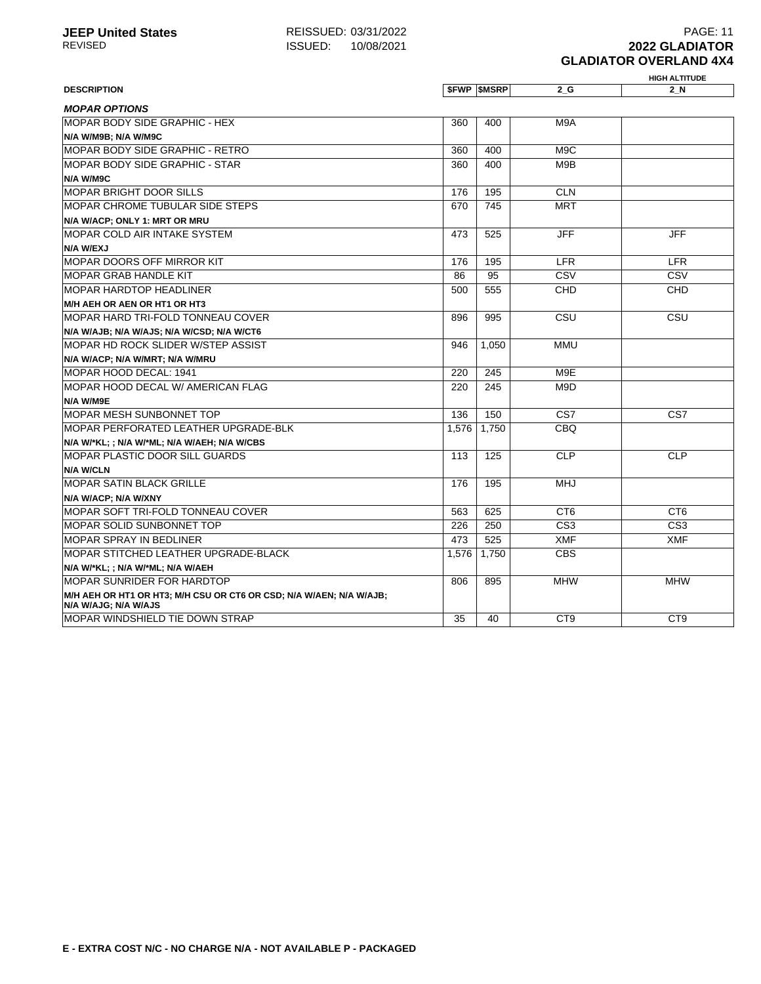#### **HIGH ALTITUDE EXCRIPTION \$FWP \$MSRP 2\_G 2\_N MOPAR OPTIONS** MOPAR BODY SIDE GRAPHIC - HEX **N/A W/M9B; N/A W/M9C** 360 400 M9A MOPAR BODY SIDE GRAPHIC - RETRO 360 400 M9C MOPAR BODY SIDE GRAPHIC - STAR **N/A W/M9C** 360 400 M9B MOPAR BRIGHT DOOR SILLS 176 195 CLN MOPAR CHROME TUBULAR SIDE STEPS **N/A W/ACP; ONLY 1: MRT OR MRU** 670 745 MRT MOPAR COLD AIR INTAKE SYSTEM **N/A W/EXJ** 473 525 JFF JFF MOPAR DOORS OFF MIRROR KIT THE LEGAL CONSERVATION OF THE LEGAL CONSERVATION OF THE LEGAL CONSERVATION OF THE LEG MOPAR GRAB HANDLE KIT 86 95 CSV CSV MOPAR HARDTOP HEADLINER **M/H AEH OR AEN OR HT1 OR HT3** 500 555 CHD CHD MOPAR HARD TRI-FOLD TONNEAU COVER **N/A W/AJB; N/A W/AJS; N/A W/CSD; N/A W/CT6** 896 995 CSU CSU MOPAR HD ROCK SLIDER W/STEP ASSIST **N/A W/ACP; N/A W/MRT; N/A W/MRU** 946 1,050 MMU MOPAR HOOD DECAL: 1941 220 245 M9E MOPAR HOOD DECAL W/ AMERICAN FLAG **N/A W/M9E** 220 245 M9D MOPAR MESH SUNBONNET TOP 136 | 136 | 136 CS7 | CS7 MOPAR PERFORATED LEATHER UPGRADE-BLK **N/A W/\*KL; ; N/A W/\*ML; N/A W/AEH; N/A W/CBS** 1,576 1,750 CBQ MOPAR PLASTIC DOOR SILL GUARDS **N/A W/CLN** 113 125 CLP CLP MOPAR SATIN BLACK GRILLE **N/A W/ACP; N/A W/XNY** 176 195 MHJ MOPAR SOFT TRI-FOLD TONNEAU COVER SOFT TRI-FOLD TONNEAU COVER MOPAR SOLID SUNBONNET TOP 226 250 CS3 CS3 CS3 MOPAR SPRAY IN BEDLINER AT 3 525 XMF XMF XMF MOPAR STITCHED LEATHER UPGRADE-BLACK **N/A W/\*KL; ; N/A W/\*ML; N/A W/AEH** 1,576 1,750 CBS MOPAR SUNRIDER FOR HARDTOP **M/H AEH OR HT1 OR HT3; M/H CSU OR CT6 OR CSD; N/A W/AEN; N/A W/AJB; N/A W/AJG; N/A W/AJS** 806 895 MHW MHW MOPAR WINDSHIELD TIE DOWN STRAP 35 40 CT9 CT9 CT9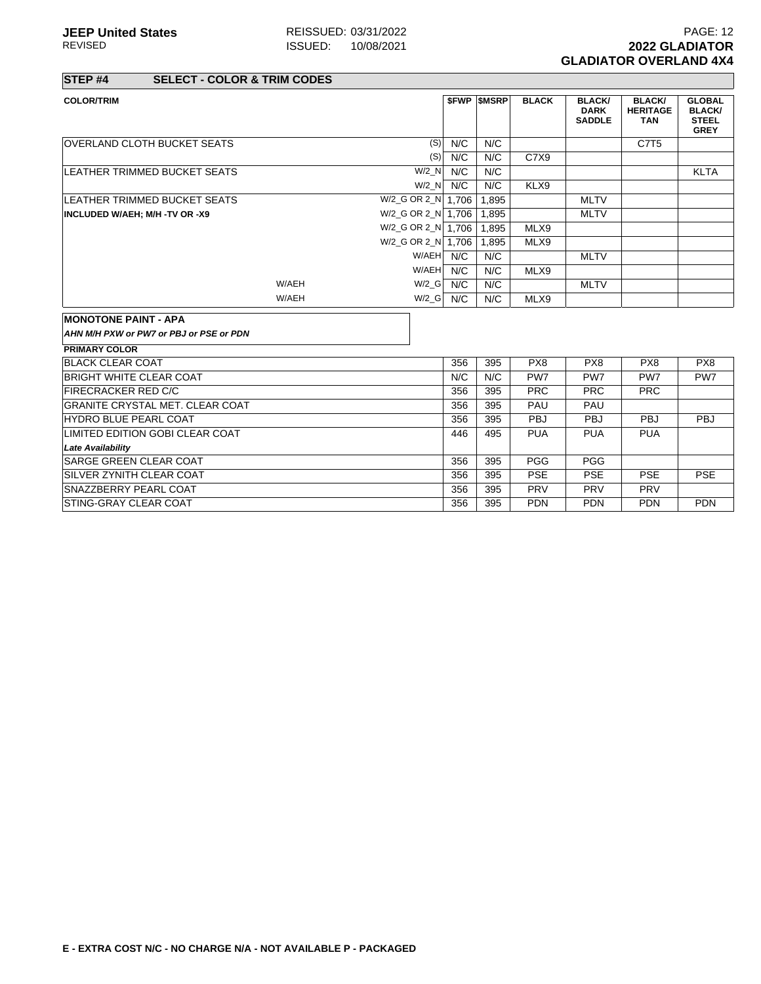**STEP #4 SELECT - COLOR & TRIM CODES**

| <b>COLOR/TRIM</b>                       |       |                      |     | <b>SFWP SMSRP</b> | <b>BLACK</b> | <b>BLACK/</b><br><b>DARK</b><br><b>SADDLE</b> | <b>BLACK/</b><br><b>HERITAGE</b><br><b>TAN</b> | <b>GLOBAL</b><br><b>BLACK/</b><br><b>STEEL</b><br><b>GREY</b> |
|-----------------------------------------|-------|----------------------|-----|-------------------|--------------|-----------------------------------------------|------------------------------------------------|---------------------------------------------------------------|
| <b>OVERLAND CLOTH BUCKET SEATS</b>      |       | (S)                  | N/C | N/C               |              |                                               | C7T <sub>5</sub>                               |                                                               |
|                                         |       | (S)                  | N/C | N/C               | C7X9         |                                               |                                                |                                                               |
| <b>LEATHER TRIMMED BUCKET SEATS</b>     |       | W/2 N                | N/C | N/C               |              |                                               |                                                | <b>KLTA</b>                                                   |
|                                         |       | $W/2$ N              | N/C | N/C               | KLX9         |                                               |                                                |                                                               |
| LEATHER TRIMMED BUCKET SEATS            |       | W/2_G OR 2_N   1,706 |     | 1.895             |              | <b>MLTV</b>                                   |                                                |                                                               |
| INCLUDED W/AEH; M/H -TV OR -X9          |       | W/2_G OR 2_N 1,706   |     | 1.895             |              | <b>MLTV</b>                                   |                                                |                                                               |
|                                         |       | W/2_G OR 2_N   1,706 |     | 1.895             | MLX9         |                                               |                                                |                                                               |
|                                         |       | W/2_G OR 2_N   1,706 |     | 1.895             | MLX9         |                                               |                                                |                                                               |
|                                         |       | W/AEH                | N/C | N/C               |              | <b>MLTV</b>                                   |                                                |                                                               |
|                                         |       | W/AEH                | N/C | N/C               | MLX9         |                                               |                                                |                                                               |
|                                         | W/AEH | W/2 G                | N/C | N/C               |              | <b>MLTV</b>                                   |                                                |                                                               |
|                                         | W/AEH | $W/2_G$              | N/C | N/C               | MLX9         |                                               |                                                |                                                               |
|                                         |       |                      |     |                   |              |                                               |                                                |                                                               |
| <b>MONOTONE PAINT - APA</b>             |       |                      |     |                   |              |                                               |                                                |                                                               |
| AHN M/H PXW or PW7 or PBJ or PSE or PDN |       |                      |     |                   |              |                                               |                                                |                                                               |
| <b>PRIMARY COLOR</b>                    |       |                      |     |                   |              |                                               |                                                |                                                               |
| <b>BLACK CLEAR COAT</b>                 |       |                      | 356 | 395               | PX8          | PX <sub>8</sub>                               | PX8                                            | PX8                                                           |
| BRIGHT WHITE CLEAR COAT                 |       |                      | N/C | N/C               | PW7          | PW7                                           | PW7                                            | PW7                                                           |
| <b>FIRECRACKER RED C/C</b>              |       |                      | 356 | 395               | <b>PRC</b>   | <b>PRC</b>                                    | <b>PRC</b>                                     |                                                               |
| GRANITE CRYSTAL MET. CLEAR COAT         |       |                      | 356 | 395               | PAU          | PAU                                           |                                                |                                                               |
| HYDRO BLUE PEARL COAT                   |       |                      | 356 | 395               | <b>PBJ</b>   | <b>PBJ</b>                                    | <b>PBJ</b>                                     | <b>PBJ</b>                                                    |
| LIMITED EDITION GOBI CLEAR COAT         |       |                      | 446 | 495               | <b>PUA</b>   | <b>PUA</b>                                    | <b>PUA</b>                                     |                                                               |
| <b>Late Availability</b>                |       |                      |     |                   |              |                                               |                                                |                                                               |
| <b>SARGE GREEN CLEAR COAT</b>           |       |                      | 356 | 395               | <b>PGG</b>   | <b>PGG</b>                                    |                                                |                                                               |
| <b>SILVER ZYNITH CLEAR COAT</b>         |       |                      | 356 | 395               | <b>PSE</b>   | <b>PSE</b>                                    | <b>PSE</b>                                     | <b>PSE</b>                                                    |
| <b>SNAZZBERRY PEARL COAT</b>            |       |                      | 356 | 395               | <b>PRV</b>   | <b>PRV</b>                                    | <b>PRV</b>                                     |                                                               |
| STING-GRAY CLEAR COAT                   |       |                      | 356 | 395               | <b>PDN</b>   | <b>PDN</b>                                    | <b>PDN</b>                                     | <b>PDN</b>                                                    |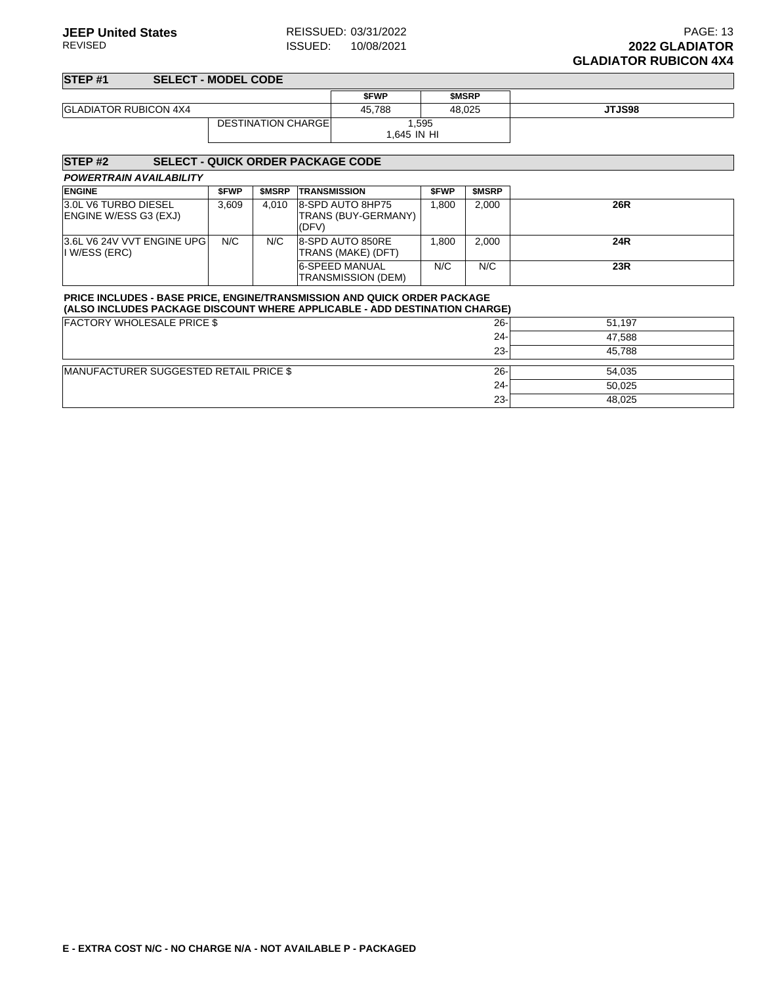## **STEP #1 SELECT - MODEL CODE \$FWP \$MSRP** GLADIATOR RUBICON 4X4 **45,788** 48,025 **JTJS98** DESTINATION CHARGE 1,595 1,645 IN HI

| <b>STEP#2</b><br><b>SELECT - QUICK ORDER PACKAGE CODE</b>                                                                                                     |             |        |                                                  |             |        |        |
|---------------------------------------------------------------------------------------------------------------------------------------------------------------|-------------|--------|--------------------------------------------------|-------------|--------|--------|
| <b>POWERTRAIN AVAILABILITY</b>                                                                                                                                |             |        |                                                  |             |        |        |
| <b>ENGINE</b>                                                                                                                                                 | <b>SFWP</b> | \$MSRP | <b>TRANSMISSION</b>                              | <b>SFWP</b> | \$MSRP |        |
| 3.0L V6 TURBO DIESEL<br>ENGINE W/ESS G3 (EXJ)                                                                                                                 | 3.609       | 4.010  | 8-SPD AUTO 8HP75<br>TRANS (BUY-GERMANY)<br>(DFV) | 1,800       | 2,000  | 26R    |
| 3.6L V6 24V VVT ENGINE UPG<br>I W/ESS (ERC)                                                                                                                   | N/C         | N/C    | 8-SPD AUTO 850RE<br>TRANS (MAKE) (DFT)           | 1.800       | 2.000  | 24R    |
|                                                                                                                                                               |             |        | 6-SPEED MANUAL<br>TRANSMISSION (DEM)             | N/C         | N/C    | 23R    |
| <b>PRICE INCLUDES - BASE PRICE, ENGINE/TRANSMISSION AND QUICK ORDER PACKAGE</b><br>(ALSO INCLUDES PACKAGE DISCOUNT WHERE APPLICABLE - ADD DESTINATION CHARGE) |             |        |                                                  |             |        |        |
| <b>FACTORY WHOLESALE PRICE \$</b>                                                                                                                             |             |        |                                                  |             | $26 -$ | 51,197 |
|                                                                                                                                                               |             |        |                                                  |             | $24 -$ | 47,588 |
|                                                                                                                                                               |             |        |                                                  |             | $23 -$ | 45,788 |
| MANUFACTURER SUGGESTED RETAIL PRICE \$                                                                                                                        |             |        |                                                  |             | $26 -$ | 54,035 |
|                                                                                                                                                               |             |        |                                                  |             | $24 -$ | 50,025 |
|                                                                                                                                                               |             |        |                                                  |             | $23 -$ | 48,025 |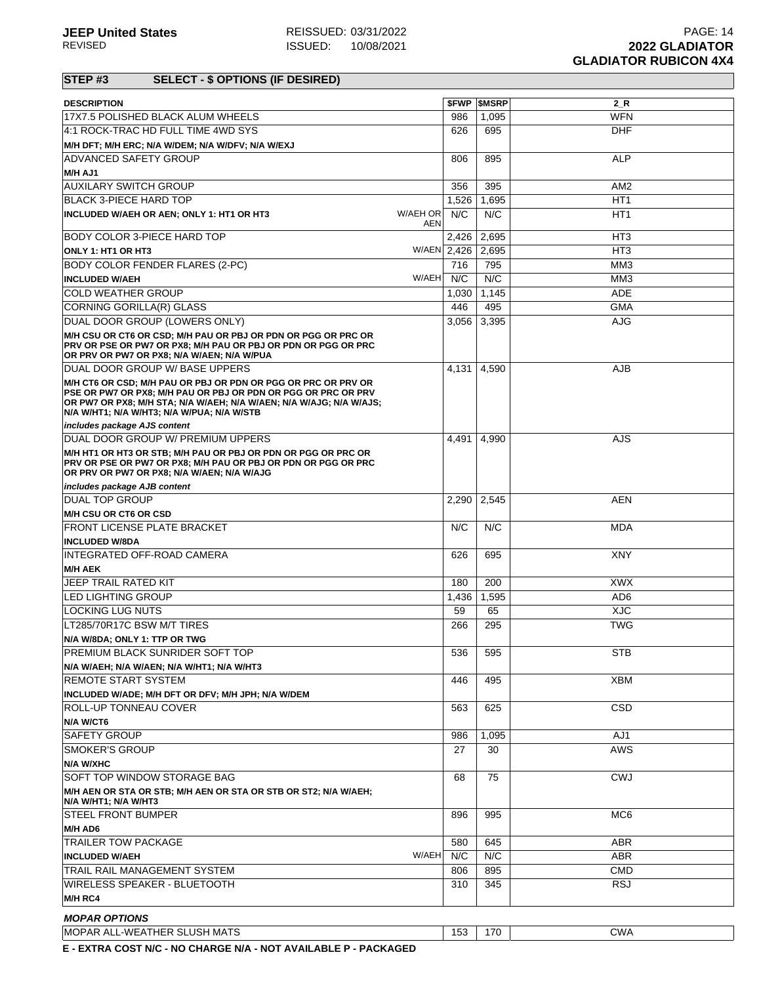# **STEP #3 SELECT - \$ OPTIONS (IF DESIRED)**

| <b>DESCRIPTION</b>                                                                                                                                                                                                                                  | <b>SFWP</b> | <b>SMSRP</b> | 2 R             |
|-----------------------------------------------------------------------------------------------------------------------------------------------------------------------------------------------------------------------------------------------------|-------------|--------------|-----------------|
| 17X7.5 POLISHED BLACK ALUM WHEELS                                                                                                                                                                                                                   | 986         | 1,095        | <b>WFN</b>      |
| 4:1 ROCK-TRAC HD FULL TIME 4WD SYS                                                                                                                                                                                                                  | 626         | 695          | <b>DHF</b>      |
| M/H DFT; M/H ERC; N/A W/DEM; N/A W/DFV; N/A W/EXJ                                                                                                                                                                                                   |             |              |                 |
| <b>ADVANCED SAFETY GROUP</b>                                                                                                                                                                                                                        | 806         | 895          | <b>ALP</b>      |
| M/H AJ1                                                                                                                                                                                                                                             |             |              |                 |
| <b>AUXILARY SWITCH GROUP</b>                                                                                                                                                                                                                        | 356         | 395          | AM <sub>2</sub> |
| <b>BLACK 3-PIECE HARD TOP</b>                                                                                                                                                                                                                       | 1,526       | 1,695        | HT <sub>1</sub> |
| W/AEH OR<br>INCLUDED W/AEH OR AEN; ONLY 1: HT1 OR HT3<br>AEN                                                                                                                                                                                        | N/C         | N/C          | HT <sub>1</sub> |
| BODY COLOR 3-PIECE HARD TOP                                                                                                                                                                                                                         | 2,426       | 2,695        | HT <sub>3</sub> |
| W/AEN 2.426<br>ONLY 1: HT1 OR HT3                                                                                                                                                                                                                   |             | 2,695        | HT <sub>3</sub> |
| <b>BODY COLOR FENDER FLARES (2-PC)</b>                                                                                                                                                                                                              | 716         | 795          | MM <sub>3</sub> |
| W/AEH<br><b>INCLUDED W/AEH</b>                                                                                                                                                                                                                      | N/C         | N/C          | MM <sub>3</sub> |
| <b>COLD WEATHER GROUP</b>                                                                                                                                                                                                                           | 1,030       | 1,145        | ADE             |
| CORNING GORILLA(R) GLASS                                                                                                                                                                                                                            | 446         | 495          | <b>GMA</b>      |
| DUAL DOOR GROUP (LOWERS ONLY)                                                                                                                                                                                                                       | 3,056       | 3,395        | <b>AJG</b>      |
| M/H CSU OR CT6 OR CSD; M/H PAU OR PBJ OR PDN OR PGG OR PRC OR<br><b>PRV OR PSE OR PW7 OR PX8: M/H PAU OR PBJ OR PDN OR PGG OR PRC</b><br>OR PRV OR PW7 OR PX8; N/A W/AEN; N/A W/PUA                                                                 |             |              |                 |
| DUAL DOOR GROUP W/ BASE UPPERS                                                                                                                                                                                                                      | 4,131       | 4,590        | <b>AJB</b>      |
| M/H CT6 OR CSD; M/H PAU OR PBJ OR PDN OR PGG OR PRC OR PRV OR<br>PSE OR PW7 OR PX8; M/H PAU OR PBJ OR PDN OR PGG OR PRC OR PRV<br>OR PW7 OR PX8: M/H STA: N/A W/AEH: N/A W/AEN: N/A W/AJG: N/A W/AJS:<br>N/A W/HT1; N/A W/HT3; N/A W/PUA; N/A W/STB |             |              |                 |
| includes package AJS content                                                                                                                                                                                                                        |             |              |                 |
| DUAL DOOR GROUP W/ PREMIUM UPPERS                                                                                                                                                                                                                   | 4.491       | 4,990        | AJS             |
| M/H HT1 OR HT3 OR STB; M/H PAU OR PBJ OR PDN OR PGG OR PRC OR<br>PRV OR PSE OR PW7 OR PX8; M/H PAU OR PBJ OR PDN OR PGG OR PRC<br>OR PRV OR PW7 OR PX8; N/A W/AEN; N/A W/AJG                                                                        |             |              |                 |
| includes package AJB content                                                                                                                                                                                                                        |             |              |                 |
| <b>DUAL TOP GROUP</b>                                                                                                                                                                                                                               | 2,290       | 2,545        | AEN             |
| M/H CSU OR CT6 OR CSD<br><b>FRONT LICENSE PLATE BRACKET</b>                                                                                                                                                                                         | N/C         | N/C          | <b>MDA</b>      |
| <b>INCLUDED W/8DA</b>                                                                                                                                                                                                                               |             |              |                 |
| INTEGRATED OFF-ROAD CAMERA                                                                                                                                                                                                                          | 626         | 695          | <b>XNY</b>      |
| <b>M/H AEK</b>                                                                                                                                                                                                                                      |             |              |                 |
| JEEP TRAIL RATED KIT                                                                                                                                                                                                                                | 180         | 200          | <b>XWX</b>      |
| <b>LED LIGHTING GROUP</b>                                                                                                                                                                                                                           | 1,436       | 1,595        | AD <sub>6</sub> |
| <b>LOCKING LUG NUTS</b>                                                                                                                                                                                                                             | 59          | 65           | <b>XJC</b>      |
| LT285/70R17C BSW M/T TIRES                                                                                                                                                                                                                          | 266         | 295          | <b>TWG</b>      |
| N/A W/8DA; ONLY 1: TTP OR TWG                                                                                                                                                                                                                       |             |              |                 |
| PREMIUM BLACK SUNRIDER SOFT TOP                                                                                                                                                                                                                     |             | 536 595      | <b>STB</b>      |
| N/A W/AEH; N/A W/AEN; N/A W/HT1; N/A W/HT3                                                                                                                                                                                                          |             |              |                 |
| REMOTE START SYSTEM                                                                                                                                                                                                                                 | 446         | 495          | <b>XBM</b>      |
| INCLUDED W/ADE; M/H DFT OR DFV; M/H JPH; N/A W/DEM                                                                                                                                                                                                  |             |              |                 |
| <b>ROLL-UP TONNEAU COVER</b>                                                                                                                                                                                                                        | 563         | 625          | <b>CSD</b>      |
| N/A W/CT6<br><b>SAFETY GROUP</b>                                                                                                                                                                                                                    |             | 1,095        | AJ1             |
| <b>SMOKER'S GROUP</b>                                                                                                                                                                                                                               | 986<br>27   | 30           | AWS             |
| N/A W/XHC                                                                                                                                                                                                                                           |             |              |                 |
| SOFT TOP WINDOW STORAGE BAG                                                                                                                                                                                                                         | 68          | 75           | <b>CWJ</b>      |
| M/H AEN OR STA OR STB; M/H AEN OR STA OR STB OR ST2; N/A W/AEH;                                                                                                                                                                                     |             |              |                 |
| N/A W/HT1; N/A W/HT3                                                                                                                                                                                                                                |             |              |                 |
| <b>STEEL FRONT BUMPER</b>                                                                                                                                                                                                                           | 896         | 995          | MC <sub>6</sub> |
| M/H AD6                                                                                                                                                                                                                                             |             |              |                 |
| <b>TRAILER TOW PACKAGE</b>                                                                                                                                                                                                                          | 580         | 645          | ABR             |
| W/AEH<br><b>INCLUDED W/AEH</b>                                                                                                                                                                                                                      | N/C         | N/C          | <b>ABR</b>      |
| TRAIL RAIL MANAGEMENT SYSTEM                                                                                                                                                                                                                        | 806         | 895          | <b>CMD</b>      |
| WIRELESS SPEAKER - BLUETOOTH                                                                                                                                                                                                                        | 310         | 345          | <b>RSJ</b>      |
| M/H RC4                                                                                                                                                                                                                                             |             |              |                 |
| <b>MOPAR OPTIONS</b>                                                                                                                                                                                                                                |             |              |                 |
| MOPAR ALL-WEATHER SLUSH MATS                                                                                                                                                                                                                        | 153         | 170          | <b>CWA</b>      |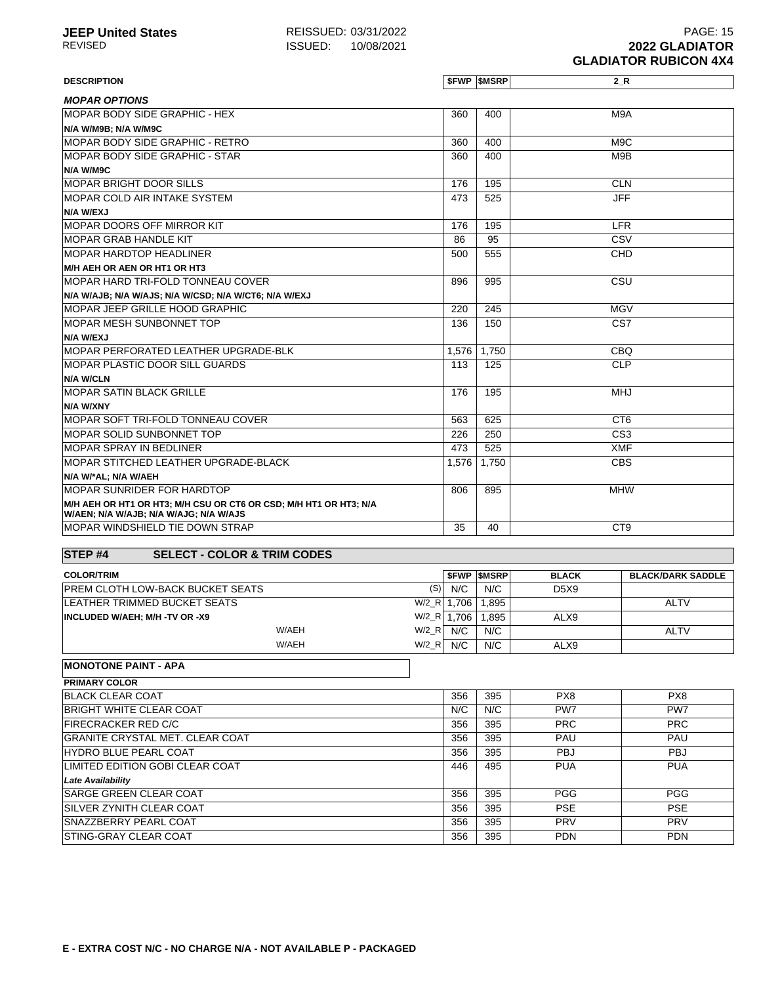#### **DESCRIPTION \$FWP \$MSRP 2\_R MOPAR OPTIONS** MOPAR BODY SIDE GRAPHIC - HEX **N/A W/M9B; N/A W/M9C** 360 400 M9A MOPAR BODY SIDE GRAPHIC - RETRO 360 400 M9C MOPAR BODY SIDE GRAPHIC - STAR **N/A W/M9C** 360 400 M9B MOPAR BRIGHT DOOR SILLS EXAMPLE 176 195 CLN MOPAR COLD AIR INTAKE SYSTEM **N/A W/EXJ** 473 525 JFF MOPAR DOORS OFF MIRROR KIT ALL AND THE LEARNING HERE IN THE LEARNING HERE IN THE LEARNING HERE IS A LEARNING H MOPAR GRAB HANDLE KIT 86 95 CSV MOPAR HARDTOP HEADLINER **M/H AEH OR AEN OR HT1 OR HT3** 500 555 CHD MOPAR HARD TRI-FOLD TONNEAU COVER **N/A W/AJB; N/A W/AJS; N/A W/CSD; N/A W/CT6; N/A W/EXJ** 896 995 CSU MOPAR JEEP GRILLE HOOD GRAPHIC 220 245 MGV MOPAR MESH SUNBONNET TOP **N/A W/EXJ** 136 150 CS7 MOPAR PERFORATED LEATHER UPGRADE-BLK 1,576 | 1,750 | 1,750 CBQ MOPAR PLASTIC DOOR SILL GUARDS **N/A W/CLN** 113 125 CLP MOPAR SATIN BLACK GRILLE **N/A W/XNY** 176 195 MHJ MOPAR SOFT TRI-FOLD TONNEAU COVER SERIES TO SERIES THE SOLUTION OF SERIES OF STRING COMPANY OF SERIES OF STRING MOPAR SOLID SUNBONNET TOP 226 250 CS3 MOPAR SPRAY IN BEDLINER AND THE SERIES OF THE SERIES AND THE SERIES OF THE SAME AND THE SERIES OF THE SAME SERIES AND THE SERIES OF THE SAME SERIES OF THE SAME SERIES OF THE SAME SERIES OF THE SAME SERIES OF THE SAME SERIE MOPAR STITCHED LEATHER UPGRADE-BLACK **N/A W/\*AL; N/A W/AEH** 1,576 | 1,750 | CBS MOPAR SUNRIDER FOR HARDTOP **M/H AEH OR HT1 OR HT3; M/H CSU OR CT6 OR CSD; M/H HT1 OR HT3; N/A** 806 895 MHW

### **STEP #4 SELECT - COLOR & TRIM CODES**

**W/AEN; N/A W/AJB; N/A W/AJG; N/A W/AJS**

| <b>COLOR/TRIM</b>                              |             | <b>SFWP SMSRP</b> | <b>BLACK</b>                  | <b>BLACK/DARK SADDLE</b> |
|------------------------------------------------|-------------|-------------------|-------------------------------|--------------------------|
| (S)<br><b>PREM CLOTH LOW-BACK BUCKET SEATS</b> | N/C         | N/C               | D <sub>5</sub> X <sub>9</sub> |                          |
| LEATHER TRIMMED BUCKET SEATS<br>$W/2$ R        | 1.706       | .895              |                               | <b>ALTV</b>              |
| <b>INCLUDED W/AEH: M/H -TV OR -X9</b>          | W/2_R 1.706 | .895              | ALX9                          |                          |
| $W/2$ R<br>W/AEH                               | N/C         | N/C               |                               | <b>ALTV</b>              |
| W/AEH<br>$W/2_R$                               | N/C         | N/C               | ALX9                          |                          |

MOPAR WINDSHIELD TIE DOWN STRAP 35 40 CT9

#### **MONOTONE PAINT - APA**

| <b>PRIMARY COLOR</b>                   |     |     |            |                 |
|----------------------------------------|-----|-----|------------|-----------------|
| <b>BLACK CLEAR COAT</b>                | 356 | 395 | PX8        | PX8             |
| <b>BRIGHT WHITE CLEAR COAT</b>         | N/C | N/C | PW7        | PW <sub>7</sub> |
| <b>FIRECRACKER RED C/C</b>             | 356 | 395 | <b>PRC</b> | <b>PRC</b>      |
| <b>GRANITE CRYSTAL MET. CLEAR COAT</b> | 356 | 395 | <b>PAU</b> | PAU             |
| <b>HYDRO BLUE PEARL COAT</b>           | 356 | 395 | <b>PBJ</b> | <b>PBJ</b>      |
| LIMITED EDITION GOBI CLEAR COAT        | 446 | 495 | <b>PUA</b> | <b>PUA</b>      |
| <b>Late Availability</b>               |     |     |            |                 |
| <b>SARGE GREEN CLEAR COAT</b>          | 356 | 395 | <b>PGG</b> | <b>PGG</b>      |
| <b>ISILVER ZYNITH CLEAR COAT</b>       | 356 | 395 | <b>PSE</b> | <b>PSE</b>      |
| <b>SNAZZBERRY PEARL COAT</b>           | 356 | 395 | <b>PRV</b> | PRV             |
| <b>STING-GRAY CLEAR COAT</b>           | 356 | 395 | <b>PDN</b> | <b>PDN</b>      |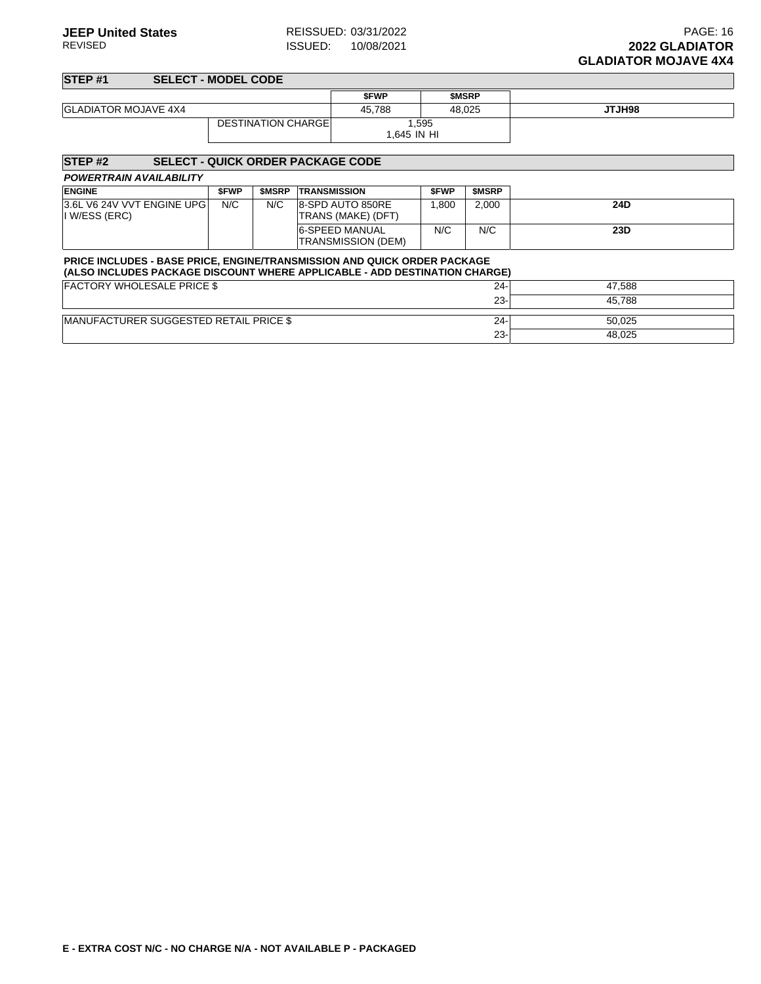23- 48,025

| STEP <sub>#1</sub><br><b>SELECT - MODEL CODE</b> |                            |                     |              |               |  |  |  |  |
|--------------------------------------------------|----------------------------|---------------------|--------------|---------------|--|--|--|--|
|                                                  |                            | <b>SFWP</b>         | <b>SMSRP</b> |               |  |  |  |  |
| <b>GLADIATOR MOJAVE 4X4</b>                      |                            | 45.788              | 48.025       | <b>SPHLTL</b> |  |  |  |  |
|                                                  | <b>DESTINATION CHARGEI</b> | .595<br>1.645 IN HI |              |               |  |  |  |  |

| <b>STEP#2</b><br><b>SELECT - QUICK ORDER PACKAGE CODE</b> |             |              |                                                                                                                                                        |             |              |        |  |  |
|-----------------------------------------------------------|-------------|--------------|--------------------------------------------------------------------------------------------------------------------------------------------------------|-------------|--------------|--------|--|--|
| <b>POWERTRAIN AVAILABILITY</b>                            |             |              |                                                                                                                                                        |             |              |        |  |  |
| <b>ENGINE</b>                                             | <b>SFWP</b> | <b>SMSRP</b> | <b>TRANSMISSION</b>                                                                                                                                    | <b>SFWP</b> | <b>SMSRP</b> |        |  |  |
| 3.6L V6 24V VVT ENGINE UPG<br>I W/ESS (ERC)               | N/C         | N/C          | 8-SPD AUTO 850RE<br>TRANS (MAKE) (DFT)                                                                                                                 | 1.800       | 2,000        | 24D    |  |  |
|                                                           |             |              | <b>6-SPEED MANUAL</b><br>TRANSMISSION (DEM)                                                                                                            | N/C         | N/C          | 23D    |  |  |
|                                                           |             |              | PRICE INCLUDES - BASE PRICE, ENGINE/TRANSMISSION AND QUICK ORDER PACKAGE<br>(ALSO INCLUDES PACKAGE DISCOUNT WHERE APPLICABLE - ADD DESTINATION CHARGE) |             |              |        |  |  |
| <b>FACTORY WHOLESALE PRICE \$</b>                         |             |              |                                                                                                                                                        |             | $24 -$       | 47.588 |  |  |
|                                                           |             |              |                                                                                                                                                        |             | $23 -$       | 45.788 |  |  |
| <b>IMANUFACTURER SUGGESTED RETAIL PRICE \$</b>            |             |              |                                                                                                                                                        |             | $24 -$       | 50.025 |  |  |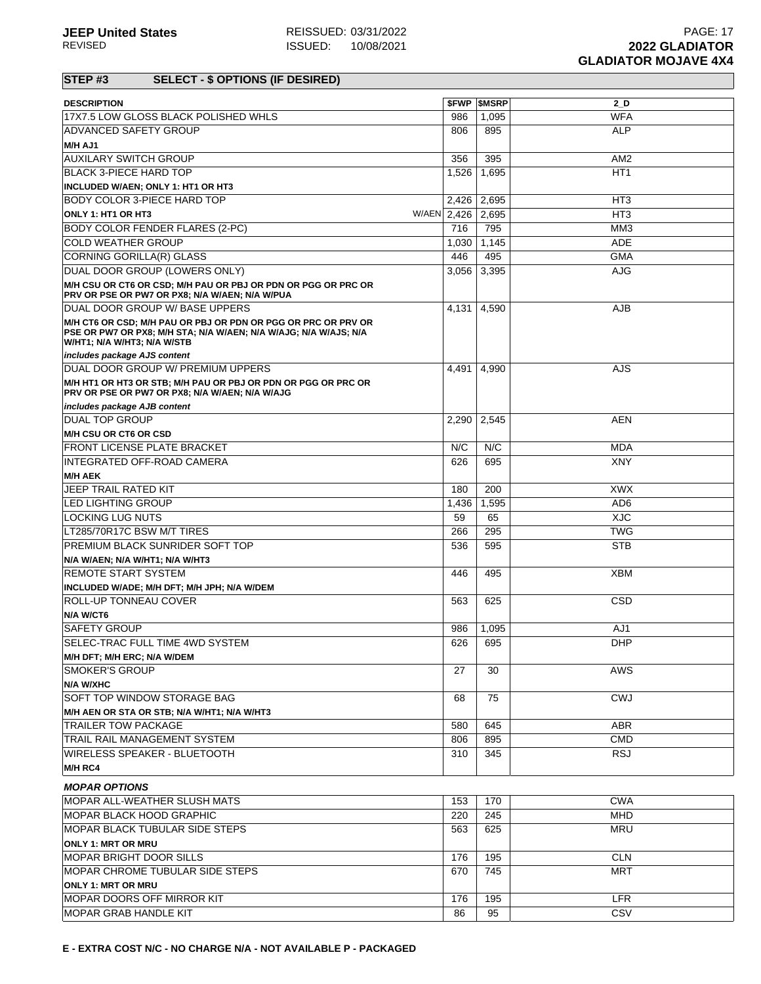## **STEP #3 SELECT - \$ OPTIONS (IF DESIRED)**

| <b>DESCRIPTION</b>                                                                                              |             | <b>\$FWP \$MSRP</b> | $2$ D           |
|-----------------------------------------------------------------------------------------------------------------|-------------|---------------------|-----------------|
| 17X7.5 LOW GLOSS BLACK POLISHED WHLS                                                                            | 986         | 1,095               | <b>WFA</b>      |
| <b>ADVANCED SAFETY GROUP</b>                                                                                    | 806         | 895                 | <b>ALP</b>      |
| M/H AJ1                                                                                                         |             |                     |                 |
| <b>AUXILARY SWITCH GROUP</b>                                                                                    | 356         | 395                 | AM <sub>2</sub> |
| <b>BLACK 3-PIECE HARD TOP</b>                                                                                   | 1,526       | 1,695               | HT <sub>1</sub> |
| INCLUDED W/AEN; ONLY 1: HT1 OR HT3                                                                              |             |                     |                 |
| <b>BODY COLOR 3-PIECE HARD TOP</b>                                                                              |             | 2,426 2,695         | HT <sub>3</sub> |
| ONLY 1: HT1 OR HT3                                                                                              | W/AEN 2,426 | 2,695               | HT <sub>3</sub> |
| BODY COLOR FENDER FLARES (2-PC)                                                                                 | 716         | 795                 | MM <sub>3</sub> |
| <b>COLD WEATHER GROUP</b>                                                                                       | 1,030       | 1,145               | <b>ADE</b>      |
| CORNING GORILLA(R) GLASS                                                                                        | 446         | 495                 | <b>GMA</b>      |
| DUAL DOOR GROUP (LOWERS ONLY)                                                                                   | 3,056       | 3,395               | <b>AJG</b>      |
| M/H CSU OR CT6 OR CSD; M/H PAU OR PBJ OR PDN OR PGG OR PRC OR<br>PRV OR PSE OR PW7 OR PX8; N/A W/AEN; N/A W/PUA |             |                     |                 |
| DUAL DOOR GROUP W/ BASE UPPERS                                                                                  | 4,131       | 4,590               | AJB             |
| M/H CT6 OR CSD; M/H PAU OR PBJ OR PDN OR PGG OR PRC OR PRV OR                                                   |             |                     |                 |
| PSE OR PW7 OR PX8; M/H STA; N/A W/AEN; N/A W/AJG; N/A W/AJS; N/A<br>W/HT1; N/A W/HT3; N/A W/STB                 |             |                     |                 |
| includes package AJS content                                                                                    |             |                     |                 |
| DUAL DOOR GROUP W/ PREMIUM UPPERS                                                                               | 4,491       | 4,990               | AJS             |
| M/H HT1 OR HT3 OR STB; M/H PAU OR PBJ OR PDN OR PGG OR PRC OR<br>PRV OR PSE OR PW7 OR PX8; N/A W/AEN; N/A W/AJG |             |                     |                 |
| includes package AJB content                                                                                    |             |                     |                 |
| <b>DUAL TOP GROUP</b>                                                                                           | 2,290       | 2,545               | <b>AEN</b>      |
| M/H CSU OR CT6 OR CSD                                                                                           |             |                     |                 |
| FRONT LICENSE PLATE BRACKET                                                                                     | N/C         | N/C                 | <b>MDA</b>      |
| INTEGRATED OFF-ROAD CAMERA                                                                                      | 626         | 695                 | <b>XNY</b>      |
| <b>M/H AEK</b>                                                                                                  |             |                     |                 |
| <b>JEEP TRAIL RATED KIT</b>                                                                                     | 180         | 200                 | <b>XWX</b>      |
| LED LIGHTING GROUP                                                                                              | 1,436       | 1,595               | AD <sub>6</sub> |
| LOCKING LUG NUTS                                                                                                | 59          | 65                  | <b>XJC</b>      |
| LT285/70R17C BSW M/T TIRES                                                                                      | 266         | 295                 | <b>TWG</b>      |
| PREMIUM BLACK SUNRIDER SOFT TOP                                                                                 | 536         | 595                 | <b>STB</b>      |
| N/A W/AEN; N/A W/HT1; N/A W/HT3                                                                                 |             |                     |                 |
| <b>REMOTE START SYSTEM</b>                                                                                      | 446         | 495                 | <b>XBM</b>      |
| INCLUDED W/ADE; M/H DFT; M/H JPH; N/A W/DEM                                                                     |             |                     |                 |
| <b>ROLL-UP TONNEAU COVER</b>                                                                                    | 563         | 625                 | CSD             |
| N/A W/CT6                                                                                                       |             |                     |                 |
| <b>SAFETY GROUP</b>                                                                                             | 986         | 1,095               | AJ1             |
| SELEC-TRAC FULL TIME 4WD SYSTEM                                                                                 | 626         | 695                 | <b>DHP</b>      |
| <b>M/H DFT; M/H ERC; N/A W/DEM</b>                                                                              |             |                     |                 |
| <b>SMOKER'S GROUP</b>                                                                                           | 27          | 30                  | AWS             |
| <b>N/A W/XHC</b>                                                                                                |             |                     |                 |
| <b>SOFT TOP WINDOW STORAGE BAG</b>                                                                              | 68          | 75                  | <b>CWJ</b>      |
| M/H AEN OR STA OR STB; N/A W/HT1; N/A W/HT3                                                                     |             |                     |                 |
| TRAILER TOW PACKAGE                                                                                             | 580         | 645                 | ABR             |
| TRAIL RAIL MANAGEMENT SYSTEM                                                                                    | 806         | 895                 | <b>CMD</b>      |
| WIRELESS SPEAKER - BLUETOOTH                                                                                    | 310         | 345                 | <b>RSJ</b>      |
| <b>M/H RC4</b>                                                                                                  |             |                     |                 |
| <b>MOPAR OPTIONS</b>                                                                                            |             |                     |                 |
| MOPAR ALL-WEATHER SLUSH MATS                                                                                    | 153         | 170                 | <b>CWA</b>      |
| <b>MOPAR BLACK HOOD GRAPHIC</b>                                                                                 | 220         | 245                 | <b>MHD</b>      |
| <b>MOPAR BLACK TUBULAR SIDE STEPS</b>                                                                           | 563         | 625                 | <b>MRU</b>      |
| <b>ONLY 1: MRT OR MRU</b>                                                                                       |             |                     |                 |
| MOPAR BRIGHT DOOR SILLS                                                                                         | 176         | 195                 | <b>CLN</b>      |
| MOPAR CHROME TUBULAR SIDE STEPS                                                                                 | 670         | 745                 | <b>MRT</b>      |
| <b>ONLY 1: MRT OR MRU</b>                                                                                       |             |                     |                 |
| <b>MOPAR DOORS OFF MIRROR KIT</b>                                                                               | 176         | 195                 | <b>LFR</b>      |
| MOPAR GRAB HANDLE KIT                                                                                           | 86          | 95                  | CSV             |
|                                                                                                                 |             |                     |                 |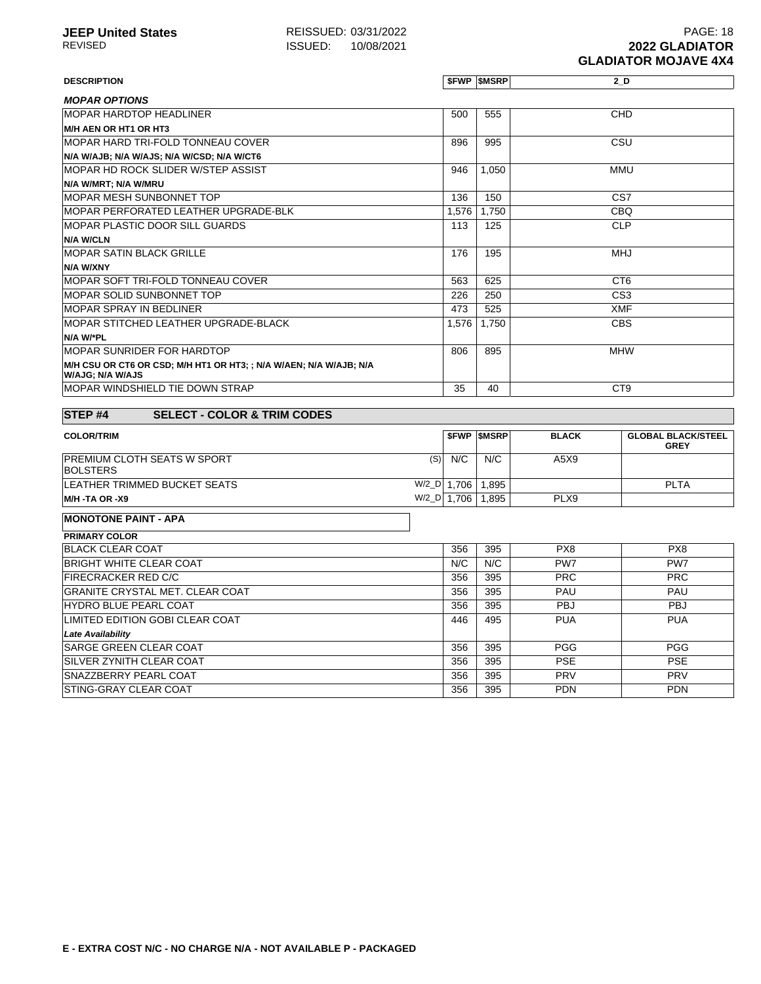| <b>DESCRIPTION</b>                                                                           | 500   | <b><i>SFWP SMSRP</i></b> | 2 D             |
|----------------------------------------------------------------------------------------------|-------|--------------------------|-----------------|
| <b>MOPAR OPTIONS</b><br><b>MOPAR HARDTOP HEADLINER</b><br>M/H AEN OR HT1 OR HT3              |       |                          |                 |
|                                                                                              |       |                          |                 |
|                                                                                              |       | 555                      | CHD             |
|                                                                                              |       |                          |                 |
| MOPAR HARD TRI-FOLD TONNEAU COVER                                                            | 896   | 995                      | CSU             |
| N/A W/AJB; N/A W/AJS; N/A W/CSD; N/A W/CT6                                                   |       |                          |                 |
| MOPAR HD ROCK SLIDER W/STEP ASSIST                                                           | 946   | 1,050                    | <b>MMU</b>      |
| N/A W/MRT; N/A W/MRU                                                                         |       |                          |                 |
| MOPAR MESH SUNBONNET TOP                                                                     | 136   | 150                      | CS <sub>7</sub> |
| MOPAR PERFORATED LEATHER UPGRADE-BLK                                                         | 1,576 | 1.750                    | <b>CBQ</b>      |
| <b>MOPAR PLASTIC DOOR SILL GUARDS</b>                                                        | 113   | 125                      | <b>CLP</b>      |
| <b>N/A W/CLN</b>                                                                             |       |                          |                 |
| <b>IMOPAR SATIN BLACK GRILLE</b>                                                             | 176   | 195                      | <b>MHJ</b>      |
| N/A W/XNY                                                                                    |       |                          |                 |
| <b>IMOPAR SOFT TRI-FOLD TONNEAU COVER</b>                                                    | 563   | 625                      | CT <sub>6</sub> |
| <b>IMOPAR SOLID SUNBONNET TOP</b>                                                            | 226   | 250                      | CS <sub>3</sub> |
| MOPAR SPRAY IN BEDLINER                                                                      | 473   | 525                      | <b>XMF</b>      |
| MOPAR STITCHED LEATHER UPGRADE-BLACK                                                         | 1,576 | 1,750                    | <b>CBS</b>      |
| N/A W/*PL                                                                                    |       |                          |                 |
| <b>MOPAR SUNRIDER FOR HARDTOP</b>                                                            | 806   | 895                      | <b>MHW</b>      |
| M/H CSU OR CT6 OR CSD; M/H HT1 OR HT3; ; N/A W/AEN; N/A W/AJB; N/A<br><b>WAJG: N/A W/AJS</b> |       |                          |                 |
| MOPAR WINDSHIELD TIE DOWN STRAP                                                              | 35    | 40                       | CT <sub>9</sub> |

| <b>COLOR/TRIM</b>                                            |             | <b>SFWP SMSRP</b> | <b>BLACK</b> | <b>GLOBAL BLACK/STEEL</b><br><b>GREY</b> |
|--------------------------------------------------------------|-------------|-------------------|--------------|------------------------------------------|
| (S)<br><b>PREMIUM CLOTH SEATS W SPORT</b><br><b>BOLSTERS</b> | N/C         | N/C               | A5X9         |                                          |
| <b>LEATHER TRIMMED BUCKET SEATS</b>                          | W/2_D 1.706 | 1.895             |              | <b>PLTA</b>                              |
| <b>IM/H -TA OR -X9</b>                                       | W/2_D 1.706 | .895              | PLX9         |                                          |

**MONOTONE PAINT - APA**

| <b>PRIMARY COLOR</b>                   |     |     |            |            |
|----------------------------------------|-----|-----|------------|------------|
| <b>BLACK CLEAR COAT</b>                | 356 | 395 | PX8        | PX8        |
| <b>BRIGHT WHITE CLEAR COAT</b>         | N/C | N/C | PW7        | PW7        |
| <b>FIRECRACKER RED C/C</b>             | 356 | 395 | <b>PRC</b> | <b>PRC</b> |
| <b>GRANITE CRYSTAL MET. CLEAR COAT</b> | 356 | 395 | <b>PAU</b> | <b>PAU</b> |
| <b>HYDRO BLUE PEARL COAT</b>           | 356 | 395 | <b>PBJ</b> | <b>PBJ</b> |
| LIMITED EDITION GOBI CLEAR COAT        | 446 | 495 | <b>PUA</b> | <b>PUA</b> |
| <b>Late Availability</b>               |     |     |            |            |
| <b>SARGE GREEN CLEAR COAT</b>          | 356 | 395 | <b>PGG</b> | <b>PGG</b> |
| <b>ISILVER ZYNITH CLEAR COAT</b>       | 356 | 395 | <b>PSE</b> | <b>PSE</b> |
| <b>SNAZZBERRY PEARL COAT</b>           | 356 | 395 | <b>PRV</b> | <b>PRV</b> |
| <b>STING-GRAY CLEAR COAT</b>           | 356 | 395 | <b>PDN</b> | <b>PDN</b> |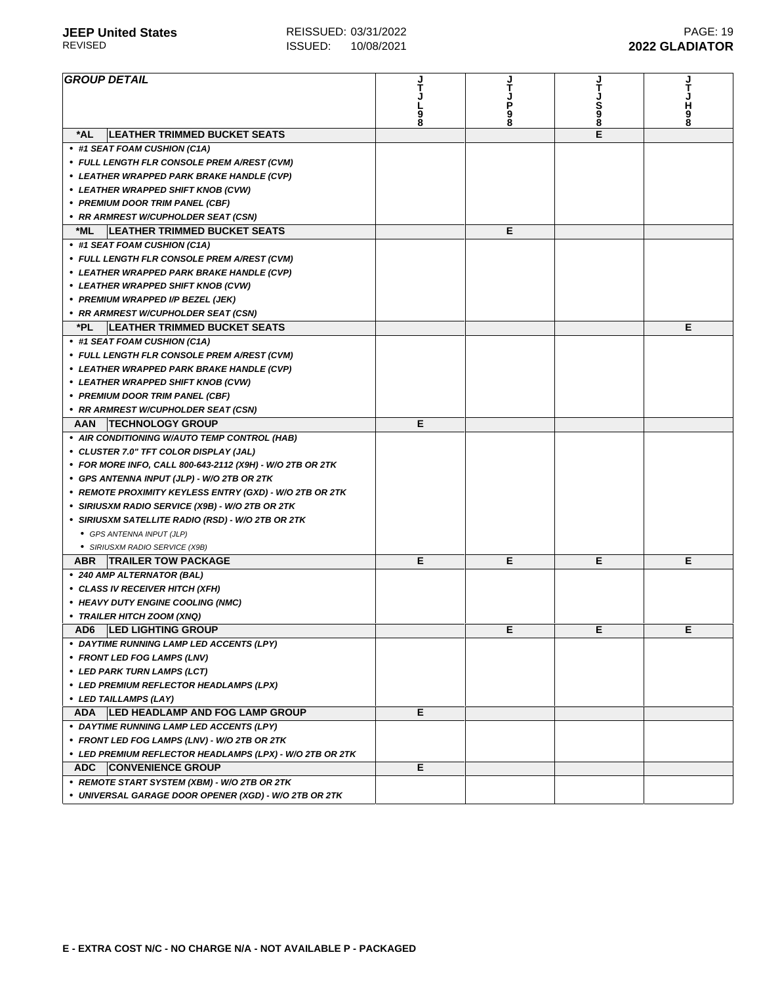| <b>GROUP DETAIL</b>                                       |        |        |         |         |
|-----------------------------------------------------------|--------|--------|---------|---------|
|                                                           |        |        |         | т       |
|                                                           |        | Ρ      |         |         |
|                                                           | 9<br>8 | 9<br>8 | S<br>98 | H<br>98 |
| *AL<br><b>LEATHER TRIMMED BUCKET SEATS</b>                |        |        | E       |         |
| • #1 SEAT FOAM CUSHION (C1A)                              |        |        |         |         |
| • FULL LENGTH FLR CONSOLE PREM A/REST (CVM)               |        |        |         |         |
| • LEATHER WRAPPED PARK BRAKE HANDLE (CVP)                 |        |        |         |         |
| • LEATHER WRAPPED SHIFT KNOB (CVW)                        |        |        |         |         |
| • PREMIUM DOOR TRIM PANEL (CBF)                           |        |        |         |         |
| • RR ARMREST W/CUPHOLDER SEAT (CSN)                       |        |        |         |         |
| <b>LEATHER TRIMMED BUCKET SEATS</b><br>*ML                |        | Е      |         |         |
| • #1 SEAT FOAM CUSHION (C1A)                              |        |        |         |         |
| • FULL LENGTH FLR CONSOLE PREM A/REST (CVM)               |        |        |         |         |
| • LEATHER WRAPPED PARK BRAKE HANDLE (CVP)                 |        |        |         |         |
|                                                           |        |        |         |         |
| • LEATHER WRAPPED SHIFT KNOB (CVW)                        |        |        |         |         |
| • PREMIUM WRAPPED I/P BEZEL (JEK)                         |        |        |         |         |
| • RR ARMREST W/CUPHOLDER SEAT (CSN)                       |        |        |         |         |
| *PL<br><b>LEATHER TRIMMED BUCKET SEATS</b>                |        |        |         | Е       |
| • #1 SEAT FOAM CUSHION (C1A)                              |        |        |         |         |
| • FULL LENGTH FLR CONSOLE PREM A/REST (CVM)               |        |        |         |         |
| • LEATHER WRAPPED PARK BRAKE HANDLE (CVP)                 |        |        |         |         |
| • LEATHER WRAPPED SHIFT KNOB (CVW)                        |        |        |         |         |
| • PREMIUM DOOR TRIM PANEL (CBF)                           |        |        |         |         |
| • RR ARMREST W/CUPHOLDER SEAT (CSN)                       |        |        |         |         |
| <b>TECHNOLOGY GROUP</b><br>AAN                            | Е      |        |         |         |
| • AIR CONDITIONING W/AUTO TEMP CONTROL (HAB)              |        |        |         |         |
| • CLUSTER 7.0" TFT COLOR DISPLAY (JAL)                    |        |        |         |         |
| • FOR MORE INFO, CALL 800-643-2112 (X9H) - W/O 2TB OR 2TK |        |        |         |         |
| • GPS ANTENNA INPUT (JLP) - W/O 2TB OR 2TK                |        |        |         |         |
| • REMOTE PROXIMITY KEYLESS ENTRY (GXD) - W/O 2TB OR 2TK   |        |        |         |         |
| • SIRIUSXM RADIO SERVICE (X9B) - W/O 2TB OR 2TK           |        |        |         |         |
| • SIRIUSXM SATELLITE RADIO (RSD) - W/O 2TB OR 2TK         |        |        |         |         |
| • GPS ANTENNA INPUT (JLP)                                 |        |        |         |         |
| • SIRIUSXM RADIO SERVICE (X9B)                            |        |        |         |         |
| <b>TRAILER TOW PACKAGE</b><br>ABR                         | Е      | Е      | Е       | Е       |
| • 240 AMP ALTERNATOR (BAL)                                |        |        |         |         |
| • CLASS IV RECEIVER HITCH (XFH)                           |        |        |         |         |
| • HEAVY DUTY ENGINE COOLING (NMC)                         |        |        |         |         |
| • TRAILER HITCH ZOOM (XNQ)                                |        |        |         |         |
| AD6   LED LIGHTING GROUP                                  |        | E.     | Е       | E.      |
| • DAYTIME RUNNING LAMP LED ACCENTS (LPY)                  |        |        |         |         |
| • FRONT LED FOG LAMPS (LNV)                               |        |        |         |         |
| • LED PARK TURN LAMPS (LCT)                               |        |        |         |         |
|                                                           |        |        |         |         |
| • LED PREMIUM REFLECTOR HEADLAMPS (LPX)                   |        |        |         |         |
| • LED TAILLAMPS (LAY)                                     |        |        |         |         |
| ADA   LED HEADLAMP AND FOG LAMP GROUP                     | E.     |        |         |         |
| • DAYTIME RUNNING LAMP LED ACCENTS (LPY)                  |        |        |         |         |
| • FRONT LED FOG LAMPS (LNV) - W/O 2TB OR 2TK              |        |        |         |         |
| • LED PREMIUM REFLECTOR HEADLAMPS (LPX) - W/O 2TB OR 2TK  |        |        |         |         |
| <b>ADC</b><br><b>CONVENIENCE GROUP</b>                    | Е      |        |         |         |
| • REMOTE START SYSTEM (XBM) - W/O 2TB OR 2TK              |        |        |         |         |
| • UNIVERSAL GARAGE DOOR OPENER (XGD) - W/O 2TB OR 2TK     |        |        |         |         |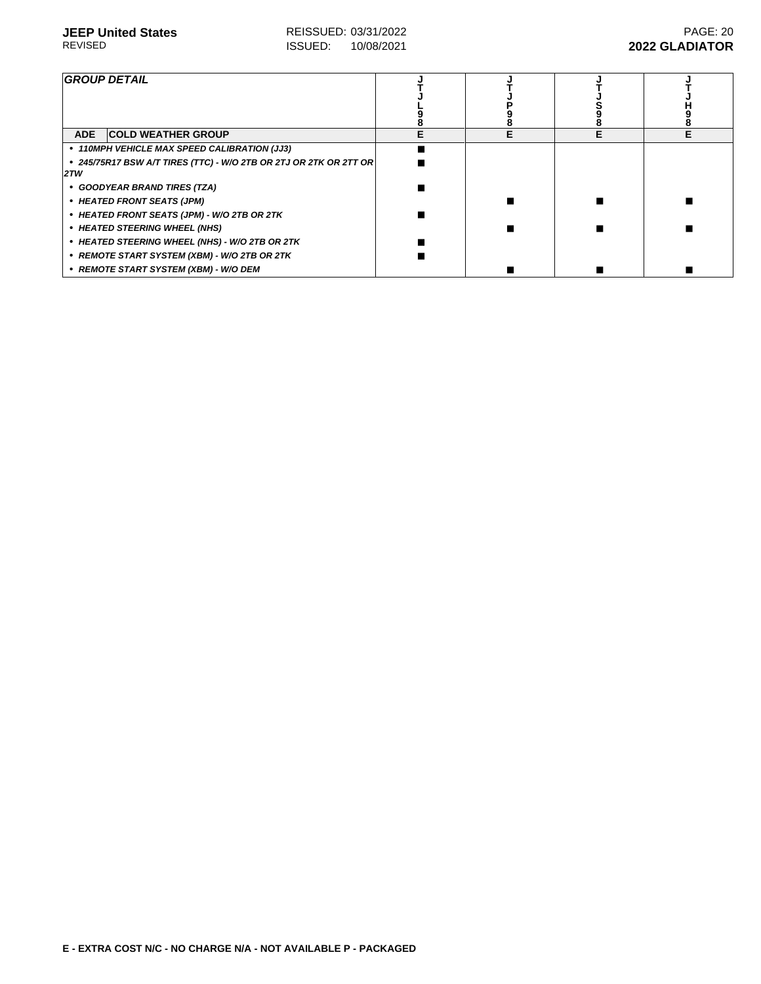| <b>GROUP DETAIL</b>                                                      |  |  |
|--------------------------------------------------------------------------|--|--|
| <b>ADE</b><br><b>COLD WEATHER GROUP</b>                                  |  |  |
| • 110MPH VEHICLE MAX SPEED CALIBRATION (JJ3)                             |  |  |
| • 245/75R17 BSW A/T TIRES (TTC) - W/O 2TB OR 2TJ OR 2TK OR 2TT OR<br>2TW |  |  |
| • GOODYEAR BRAND TIRES (TZA)                                             |  |  |
| • HEATED FRONT SEATS (JPM)                                               |  |  |
| • HEATED FRONT SEATS (JPM) - W/O 2TB OR 2TK                              |  |  |
| • HEATED STEERING WHEEL (NHS)                                            |  |  |
| • HEATED STEERING WHEEL (NHS) - W/O 2TB OR 2TK                           |  |  |
| • REMOTE START SYSTEM (XBM) - W/O 2TB OR 2TK                             |  |  |
| • REMOTE START SYSTEM (XBM) - W/O DEM                                    |  |  |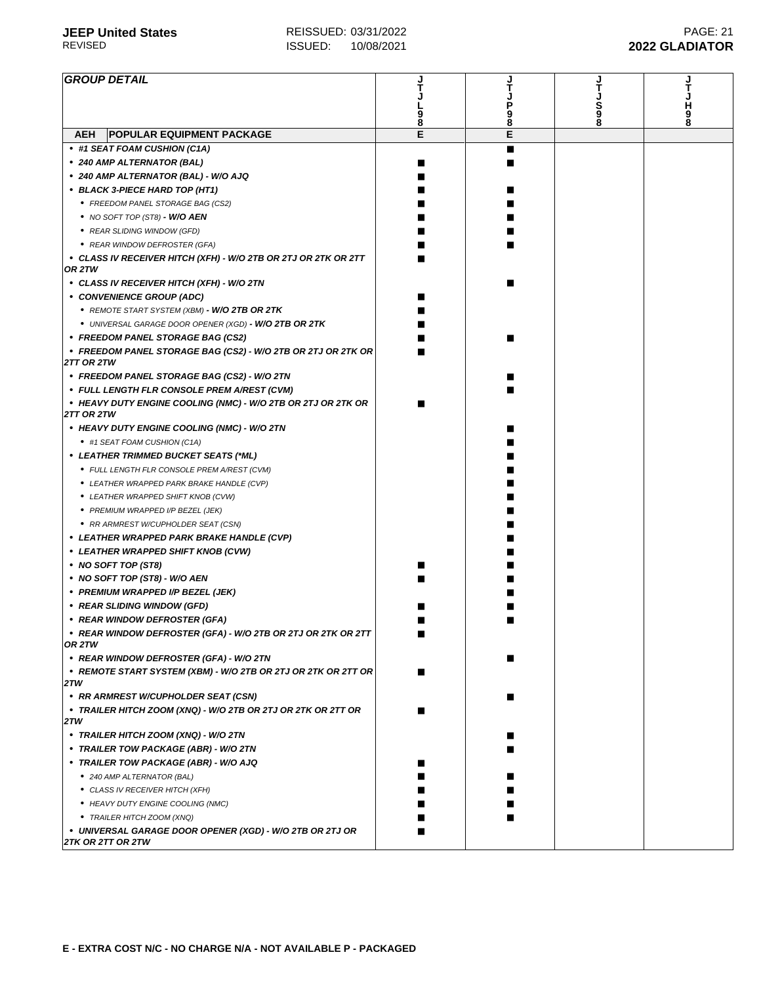| <b>GROUP DETAIL</b>                                                               |   |        |   |   |
|-----------------------------------------------------------------------------------|---|--------|---|---|
|                                                                                   |   |        |   |   |
|                                                                                   |   | Ρ      | s |   |
|                                                                                   | 8 | 9<br>8 |   | 9 |
| <b>POPULAR EQUIPMENT PACKAGE</b><br><b>AEH</b>                                    | E | E      |   |   |
| • #1 SEAT FOAM CUSHION (C1A)                                                      |   | ٠      |   |   |
| ● 240 AMP ALTERNATOR (BAL)                                                        |   |        |   |   |
| • 240 AMP ALTERNATOR (BAL) - W/O AJQ                                              |   |        |   |   |
| • BLACK 3-PIECE HARD TOP (HT1)                                                    |   |        |   |   |
| • FREEDOM PANEL STORAGE BAG (CS2)                                                 |   |        |   |   |
| $\bullet$ NO SOFT TOP (ST8) - W/O AEN                                             |   |        |   |   |
| • REAR SLIDING WINDOW (GFD)                                                       |   |        |   |   |
| • REAR WINDOW DEFROSTER (GFA)                                                     |   |        |   |   |
| • CLASS IV RECEIVER HITCH (XFH) - W/O 2TB OR 2TJ OR 2TK OR 2TT<br>OR 2TW          |   |        |   |   |
| • CLASS IV RECEIVER HITCH (XFH) - W/O 2TN                                         |   |        |   |   |
| • CONVENIENCE GROUP (ADC)                                                         |   |        |   |   |
| • REMOTE START SYSTEM (XBM) - <b>W/O 2TB OR 2TK</b>                               |   |        |   |   |
| • UNIVERSAL GARAGE DOOR OPENER (XGD) - W/O 2TB OR 2TK                             |   |        |   |   |
| • FREEDOM PANEL STORAGE BAG (CS2)                                                 |   |        |   |   |
| • FREEDOM PANEL STORAGE BAG (CS2) - W/O 2TB OR 2TJ OR 2TK OR<br><b>2TT OR 2TW</b> |   |        |   |   |
| • FREEDOM PANEL STORAGE BAG (CS2) - W/O 2TN                                       |   |        |   |   |
| • FULL LENGTH FLR CONSOLE PREM A/REST (CVM)                                       |   |        |   |   |
| • HEAVY DUTY ENGINE COOLING (NMC) - W/O 2TB OR 2TJ OR 2TK OR<br><b>2TT OR 2TW</b> |   |        |   |   |
| • HEAVY DUTY ENGINE COOLING (NMC) - W/O 2TN                                       |   |        |   |   |
| • #1 SEAT FOAM CUSHION (C1A)                                                      |   |        |   |   |
| • LEATHER TRIMMED BUCKET SEATS (*ML)                                              |   |        |   |   |
| • FULL LENGTH FLR CONSOLE PREM A/REST (CVM)                                       |   |        |   |   |
| • LEATHER WRAPPED PARK BRAKE HANDLE (CVP)                                         |   |        |   |   |
| • LEATHER WRAPPED SHIFT KNOB (CVW)                                                |   |        |   |   |
| • PREMIUM WRAPPED I/P BEZEL (JEK)                                                 |   |        |   |   |
| • RR ARMREST W/CUPHOLDER SEAT (CSN)                                               |   |        |   |   |
| • LEATHER WRAPPED PARK BRAKE HANDLE (CVP)                                         |   |        |   |   |
| • LEATHER WRAPPED SHIFT KNOB (CVW)                                                |   |        |   |   |
| • NO SOFT TOP (ST8)                                                               |   |        |   |   |
| • NO SOFT TOP (ST8) - W/O AEN                                                     |   |        |   |   |
| • PREMIUM WRAPPED I/P BEZEL (JEK)                                                 |   |        |   |   |
| • REAR SLIDING WINDOW (GFD)                                                       |   |        |   |   |
| • REAR WINDOW DEFROSTER (GFA)                                                     |   |        |   |   |
| • REAR WINDOW DEFROSTER (GFA) - W/O 2TB OR 2TJ OR 2TK OR 2TT                      |   |        |   |   |
| OR 2TW                                                                            |   |        |   |   |
| • REAR WINDOW DEFROSTER (GFA) - W/O 2TN                                           |   |        |   |   |
| • REMOTE START SYSTEM (XBM) - W/O 2TB OR 2TJ OR 2TK OR 2TT OR<br>2TW              |   |        |   |   |
| • RR ARMREST W/CUPHOLDER SEAT (CSN)                                               |   |        |   |   |
| • TRAILER HITCH ZOOM (XNQ) - W/O 2TB OR 2TJ OR 2TK OR 2TT OR<br>2TW               |   |        |   |   |
| • TRAILER HITCH ZOOM (XNQ) - W/O 2TN                                              |   |        |   |   |
| • TRAILER TOW PACKAGE (ABR) - W/O 2TN                                             |   |        |   |   |
| • TRAILER TOW PACKAGE (ABR) - W/O AJQ                                             |   |        |   |   |
| ● 240 AMP ALTERNATOR (BAL)                                                        |   |        |   |   |
| • CLASS IV RECEIVER HITCH (XFH)                                                   |   |        |   |   |
| • HEAVY DUTY ENGINE COOLING (NMC)                                                 |   |        |   |   |
| • TRAILER HITCH ZOOM (XNQ)                                                        |   |        |   |   |
| • UNIVERSAL GARAGE DOOR OPENER (XGD) - W/O 2TB OR 2TJ OR<br>2TK OR 2TT OR 2TW     |   |        |   |   |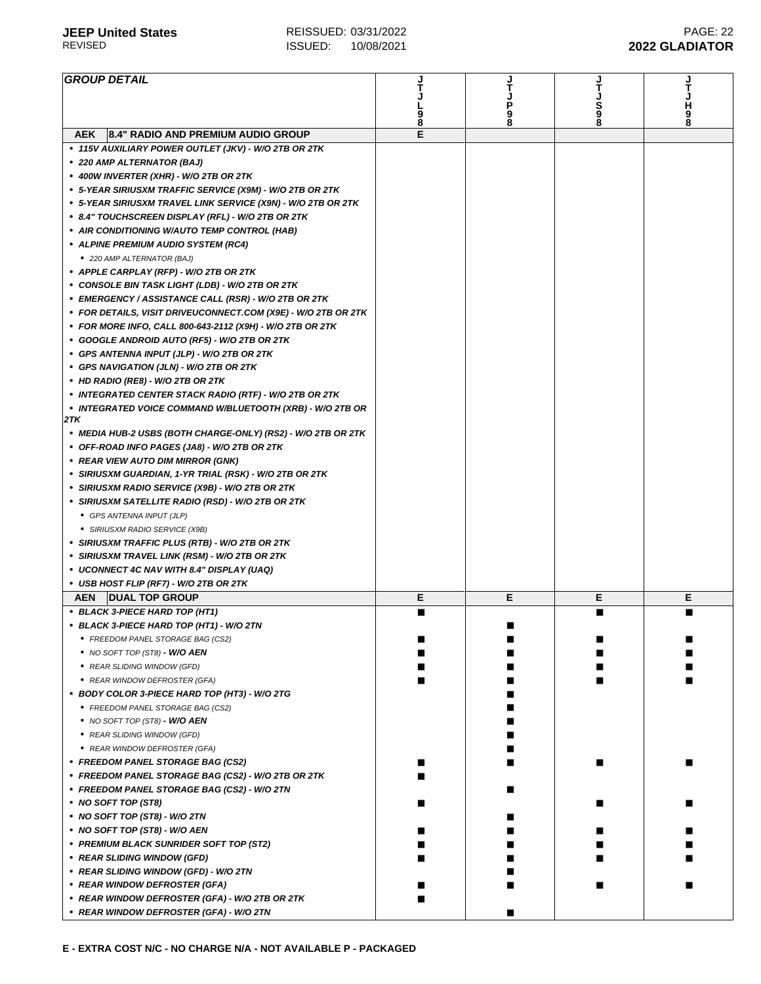| <b>GROUP DETAIL</b>                                              |        |   |        |        |
|------------------------------------------------------------------|--------|---|--------|--------|
|                                                                  |        | т |        |        |
|                                                                  |        | Ρ | S<br>9 | H<br>9 |
|                                                                  | 9<br>8 | 9 |        |        |
| 8.4" RADIO AND PREMIUM AUDIO GROUP<br><b>AEK</b>                 | E      |   |        |        |
| • 115V AUXILIARY POWER OUTLET (JKV) - W/O 2TB OR 2TK             |        |   |        |        |
| • 220 AMP ALTERNATOR (BAJ)                                       |        |   |        |        |
|                                                                  |        |   |        |        |
| • 400W INVERTER (XHR) - W/O 2TB OR 2TK                           |        |   |        |        |
| • 5-YEAR SIRIUSXM TRAFFIC SERVICE (X9M) - W/O 2TB OR 2TK         |        |   |        |        |
| • 5-YEAR SIRIUSXM TRAVEL LINK SERVICE (X9N) - W/O 2TB OR 2TK     |        |   |        |        |
| • 8.4" TOUCHSCREEN DISPLAY (RFL) - W/O 2TB OR 2TK                |        |   |        |        |
| • AIR CONDITIONING W/AUTO TEMP CONTROL (HAB)                     |        |   |        |        |
| • ALPINE PREMIUM AUDIO SYSTEM (RC4)                              |        |   |        |        |
| • 220 AMP ALTERNATOR (BAJ)                                       |        |   |        |        |
| • APPLE CARPLAY (RFP) - W/O 2TB OR 2TK                           |        |   |        |        |
| • CONSOLE BIN TASK LIGHT (LDB) - W/O 2TB OR 2TK                  |        |   |        |        |
| • EMERGENCY / ASSISTANCE CALL (RSR) - W/O 2TB OR 2TK             |        |   |        |        |
| • FOR DETAILS, VISIT DRIVEUCONNECT.COM (X9E) - W/O 2TB OR 2TK    |        |   |        |        |
| • FOR MORE INFO, CALL 800-643-2112 (X9H) - W/O 2TB OR 2TK        |        |   |        |        |
| • GOOGLE ANDROID AUTO (RF5) - W/O 2TB OR 2TK                     |        |   |        |        |
| • GPS ANTENNA INPUT (JLP) - W/O 2TB OR 2TK                       |        |   |        |        |
| • GPS NAVIGATION (JLN) - W/O 2TB OR 2TK                          |        |   |        |        |
|                                                                  |        |   |        |        |
| • HD RADIO (RE8) - W/O 2TB OR 2TK                                |        |   |        |        |
| • INTEGRATED CENTER STACK RADIO (RTF) - W/O 2TB OR 2TK           |        |   |        |        |
| • INTEGRATED VOICE COMMAND W/BLUETOOTH (XRB) - W/O 2TB OR<br>2TK |        |   |        |        |
|                                                                  |        |   |        |        |
| • MEDIA HUB-2 USBS (BOTH CHARGE-ONLY) (RS2) - W/O 2TB OR 2TK     |        |   |        |        |
| • OFF-ROAD INFO PAGES (JA8) - W/O 2TB OR 2TK                     |        |   |        |        |
| • REAR VIEW AUTO DIM MIRROR (GNK)                                |        |   |        |        |
| • SIRIUSXM GUARDIAN, 1-YR TRIAL (RSK) - W/O 2TB OR 2TK           |        |   |        |        |
| • SIRIUSXM RADIO SERVICE (X9B) - W/O 2TB OR 2TK                  |        |   |        |        |
| • SIRIUSXM SATELLITE RADIO (RSD) - W/O 2TB OR 2TK                |        |   |        |        |
| • GPS ANTENNA INPUT (JLP)                                        |        |   |        |        |
| • SIRIUSXM RADIO SERVICE (X9B)                                   |        |   |        |        |
| • SIRIUSXM TRAFFIC PLUS (RTB) - W/O 2TB OR 2TK                   |        |   |        |        |
| • SIRIUSXM TRAVEL LINK (RSM) - W/O 2TB OR 2TK                    |        |   |        |        |
| • UCONNECT 4C NAV WITH 8.4" DISPLAY (UAQ)                        |        |   |        |        |
| • USB HOST FLIP (RF7) - W/O 2TB OR 2TK                           |        |   |        |        |
| <b>AEN</b><br><b>DUAL TOP GROUP</b>                              | Е      | Е | Е      | Е      |
| • BLACK 3-PIECE HARD TOP (HT1)                                   |        |   |        |        |
| • BLACK 3-PIECE HARD TOP (HT1) - W/O 2TN                         |        |   |        |        |
| • FREEDOM PANEL STORAGE BAG (CS2)                                |        |   |        |        |
|                                                                  |        |   |        |        |
| $\bullet$ NO SOFT TOP (ST8) - W/O AEN                            |        |   |        |        |
| • REAR SLIDING WINDOW (GFD)                                      |        |   |        |        |
| • REAR WINDOW DEFROSTER (GFA)                                    |        |   |        |        |
| • BODY COLOR 3-PIECE HARD TOP (HT3) - W/O 2TG                    |        |   |        |        |
| • FREEDOM PANEL STORAGE BAG (CS2)                                |        |   |        |        |
| $\bullet$ NO SOFT TOP (ST8) - W/O AEN                            |        |   |        |        |
| • REAR SLIDING WINDOW (GFD)                                      |        |   |        |        |
| • REAR WINDOW DEFROSTER (GFA)                                    |        |   |        |        |
| • FREEDOM PANEL STORAGE BAG (CS2)                                |        |   |        |        |
| • FREEDOM PANEL STORAGE BAG (CS2) - W/O 2TB OR 2TK               |        |   |        |        |
| • FREEDOM PANEL STORAGE BAG (CS2) - W/O 2TN                      |        |   |        |        |
| • NO SOFT TOP (ST8)                                              |        |   |        |        |
| • NO SOFT TOP (ST8) - W/O 2TN                                    |        |   |        |        |
| • NO SOFT TOP (ST8) - W/O AEN                                    |        |   |        |        |
| • PREMIUM BLACK SUNRIDER SOFT TOP (ST2)                          |        |   |        |        |
|                                                                  |        |   |        |        |
| • REAR SLIDING WINDOW (GFD)                                      |        |   |        |        |
| • REAR SLIDING WINDOW (GFD) - W/O 2TN                            |        |   |        |        |
| • REAR WINDOW DEFROSTER (GFA)                                    |        |   |        |        |
| • REAR WINDOW DEFROSTER (GFA) - W/O 2TB OR 2TK                   |        |   |        |        |
| • REAR WINDOW DEFROSTER (GFA) - W/O 2TN                          |        |   |        |        |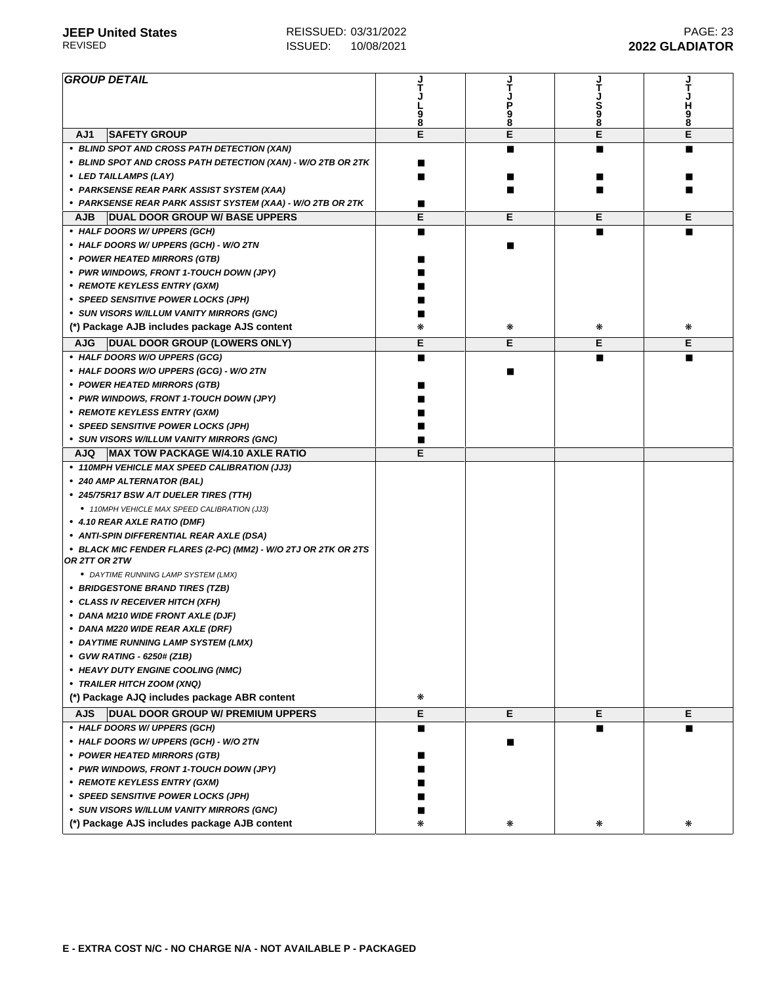| <b>GROUP DETAIL</b>                                            |   |   |         |        |
|----------------------------------------------------------------|---|---|---------|--------|
|                                                                |   | 9 | S<br>88 | Ч      |
|                                                                | 8 | 8 |         | 9<br>8 |
| <b>SAFETY GROUP</b><br>AJ1                                     | E | E | E       | E      |
| • BLIND SPOT AND CROSS PATH DETECTION (XAN)                    |   |   | ▄       |        |
| • BLIND SPOT AND CROSS PATH DETECTION (XAN) - W/O 2TB OR 2TK   |   |   |         |        |
| • LED TAILLAMPS (LAY)                                          |   |   |         |        |
| • PARKSENSE REAR PARK ASSIST SYSTEM (XAA)                      |   |   |         |        |
| ∙  PARKSENSE REAR PARK ASSIST SYSTEM (XAA) - W/O 2TB OR 2TK    |   |   |         |        |
| <b>DUAL DOOR GROUP W/ BASE UPPERS</b><br><b>AJB</b>            | Е | Е | Е       | Е      |
| • HALF DOORS W/ UPPERS (GCH)                                   |   |   |         |        |
| • HALF DOORS W/ UPPERS (GCH) - W/O 2TN                         |   |   |         |        |
| • POWER HEATED MIRRORS (GTB)                                   |   |   |         |        |
| • PWR WINDOWS, FRONT 1-TOUCH DOWN (JPY)                        |   |   |         |        |
| • REMOTE KEYLESS ENTRY (GXM)                                   |   |   |         |        |
| • SPEED SENSITIVE POWER LOCKS (JPH)                            |   |   |         |        |
| • SUN VISORS W/ILLUM VANITY MIRRORS (GNC)                      |   |   |         |        |
| (*) Package AJB includes package AJS content                   |   | ₩ | ₩       | ∗      |
| <b>AJG</b><br>DUAL DOOR GROUP (LOWERS ONLY)                    | Е | Е | Е       | Е      |
| • HALF DOORS W/O UPPERS (GCG)                                  |   |   |         |        |
| • HALF DOORS W/O UPPERS (GCG) - W/O 2TN                        |   |   |         |        |
| • POWER HEATED MIRRORS (GTB)                                   |   |   |         |        |
| • PWR WINDOWS, FRONT 1-TOUCH DOWN (JPY)                        |   |   |         |        |
| • REMOTE KEYLESS ENTRY (GXM)                                   |   |   |         |        |
| • SPEED SENSITIVE POWER LOCKS (JPH)                            |   |   |         |        |
| • SUN VISORS W/ILLUM VANITY MIRRORS (GNC)                      |   |   |         |        |
| MAX TOW PACKAGE W/4.10 AXLE RATIO<br>AJQ                       | Е |   |         |        |
| • 110MPH VEHICLE MAX SPEED CALIBRATION (JJ3)                   |   |   |         |        |
| • 240 AMP ALTERNATOR (BAL)                                     |   |   |         |        |
| • 245/75R17 BSW A/T DUELER TIRES (TTH)                         |   |   |         |        |
| • 110MPH VEHICLE MAX SPEED CALIBRATION (JJ3)                   |   |   |         |        |
| • 4.10 REAR AXLE RATIO (DMF)                                   |   |   |         |        |
| • ANTI-SPIN DIFFERENTIAL REAR AXLE (DSA)                       |   |   |         |        |
| • BLACK MIC FENDER FLARES (2-PC) (MM2) - W/O 2TJ OR 2TK OR 2TS |   |   |         |        |
| OR 2TT OR 2TW<br>• DAYTIME RUNNING LAMP SYSTEM (LMX)           |   |   |         |        |
| • BRIDGESTONE BRAND TIRES (TZB)                                |   |   |         |        |
| • CLASS IV RECEIVER HITCH (XFH)                                |   |   |         |        |
| • DANA M210 WIDE FRONT AXLE (DJF)                              |   |   |         |        |
| • DANA M220 WIDE REAR AXLE (DRF)                               |   |   |         |        |
|                                                                |   |   |         |        |
| • DAYTIME RUNNING LAMP SYSTEM (LMX)                            |   |   |         |        |
| • GVW RATING - 6250# (Z1B)                                     |   |   |         |        |
| • HEAVY DUTY ENGINE COOLING (NMC)                              |   |   |         |        |
| • TRAILER HITCH ZOOM (XNQ)                                     |   |   |         |        |
| (*) Package AJQ includes package ABR content                   | ∗ |   |         |        |
| DUAL DOOR GROUP W/ PREMIUM UPPERS<br><b>AJS</b>                | E | Е | Е       | Е      |
| • HALF DOORS W/ UPPERS (GCH)                                   | п |   |         |        |
| • HALF DOORS W/ UPPERS (GCH) - W/O 2TN                         |   |   |         |        |
| • POWER HEATED MIRRORS (GTB)                                   |   |   |         |        |
| • PWR WINDOWS, FRONT 1-TOUCH DOWN (JPY)                        |   |   |         |        |
| • REMOTE KEYLESS ENTRY (GXM)                                   |   |   |         |        |
| • SPEED SENSITIVE POWER LOCKS (JPH)                            |   |   |         |        |
| • SUN VISORS W/ILLUM VANITY MIRRORS (GNC)                      |   |   |         |        |
| (*) Package AJS includes package AJB content                   | ∗ | ₩ | ⋇       | ₩      |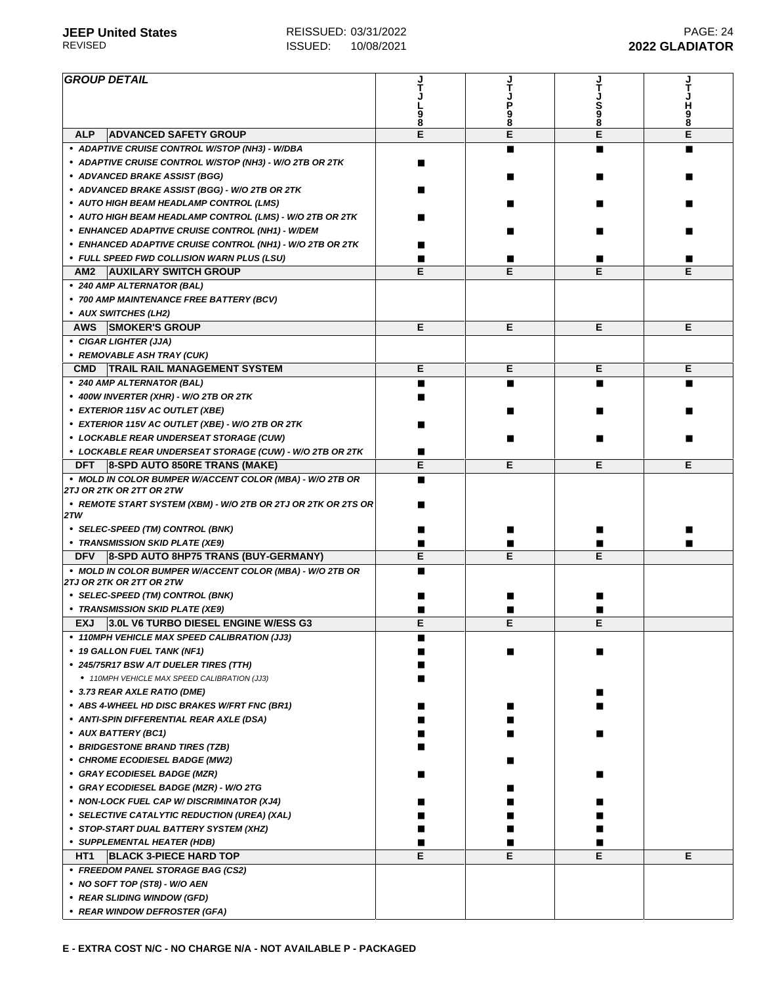| <b>GROUP DETAIL</b>                                                               |   |        |             |             |
|-----------------------------------------------------------------------------------|---|--------|-------------|-------------|
|                                                                                   |   |        |             |             |
|                                                                                   |   |        | S<br>9<br>8 | н<br>9<br>8 |
| <b>ALP</b><br><b>ADVANCED SAFETY GROUP</b>                                        | E | 8<br>E | E           | E           |
| • ADAPTIVE CRUISE CONTROL W/STOP (NH3) - W/DBA                                    |   |        |             |             |
| • ADAPTIVE CRUISE CONTROL W/STOP (NH3) - W/O 2TB OR 2TK                           |   |        |             |             |
| • ADVANCED BRAKE ASSIST (BGG)                                                     |   |        |             |             |
| • ADVANCED BRAKE ASSIST (BGG) - W/O 2TB OR 2TK                                    |   |        |             |             |
| • AUTO HIGH BEAM HEADLAMP CONTROL (LMS)                                           |   |        |             |             |
| • AUTO HIGH BEAM HEADLAMP CONTROL (LMS) - W/O 2TB OR 2TK                          |   |        |             |             |
| • ENHANCED ADAPTIVE CRUISE CONTROL (NH1) - W/DEM                                  |   |        |             |             |
|                                                                                   |   |        |             |             |
| • ENHANCED ADAPTIVE CRUISE CONTROL (NH1) - W/O 2TB OR 2TK                         |   |        |             |             |
| • FULL SPEED FWD COLLISION WARN PLUS (LSU)<br><b>AUXILARY SWITCH GROUP</b><br>AM2 | Е | Е      | Е           | Е           |
|                                                                                   |   |        |             |             |
| • 240 AMP ALTERNATOR (BAL)                                                        |   |        |             |             |
| • 700 AMP MAINTENANCE FREE BATTERY (BCV)                                          |   |        |             |             |
| • AUX SWITCHES (LH2)                                                              |   |        |             |             |
| <b>SMOKER'S GROUP</b><br><b>AWS</b>                                               | Е | Е      | E           | Е           |
| • CIGAR LIGHTER (JJA)                                                             |   |        |             |             |
| • REMOVABLE ASH TRAY (CUK)                                                        |   |        |             |             |
| TRAIL RAIL MANAGEMENT SYSTEM<br><b>CMD</b>                                        | Е | Е      | Е           | Е           |
| • 240 AMP ALTERNATOR (BAL)                                                        |   |        |             |             |
| • 400W INVERTER (XHR) - W/O 2TB OR 2TK                                            |   |        |             |             |
| • EXTERIOR 115V AC OUTLET (XBE)                                                   |   |        |             |             |
| • EXTERIOR 115V AC OUTLET (XBE) - W/O 2TB OR 2TK                                  |   |        |             |             |
| • LOCKABLE REAR UNDERSEAT STORAGE (CUW)                                           |   |        |             |             |
| • LOCKABLE REAR UNDERSEAT STORAGE (CUW) - W/O 2TB OR 2TK                          |   |        |             |             |
| <b>DFT</b><br>8-SPD AUTO 850RE TRANS (MAKE)                                       | Е | Е      | Е           | Е           |
| • MOLD IN COLOR BUMPER W/ACCENT COLOR (MBA) - W/O 2TB OR                          |   |        |             |             |
| 2TJ OR 2TK OR 2TT OR 2TW                                                          |   |        |             |             |
| • REMOTE START SYSTEM (XBM) - W/O 2TB OR 2TJ OR 2TK OR 2TS OR<br>2TW              |   |        |             |             |
| • SELEC-SPEED (TM) CONTROL (BNK)                                                  |   |        |             |             |
| • TRANSMISSION SKID PLATE (XE9)                                                   |   |        |             |             |
| <b>DFV</b><br>8-SPD AUTO 8HP75 TRANS (BUY-GERMANY)                                | E | E      | E           |             |
| • MOLD IN COLOR BUMPER W/ACCENT COLOR (MBA) - W/O 2TB OR                          |   |        |             |             |
| 2TJ OR 2TK OR 2TT OR 2TW                                                          |   |        |             |             |
| • SELEC-SPEED (TM) CONTROL (BNK)                                                  |   |        |             |             |
| • TRANSMISSION SKID PLATE (XE9)                                                   |   |        |             |             |
| 3.0L V6 TURBO DIESEL ENGINE W/ESS G3<br><b>EXJ</b>                                | Е | Е      | Е           |             |
| • 110MPH VEHICLE MAX SPEED CALIBRATION (JJ3)                                      |   |        |             |             |
| • 19 GALLON FUEL TANK (NF1)                                                       |   |        |             |             |
| • 245/75R17 BSW A/T DUELER TIRES (TTH)                                            |   |        |             |             |
| • 110MPH VEHICLE MAX SPEED CALIBRATION (JJ3)                                      |   |        |             |             |
| • 3.73 REAR AXLE RATIO (DME)                                                      |   |        |             |             |
| • ABS 4-WHEEL HD DISC BRAKES W/FRT FNC (BR1)                                      |   |        |             |             |
| • ANTI-SPIN DIFFERENTIAL REAR AXLE (DSA)                                          |   |        |             |             |
| • AUX BATTERY (BC1)                                                               |   |        |             |             |
| • BRIDGESTONE BRAND TIRES (TZB)                                                   |   |        |             |             |
| • CHROME ECODIESEL BADGE (MW2)                                                    |   |        |             |             |
| • GRAY ECODIESEL BADGE (MZR)                                                      |   |        |             |             |
| • GRAY ECODIESEL BADGE (MZR) - W/O 2TG                                            |   |        |             |             |
| • NON-LOCK FUEL CAP W/DISCRIMINATOR (XJ4)                                         |   |        |             |             |
| • SELECTIVE CATALYTIC REDUCTION (UREA) (XAL)                                      |   |        |             |             |
| • STOP-START DUAL BATTERY SYSTEM (XHZ)                                            |   |        |             |             |
| • SUPPLEMENTAL HEATER (HDB)                                                       |   |        |             |             |
| HT1<br><b>BLACK 3-PIECE HARD TOP</b>                                              | E | E      | Е           | Е           |
| • FREEDOM PANEL STORAGE BAG (CS2)                                                 |   |        |             |             |
| • NO SOFT TOP (ST8) - W/O AEN                                                     |   |        |             |             |
| • REAR SLIDING WINDOW (GFD)                                                       |   |        |             |             |
| • REAR WINDOW DEFROSTER (GFA)                                                     |   |        |             |             |
|                                                                                   |   |        |             |             |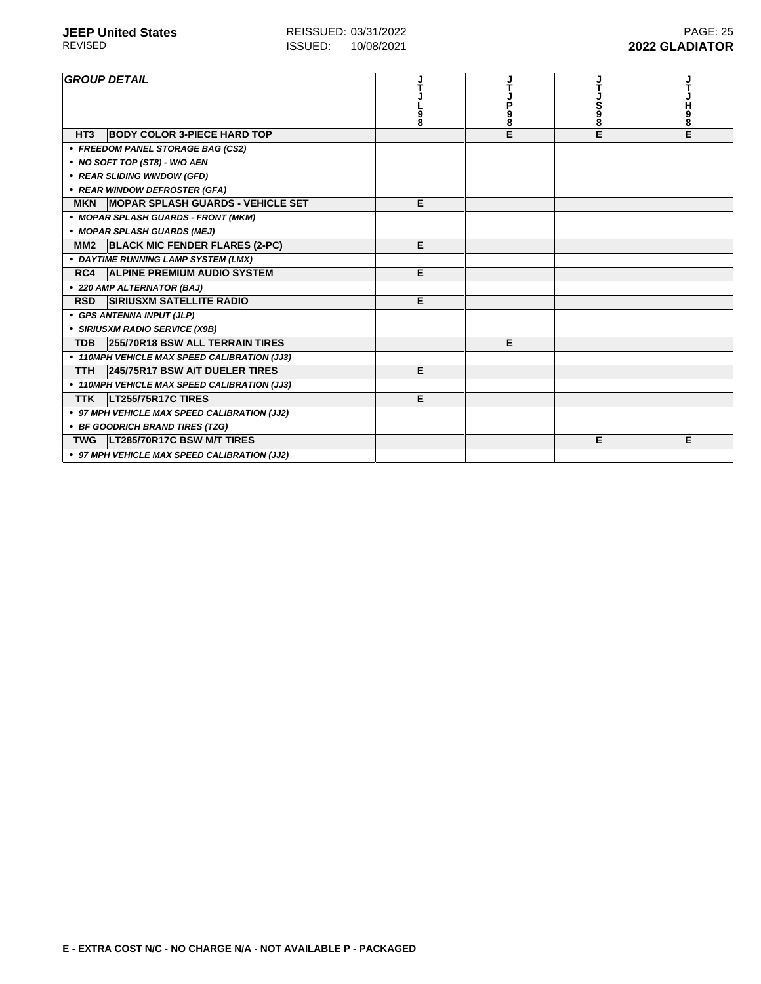| <b>GROUP DETAIL</b>                                      | 9<br>8 | P<br>9<br>8 | S<br>98 | н<br>9<br>8 |
|----------------------------------------------------------|--------|-------------|---------|-------------|
| <b>BODY COLOR 3-PIECE HARD TOP</b><br>HT <sub>3</sub>    |        | E           | E       | E           |
| • FREEDOM PANEL STORAGE BAG (CS2)                        |        |             |         |             |
| • NO SOFT TOP (ST8) - W/O AEN                            |        |             |         |             |
| • REAR SLIDING WINDOW (GFD)                              |        |             |         |             |
| • REAR WINDOW DEFROSTER (GFA)                            |        |             |         |             |
| <b>MOPAR SPLASH GUARDS - VEHICLE SET</b><br><b>MKN</b>   | Е      |             |         |             |
| • MOPAR SPLASH GUARDS - FRONT (MKM)                      |        |             |         |             |
| • MOPAR SPLASH GUARDS (MEJ)                              |        |             |         |             |
| <b>BLACK MIC FENDER FLARES (2-PC)</b><br>MM <sub>2</sub> | E      |             |         |             |
| • DAYTIME RUNNING LAMP SYSTEM (LMX)                      |        |             |         |             |
| RC4<br><b>ALPINE PREMIUM AUDIO SYSTEM</b>                | E      |             |         |             |
| • 220 AMP ALTERNATOR (BAJ)                               |        |             |         |             |
| <b>SIRIUSXM SATELLITE RADIO</b><br><b>RSD</b>            | E      |             |         |             |
| • GPS ANTENNA INPUT (JLP)                                |        |             |         |             |
| • SIRIUSXM RADIO SERVICE (X9B)                           |        |             |         |             |
| 255/70R18 BSW ALL TERRAIN TIRES<br><b>TDB</b>            |        | Е           |         |             |
| • 110MPH VEHICLE MAX SPEED CALIBRATION (JJ3)             |        |             |         |             |
| 245/75R17 BSW A/T DUELER TIRES<br><b>TTH</b>             | Е      |             |         |             |
| • 110MPH VEHICLE MAX SPEED CALIBRATION (JJ3)             |        |             |         |             |
| LT255/75R17C TIRES<br><b>TTK</b>                         | E      |             |         |             |
| • 97 MPH VEHICLE MAX SPEED CALIBRATION (JJ2)             |        |             |         |             |
| • BF GOODRICH BRAND TIRES (TZG)                          |        |             |         |             |
| LT285/70R17C BSW M/T TIRES<br><b>TWG</b>                 |        |             | Е       | Е           |
| • 97 MPH VEHICLE MAX SPEED CALIBRATION (JJ2)             |        |             |         |             |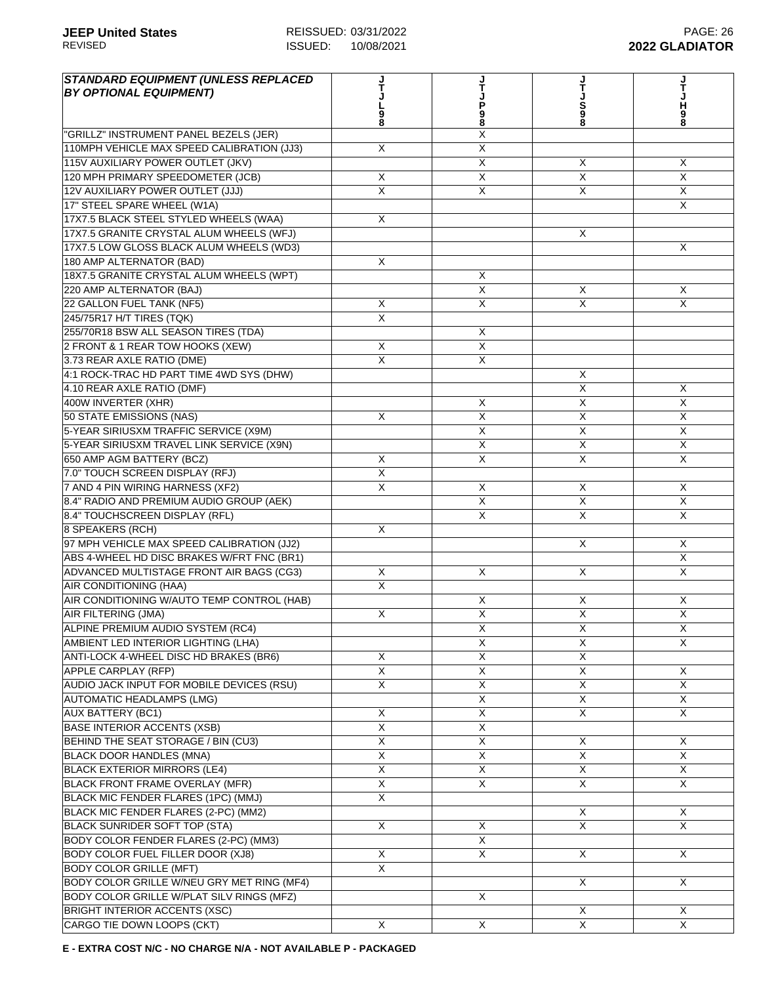| <b>STANDARD EQUIPMENT (UNLESS REPLACED)</b><br><b>BY OPTIONAL EQUIPMENT)</b> |                         | Ť<br>P<br>98            | S<br>98                 | н<br>9<br>8                |
|------------------------------------------------------------------------------|-------------------------|-------------------------|-------------------------|----------------------------|
| "GRILLZ" INSTRUMENT PANEL BEZELS (JER)                                       |                         | Χ                       |                         |                            |
| 110MPH VEHICLE MAX SPEED CALIBRATION (JJ3)                                   | X                       | X                       |                         |                            |
| 115V AUXILIARY POWER OUTLET (JKV)                                            |                         | X                       | X                       | X                          |
| 120 MPH PRIMARY SPEEDOMETER (JCB)                                            | X                       | X                       | X                       | $\mathsf{X}$               |
| 12V AUXILIARY POWER OUTLET (JJJ)                                             | X                       | X                       | X                       | X                          |
| 17" STEEL SPARE WHEEL (W1A)                                                  |                         |                         |                         | $\times$                   |
| 17X7.5 BLACK STEEL STYLED WHEELS (WAA)                                       | X                       |                         |                         |                            |
| 17X7.5 GRANITE CRYSTAL ALUM WHEELS (WFJ)                                     |                         |                         | X                       |                            |
| 17X7.5 LOW GLOSS BLACK ALUM WHEELS (WD3)                                     |                         |                         |                         | X                          |
| 180 AMP ALTERNATOR (BAD)                                                     | X                       |                         |                         |                            |
| 18X7.5 GRANITE CRYSTAL ALUM WHEELS (WPT)                                     |                         | X                       |                         |                            |
| 220 AMP ALTERNATOR (BAJ)                                                     |                         | X                       | X                       | X                          |
| 22 GALLON FUEL TANK (NF5)                                                    | X                       | X                       | $\overline{X}$          | $\overline{X}$             |
| 245/75R17 H/T TIRES (TQK)                                                    | X                       |                         |                         |                            |
| 255/70R18 BSW ALL SEASON TIRES (TDA)                                         |                         | X                       |                         |                            |
| 2 FRONT & 1 REAR TOW HOOKS (XEW)                                             | X                       | X                       |                         |                            |
| 3.73 REAR AXLE RATIO (DME)                                                   | X                       | $\overline{\mathsf{x}}$ |                         |                            |
| 4:1 ROCK-TRAC HD PART TIME 4WD SYS (DHW)                                     |                         |                         | X                       |                            |
| 4.10 REAR AXLE RATIO (DMF)                                                   |                         |                         | X                       | X                          |
| 400W INVERTER (XHR)                                                          |                         | X                       | $\overline{\mathsf{x}}$ | $\overline{X}$             |
| 50 STATE EMISSIONS (NAS)                                                     | X                       | X                       | X                       | X                          |
| 5-YEAR SIRIUSXM TRAFFIC SERVICE (X9M)                                        |                         | X                       | X                       | $\mathsf{X}$               |
| 5-YEAR SIRIUSXM TRAVEL LINK SERVICE (X9N)                                    |                         | X                       | X                       | $\mathsf{X}$               |
| 650 AMP AGM BATTERY (BCZ)                                                    | X                       | X                       | X                       | X                          |
| 7.0" TOUCH SCREEN DISPLAY (RFJ)                                              | $\overline{X}$          |                         |                         |                            |
| 7 AND 4 PIN WIRING HARNESS (XF2)                                             | X                       | X                       | X                       | X                          |
| 8.4" RADIO AND PREMIUM AUDIO GROUP (AEK)                                     |                         | X                       | $\overline{\mathsf{x}}$ | $\overline{X}$             |
|                                                                              |                         | X                       | X                       | $\overline{\mathsf{x}}$    |
| 8.4" TOUCHSCREEN DISPLAY (RFL)                                               |                         |                         |                         |                            |
| 8 SPEAKERS (RCH)<br>97 MPH VEHICLE MAX SPEED CALIBRATION (JJ2)               | X                       |                         | X                       |                            |
|                                                                              |                         |                         |                         | $\times$<br>$\overline{X}$ |
| ABS 4-WHEEL HD DISC BRAKES W/FRT FNC (BR1)                                   | X                       |                         | $\sf X$                 |                            |
| ADVANCED MULTISTAGE FRONT AIR BAGS (CG3)                                     |                         | X                       |                         | $\times$                   |
| <b>AIR CONDITIONING (HAA)</b>                                                | X                       |                         |                         |                            |
| AIR CONDITIONING W/AUTO TEMP CONTROL (HAB)                                   |                         | X                       | X                       | X                          |
| AIR FILTERING (JMA)                                                          | X                       | X                       | X                       | X                          |
| ALPINE PREMIUM AUDIO SYSTEM (RC4)                                            |                         | $\overline{X}$          | $\pmb{\times}$          | X                          |
| AMBIENT LED INTERIOR LIGHTING (LHA)                                          |                         | $\overline{X}$          | $\overline{\mathsf{x}}$ | X                          |
| ANTI-LOCK 4-WHEEL DISC HD BRAKES (BR6)                                       | X                       | $\overline{\mathsf{X}}$ | $\overline{X}$          |                            |
| <b>APPLE CARPLAY (RFP)</b>                                                   | $\overline{X}$          | X                       | $\overline{X}$          | $\times$                   |
| AUDIO JACK INPUT FOR MOBILE DEVICES (RSU)                                    | X                       | X                       | $\overline{\mathsf{x}}$ | X                          |
| <b>AUTOMATIC HEADLAMPS (LMG)</b>                                             |                         | $\overline{\mathsf{x}}$ | X                       | $\mathsf{X}$               |
| <b>AUX BATTERY (BC1)</b>                                                     | X                       | $\overline{X}$          | X                       | X                          |
| <b>BASE INTERIOR ACCENTS (XSB)</b>                                           | X                       | X                       |                         |                            |
| BEHIND THE SEAT STORAGE / BIN (CU3)                                          | X                       | X                       | X                       | X                          |
| BLACK DOOR HANDLES (MNA)                                                     | $\overline{\mathsf{x}}$ | X                       | X                       | X                          |
| <b>BLACK EXTERIOR MIRRORS (LE4)</b>                                          | $\overline{\mathsf{x}}$ | $\overline{X}$          | X                       | X                          |
| <b>BLACK FRONT FRAME OVERLAY (MFR)</b>                                       | $\overline{X}$          | X                       | X                       | X                          |
| BLACK MIC FENDER FLARES (1PC) (MMJ)                                          | $\overline{\mathsf{x}}$ |                         |                         |                            |
| BLACK MIC FENDER FLARES (2-PC) (MM2)                                         |                         |                         | X                       | X                          |
| <b>BLACK SUNRIDER SOFT TOP (STA)</b>                                         | X                       | X                       | $\overline{X}$          | $\overline{X}$             |
| BODY COLOR FENDER FLARES (2-PC) (MM3)                                        |                         | X                       |                         |                            |
| BODY COLOR FUEL FILLER DOOR (XJ8)                                            | X                       | X                       | X                       | X                          |
| <b>BODY COLOR GRILLE (MFT)</b>                                               | $\mathsf{X}$            |                         |                         |                            |
| BODY COLOR GRILLE W/NEU GRY MET RING (MF4)                                   |                         |                         | X                       | X                          |
| BODY COLOR GRILLE W/PLAT SILV RINGS (MFZ)                                    |                         | X                       |                         |                            |
| <b>BRIGHT INTERIOR ACCENTS (XSC)</b>                                         |                         |                         | $\overline{X}$          | X                          |
| CARGO TIE DOWN LOOPS (CKT)                                                   | X                       | X                       | $\overline{\mathsf{X}}$ | $\overline{X}$             |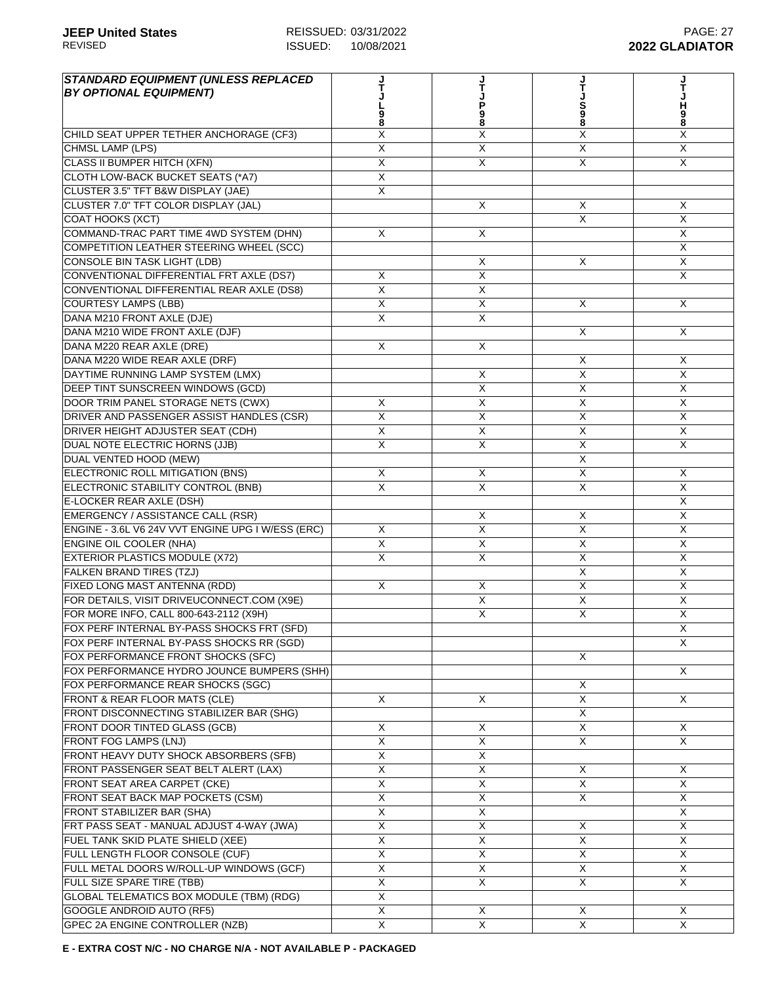| <b>STANDARD EQUIPMENT (UNLESS REPLACED</b>                  |                         |                           |                         | J<br>T                  |
|-------------------------------------------------------------|-------------------------|---------------------------|-------------------------|-------------------------|
| <b>BY OPTIONAL EQUIPMENT)</b>                               |                         |                           |                         |                         |
|                                                             | 9<br>8                  | 9<br>8                    | S<br>98                 | H<br>98                 |
|                                                             | Χ                       | Χ                         | $\overline{X}$          | X                       |
| CHILD SEAT UPPER TETHER ANCHORAGE (CF3)<br>CHMSL LAMP (LPS) | $\overline{X}$          | $\overline{X}$            | $\overline{\mathsf{x}}$ | $\overline{X}$          |
| <b>CLASS II BUMPER HITCH (XFN)</b>                          | X                       | $\sf X$                   | X                       | X                       |
| CLOTH LOW-BACK BUCKET SEATS (*A7)                           | X                       |                           |                         |                         |
|                                                             | X                       |                           |                         |                         |
| CLUSTER 3.5" TFT B&W DISPLAY (JAE)                          |                         |                           |                         |                         |
| CLUSTER 7.0" TFT COLOR DISPLAY (JAL)                        |                         | X                         | X                       | X<br>X                  |
| COAT HOOKS (XCT)                                            |                         |                           | $\times$                |                         |
| COMMAND-TRAC PART TIME 4WD SYSTEM (DHN)                     | X                       | X                         |                         | X                       |
| COMPETITION LEATHER STEERING WHEEL (SCC)                    |                         |                           |                         | $\overline{X}$          |
| <b>CONSOLE BIN TASK LIGHT (LDB)</b>                         |                         | X                         | X                       | $\overline{X}$          |
| CONVENTIONAL DIFFERENTIAL FRT AXLE (DS7)                    | X                       | $\overline{X}$            |                         | $\overline{X}$          |
| CONVENTIONAL DIFFERENTIAL REAR AXLE (DS8)                   | X                       | X                         |                         |                         |
| <b>COURTESY LAMPS (LBB)</b>                                 | X                       | X                         | X                       | X                       |
| DANA M210 FRONT AXLE (DJE)                                  | X                       | $\times$                  |                         |                         |
| DANA M210 WIDE FRONT AXLE (DJF)                             |                         |                           | X                       | X                       |
| DANA M220 REAR AXLE (DRE)                                   | X                       | X                         |                         |                         |
| DANA M220 WIDE REAR AXLE (DRF)                              |                         |                           | X                       | Χ                       |
| DAYTIME RUNNING LAMP SYSTEM (LMX)                           |                         | X                         | $\overline{\mathsf{x}}$ | $\overline{\mathsf{x}}$ |
| DEEP TINT SUNSCREEN WINDOWS (GCD)                           |                         | X                         | $\overline{X}$          | $\overline{X}$          |
| DOOR TRIM PANEL STORAGE NETS (CWX)                          | X                       | $\overline{\mathsf{x}}$   | $\overline{X}$          | $\overline{\mathsf{X}}$ |
| DRIVER AND PASSENGER ASSIST HANDLES (CSR)                   | $\overline{X}$          | X                         | $\overline{X}$          | $\overline{X}$          |
| DRIVER HEIGHT ADJUSTER SEAT (CDH)                           | X                       | $\sf X$                   | X                       | X                       |
| DUAL NOTE ELECTRIC HORNS (JJB)                              | X                       | X                         | X                       | $\overline{X}$          |
| DUAL VENTED HOOD (MEW)                                      |                         |                           | X                       |                         |
| ELECTRONIC ROLL MITIGATION (BNS)                            | X                       | X                         | X                       | X                       |
| ELECTRONIC STABILITY CONTROL (BNB)                          | X                       | X                         | X                       | X                       |
| E-LOCKER REAR AXLE (DSH)                                    |                         |                           |                         | X                       |
| EMERGENCY / ASSISTANCE CALL (RSR)                           |                         | $\boldsymbol{\mathsf{X}}$ | X                       | $\overline{X}$          |
| ENGINE - 3.6L V6 24V VVT ENGINE UPG I W/ESS (ERC)           | X                       | $\overline{\mathsf{x}}$   | X                       | $\overline{X}$          |
| <b>ENGINE OIL COOLER (NHA)</b>                              | $\overline{X}$          | $\overline{X}$            | $\overline{X}$          | $\overline{X}$          |
| <b>EXTERIOR PLASTICS MODULE (X72)</b>                       | X                       | X                         | X                       | X                       |
| <b>FALKEN BRAND TIRES (TZJ)</b>                             |                         |                           | X                       | X                       |
| FIXED LONG MAST ANTENNA (RDD)                               | X                       | $\times$                  | X                       | X                       |
| FOR DETAILS, VISIT DRIVEUCONNECT.COM (X9E)                  |                         | X                         | X                       | X                       |
| FOR MORE INFO, CALL 800-643-2112 (X9H)                      |                         | X                         | $\mathsf{X}$            | X                       |
| FOX PERF INTERNAL BY-PASS SHOCKS FRT (SFD)                  |                         |                           |                         | $\overline{X}$          |
| FOX PERF INTERNAL BY-PASS SHOCKS RR (SGD)                   |                         |                           |                         | X                       |
| FOX PERFORMANCE FRONT SHOCKS (SFC)                          |                         |                           | X                       |                         |
| FOX PERFORMANCE HYDRO JOUNCE BUMPERS (SHH)                  |                         |                           |                         | X                       |
| FOX PERFORMANCE REAR SHOCKS (SGC)                           |                         |                           | X                       |                         |
| FRONT & REAR FLOOR MATS (CLE)                               | X                       | X                         | $\overline{X}$          | X                       |
| FRONT DISCONNECTING STABILIZER BAR (SHG)                    |                         |                           | X                       |                         |
| FRONT DOOR TINTED GLASS (GCB)                               | X                       | X                         | X                       | X                       |
| <b>FRONT FOG LAMPS (LNJ)</b>                                | X                       | X                         | X                       | X                       |
| FRONT HEAVY DUTY SHOCK ABSORBERS (SFB)                      | X                       | X                         |                         |                         |
| FRONT PASSENGER SEAT BELT ALERT (LAX)                       | X                       | X                         | X                       | X                       |
| FRONT SEAT AREA CARPET (CKE)                                | $\overline{\mathsf{X}}$ | X                         | X                       | $\overline{X}$          |
| FRONT SEAT BACK MAP POCKETS (CSM)                           | $\overline{\mathsf{X}}$ | $\overline{X}$            | $\overline{X}$          | $\overline{X}$          |
| FRONT STABILIZER BAR (SHA)                                  | X                       | X                         |                         | X                       |
| FRT PASS SEAT - MANUAL ADJUST 4-WAY (JWA)                   | X                       | X                         | X                       | X                       |
| FUEL TANK SKID PLATE SHIELD (XEE)                           | X                       | X                         | X                       | X                       |
| FULL LENGTH FLOOR CONSOLE (CUF)                             | X                       | X                         | X                       | X                       |
| FULL METAL DOORS W/ROLL-UP WINDOWS (GCF)                    | X                       | X                         | X                       | X                       |
| FULL SIZE SPARE TIRE (TBB)                                  | X                       | X                         | X                       | X.                      |
| GLOBAL TELEMATICS BOX MODULE (TBM) (RDG)                    | $\overline{X}$          |                           |                         |                         |
| GOOGLE ANDROID AUTO (RF5)                                   | $\overline{X}$          | X                         | X                       | X                       |
| GPEC 2A ENGINE CONTROLLER (NZB)                             | Χ                       | X                         | $\overline{X}$          | $\overline{\mathsf{x}}$ |
|                                                             |                         |                           |                         |                         |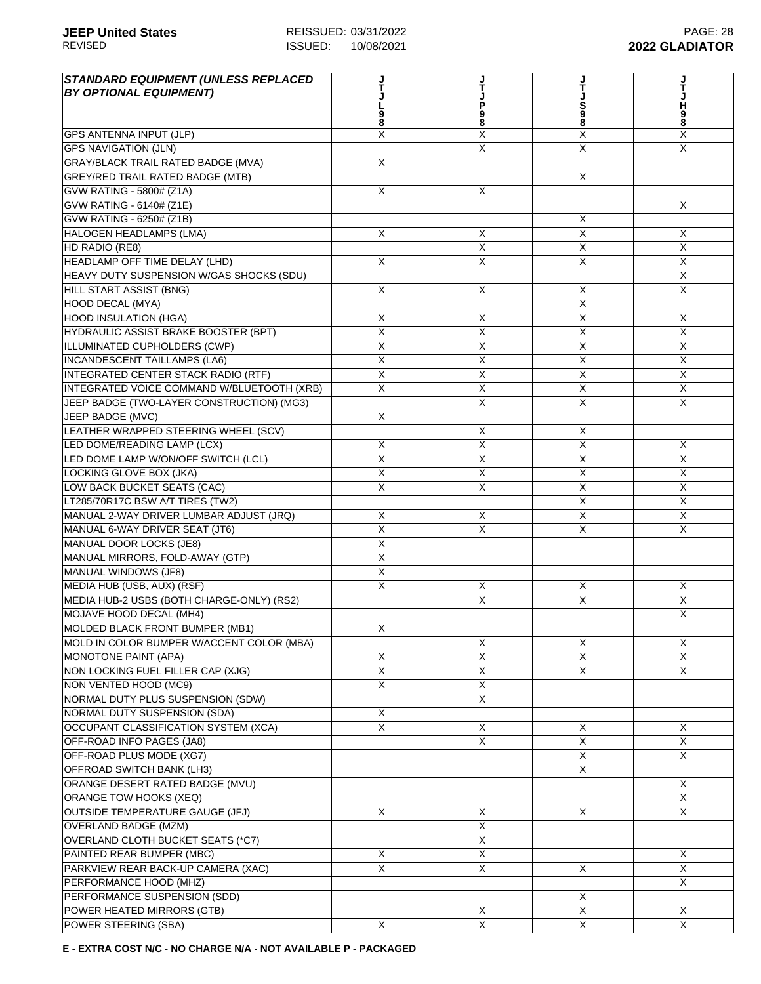| <b>STANDARD EQUIPMENT (UNLESS REPLACED)</b><br><b>BY OPTIONAL EQUIPMENT)</b> |                         | P<br>98                 | S<br>8                  | н<br>9<br>8             |
|------------------------------------------------------------------------------|-------------------------|-------------------------|-------------------------|-------------------------|
| <b>GPS ANTENNA INPUT (JLP)</b>                                               | X                       | Χ                       | X                       | X                       |
| <b>GPS NAVIGATION (JLN)</b>                                                  |                         | X                       | X                       | $\mathsf{X}$            |
| <b>GRAY/BLACK TRAIL RATED BADGE (MVA)</b>                                    | X                       |                         |                         |                         |
| <b>GREY/RED TRAIL RATED BADGE (MTB)</b>                                      |                         |                         | X                       |                         |
| GVW RATING - 5800# (Z1A)                                                     | X                       | X                       |                         |                         |
| GVW RATING - 6140# (Z1E)                                                     |                         |                         |                         | $\times$                |
| GVW RATING - 6250# (Z1B)                                                     |                         |                         | X                       |                         |
| <b>HALOGEN HEADLAMPS (LMA)</b>                                               | X                       | $\overline{X}$          | X                       | X                       |
| HD RADIO (RE8)                                                               |                         | $\overline{X}$          | X                       | $\overline{\mathsf{x}}$ |
| HEADLAMP OFF TIME DELAY (LHD)                                                | X                       | $\overline{X}$          | $\overline{\mathsf{X}}$ | $\overline{X}$          |
| HEAVY DUTY SUSPENSION W/GAS SHOCKS (SDU)                                     |                         |                         |                         | $\times$                |
| <b>HILL START ASSIST (BNG)</b>                                               | X                       | X                       | X                       | X                       |
| <b>HOOD DECAL (MYA)</b>                                                      |                         |                         | X                       |                         |
| <b>HOOD INSULATION (HGA)</b>                                                 | Χ                       | Х                       | X                       | X                       |
| HYDRAULIC ASSIST BRAKE BOOSTER (BPT)                                         | X                       | X                       | X                       | $\mathsf{X}$            |
| ILLUMINATED CUPHOLDERS (CWP)                                                 | X                       | X                       | X                       | $\times$                |
| <b>INCANDESCENT TAILLAMPS (LA6)</b>                                          | X                       | $\overline{X}$          | X                       | X                       |
| INTEGRATED CENTER STACK RADIO (RTF)                                          | $\overline{\mathsf{x}}$ | $\overline{X}$          | $\overline{X}$          | $\overline{\mathsf{x}}$ |
| INTEGRATED VOICE COMMAND W/BLUETOOTH (XRB)                                   | X                       | X                       | X                       | X                       |
| JEEP BADGE (TWO-LAYER CONSTRUCTION) (MG3)                                    |                         | $\overline{X}$          | $\overline{\mathsf{x}}$ | $\mathsf{X}$            |
| JEEP BADGE (MVC)                                                             | X                       |                         |                         |                         |
| LEATHER WRAPPED STEERING WHEEL (SCV)                                         |                         | X                       | X                       |                         |
| LED DOME/READING LAMP (LCX)                                                  | X                       | X                       | $\sf X$                 | X                       |
| LED DOME LAMP W/ON/OFF SWITCH (LCL)                                          | X                       | X                       | X                       | X                       |
| LOCKING GLOVE BOX (JKA)                                                      | X                       | X                       | X                       | $\times$                |
| LOW BACK BUCKET SEATS (CAC)                                                  | X                       | X                       | X                       | X                       |
| LT285/70R17C BSW A/T TIRES (TW2)                                             |                         |                         | $\overline{\mathsf{x}}$ | $\mathsf{X}$            |
| MANUAL 2-WAY DRIVER LUMBAR ADJUST (JRQ)                                      | X                       | X                       | $\overline{\mathsf{x}}$ | $\overline{X}$          |
| MANUAL 6-WAY DRIVER SEAT (JT6)                                               | $\overline{X}$          | X                       | $\overline{X}$          | X                       |
| MANUAL DOOR LOCKS (JE8)                                                      | X                       |                         |                         |                         |
| MANUAL MIRRORS, FOLD-AWAY (GTP)                                              | X                       |                         |                         |                         |
| <b>MANUAL WINDOWS (JF8)</b>                                                  | X                       |                         |                         |                         |
| MEDIA HUB (USB, AUX) (RSF)                                                   | X                       | X                       | X                       | X                       |
| MEDIA HUB-2 USBS (BOTH CHARGE-ONLY) (RS2)                                    |                         | X                       | X                       | $\mathsf{X}$            |
| MOJAVE HOOD DECAL (MH4)                                                      |                         |                         |                         | X                       |
| MOLDED BLACK FRONT BUMPER (MB1)                                              | X                       |                         |                         |                         |
| MOLD IN COLOR BUMPER W/ACCENT COLOR (MBA)                                    |                         | $\overline{\mathsf{x}}$ | X                       | X                       |
| <b>MONOTONE PAINT (APA)</b>                                                  | X                       | $\overline{\mathsf{X}}$ | X                       | $\overline{X}$          |
| NON LOCKING FUEL FILLER CAP (XJG)                                            | $\overline{X}$          | X                       | $\mathsf{X}$            | $\times$                |
| NON VENTED HOOD (MC9)                                                        | X                       | X                       |                         |                         |
| NORMAL DUTY PLUS SUSPENSION (SDW)                                            |                         | X                       |                         |                         |
| NORMAL DUTY SUSPENSION (SDA)                                                 | X                       |                         |                         |                         |
| OCCUPANT CLASSIFICATION SYSTEM (XCA)                                         | X                       | X                       | X                       | X                       |
| OFF-ROAD INFO PAGES (JA8)                                                    |                         | X                       | X                       | X                       |
| OFF-ROAD PLUS MODE (XG7)                                                     |                         |                         | X                       | X                       |
| OFFROAD SWITCH BANK (LH3)                                                    |                         |                         | X                       |                         |
| ORANGE DESERT RATED BADGE (MVU)                                              |                         |                         |                         | X                       |
| ORANGE TOW HOOKS (XEQ)                                                       |                         |                         |                         | X                       |
| <b>OUTSIDE TEMPERATURE GAUGE (JFJ)</b>                                       | X                       | X                       | X                       | X                       |
| <b>OVERLAND BADGE (MZM)</b>                                                  |                         | X                       |                         |                         |
| OVERLAND CLOTH BUCKET SEATS (*C7)                                            |                         | X                       |                         |                         |
| PAINTED REAR BUMPER (MBC)                                                    | X                       | X                       |                         | X                       |
| PARKVIEW REAR BACK-UP CAMERA (XAC)                                           | X                       | X                       | X                       | X                       |
| PERFORMANCE HOOD (MHZ)                                                       |                         |                         |                         | X                       |
| PERFORMANCE SUSPENSION (SDD)                                                 |                         |                         | $\sf X$                 |                         |
| POWER HEATED MIRRORS (GTB)                                                   |                         | X                       | $\overline{X}$          | X                       |
| POWER STEERING (SBA)                                                         | X                       | X                       | $\overline{\mathsf{X}}$ | $\overline{X}$          |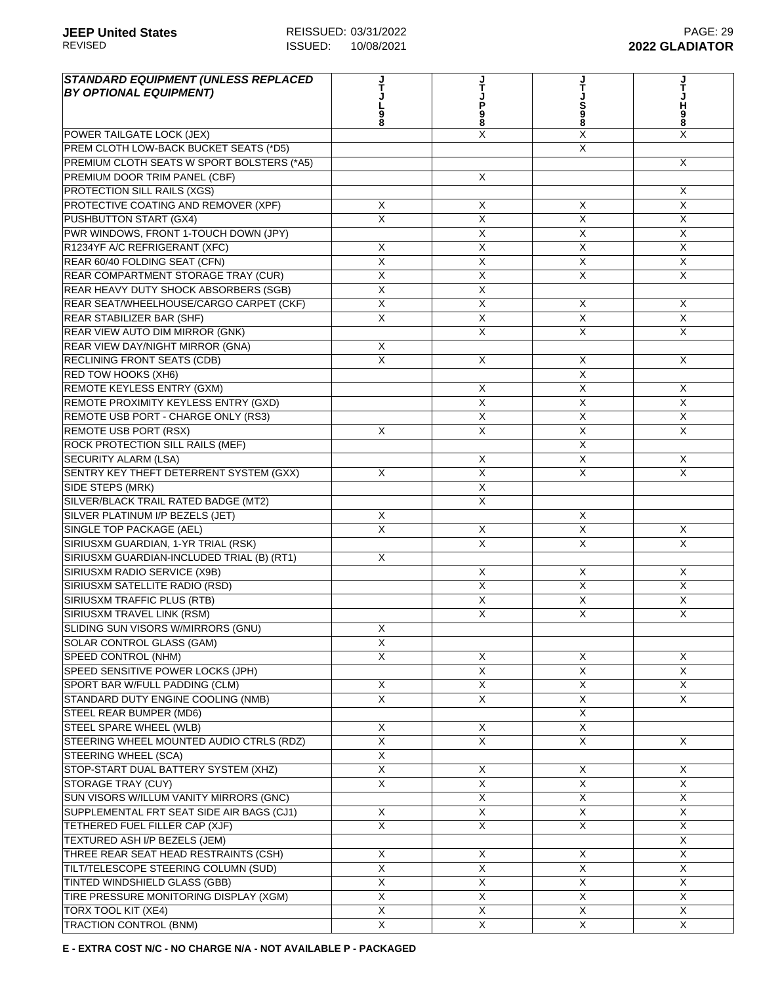| <b>STANDARD EQUIPMENT (UNLESS REPLACED)</b><br><b>BY OPTIONAL EQUIPMENT)</b> |                         | Ť                       |                         |                |
|------------------------------------------------------------------------------|-------------------------|-------------------------|-------------------------|----------------|
|                                                                              |                         |                         |                         | н              |
|                                                                              |                         | P<br>98                 | S<br>8                  | 9<br>8         |
| POWER TAILGATE LOCK (JEX)                                                    |                         | Χ                       | X                       | X              |
| PREM CLOTH LOW-BACK BUCKET SEATS (*D5)                                       |                         |                         | X                       |                |
| PREMIUM CLOTH SEATS W SPORT BOLSTERS (*A5)                                   |                         |                         |                         | X              |
| PREMIUM DOOR TRIM PANEL (CBF)                                                |                         | X                       |                         |                |
| PROTECTION SILL RAILS (XGS)                                                  |                         |                         |                         | Χ              |
| PROTECTIVE COATING AND REMOVER (XPF)                                         | X                       | X                       | X                       | $\mathsf{X}$   |
| PUSHBUTTON START (GX4)                                                       | X                       | X                       | X                       | X              |
| PWR WINDOWS, FRONT 1-TOUCH DOWN (JPY)                                        |                         | X                       | X                       | $\overline{X}$ |
| R1234YF A/C REFRIGERANT (XFC)                                                | X                       | $\overline{X}$          | $\overline{X}$          | $\overline{X}$ |
| REAR 60/40 FOLDING SEAT (CFN)                                                | $\overline{\mathsf{x}}$ | $\overline{\mathsf{x}}$ | $\overline{\mathsf{x}}$ | $\overline{X}$ |
| REAR COMPARTMENT STORAGE TRAY (CUR)                                          | X                       | X                       | X                       | $\times$       |
| REAR HEAVY DUTY SHOCK ABSORBERS (SGB)                                        | X                       | $\mathsf X$             |                         |                |
| REAR SEAT/WHEELHOUSE/CARGO CARPET (CKF)                                      | X                       | X                       | X                       | X              |
| <b>REAR STABILIZER BAR (SHF)</b>                                             | X                       | X                       | X                       | X              |
| REAR VIEW AUTO DIM MIRROR (GNK)                                              |                         | X                       | X                       | $\times$       |
| REAR VIEW DAY/NIGHT MIRROR (GNA)                                             | X                       |                         |                         |                |
| <b>RECLINING FRONT SEATS (CDB)</b>                                           | X                       | X                       | Χ                       | X              |
| RED TOW HOOKS (XH6)                                                          |                         |                         | $\overline{\mathsf{x}}$ |                |
| <b>REMOTE KEYLESS ENTRY (GXM)</b>                                            |                         | X                       | X                       | X              |
| REMOTE PROXIMITY KEYLESS ENTRY (GXD)                                         |                         | $\overline{X}$          | $\overline{\mathsf{x}}$ | $\overline{X}$ |
| REMOTE USB PORT - CHARGE ONLY (RS3)                                          |                         | X                       | X                       | X              |
| <b>REMOTE USB PORT (RSX)</b>                                                 | X                       | X                       | X                       | $\mathsf{X}$   |
| ROCK PROTECTION SILL RAILS (MEF)                                             |                         |                         | $\sf X$                 |                |
| <b>SECURITY ALARM (LSA)</b>                                                  |                         | X                       | X                       | X              |
| SENTRY KEY THEFT DETERRENT SYSTEM (GXX)                                      | X                       | X                       | X                       | $\times$       |
| SIDE STEPS (MRK)                                                             |                         | X                       |                         |                |
| SILVER/BLACK TRAIL RATED BADGE (MT2)                                         |                         | X                       |                         |                |
| SILVER PLATINUM I/P BEZELS (JET)                                             | X                       |                         | X                       |                |
| SINGLE TOP PACKAGE (AEL)                                                     | X                       | X                       | $\overline{X}$          | X              |
| SIRIUSXM GUARDIAN, 1-YR TRIAL (RSK)                                          |                         | X                       | $\overline{\mathsf{x}}$ | $\overline{X}$ |
| SIRIUSXM GUARDIAN-INCLUDED TRIAL (B) (RT1)                                   | X                       |                         |                         |                |
| SIRIUSXM RADIO SERVICE (X9B)                                                 |                         | X                       | X                       | $\mathsf{X}$   |
| SIRIUSXM SATELLITE RADIO (RSD)                                               |                         | X                       | X                       | X              |
| <b>SIRIUSXM TRAFFIC PLUS (RTB)</b>                                           |                         | X                       | $\mathsf{X}$            | $\times$       |
| SIRIUSXM TRAVEL LINK (RSM)                                                   |                         | X                       | X                       | X              |
| SLIDING SUN VISORS W/MIRRORS (GNU)                                           | X                       |                         |                         |                |
| SOLAR CONTROL GLASS (GAM)                                                    | $\overline{X}$          |                         |                         |                |
| <b>SPEED CONTROL (NHM)</b>                                                   | $\overline{X}$          | X                       | X                       | X              |
| SPEED SENSITIVE POWER LOCKS (JPH)                                            |                         | $\overline{X}$          | $\overline{X}$          | $\overline{X}$ |
| SPORT BAR W/FULL PADDING (CLM)                                               | X                       | X                       | X                       | $\overline{X}$ |
| STANDARD DUTY ENGINE COOLING (NMB)                                           | $\overline{\mathsf{x}}$ | X                       | X                       | $\mathsf{X}$   |
| STEEL REAR BUMPER (MD6)                                                      |                         |                         | X                       |                |
| STEEL SPARE WHEEL (WLB)                                                      | X                       | X                       | X                       |                |
| STEERING WHEEL MOUNTED AUDIO CTRLS (RDZ)                                     | X                       | X                       | X                       | X              |
| STEERING WHEEL (SCA)                                                         | $\overline{\mathsf{x}}$ |                         |                         |                |
| STOP-START DUAL BATTERY SYSTEM (XHZ)                                         | $\overline{\mathsf{x}}$ | X                       | X                       | X              |
| <b>STORAGE TRAY (CUY)</b>                                                    | X                       | $\overline{X}$          | $\sf X$                 | $\overline{X}$ |
| SUN VISORS W/ILLUM VANITY MIRRORS (GNC)                                      |                         | $\overline{\mathsf{x}}$ | $\overline{X}$          | X              |
| SUPPLEMENTAL FRT SEAT SIDE AIR BAGS (CJ1)                                    | X                       | X                       | X                       | X              |
| TETHERED FUEL FILLER CAP (XJF)                                               | $\overline{\mathsf{x}}$ | $\overline{\mathsf{x}}$ | $\overline{X}$          | X              |
| TEXTURED ASH I/P BEZELS (JEM)                                                |                         |                         |                         | X              |
| THREE REAR SEAT HEAD RESTRAINTS (CSH)                                        | X                       | X                       | $\mathsf{X}$            | X              |
| TILT/TELESCOPE STEERING COLUMN (SUD)                                         | X                       | X                       | X                       | X              |
| TINTED WINDSHIELD GLASS (GBB)                                                | X                       | X                       | X                       | X              |
| TIRE PRESSURE MONITORING DISPLAY (XGM)                                       | $\overline{X}$          | $\overline{X}$          | $\overline{\mathsf{x}}$ | $\overline{X}$ |
| <b>TORX TOOL KIT (XE4)</b>                                                   | $\overline{\mathsf{x}}$ | $\overline{X}$          | $\overline{X}$          | $\overline{X}$ |
| <b>TRACTION CONTROL (BNM)</b>                                                | $\overline{\mathsf{X}}$ | $\overline{X}$          | $\overline{X}$          | $\overline{X}$ |